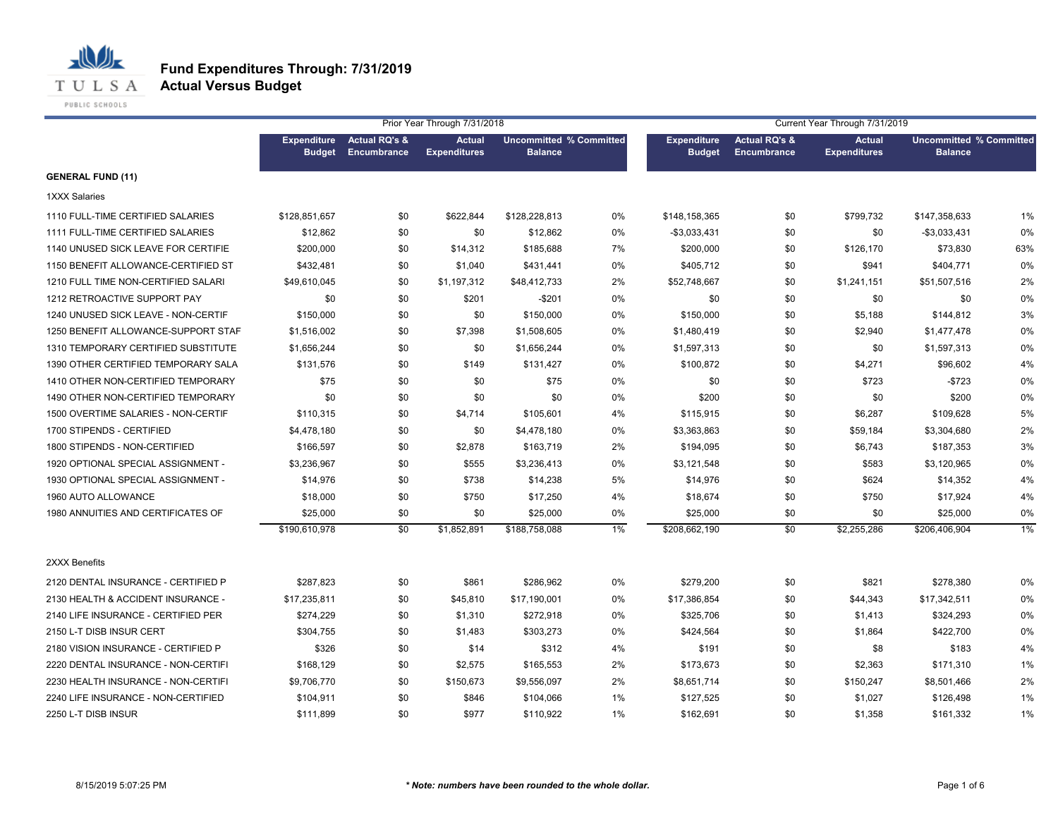

|                                     |                                     |                                         | Prior Year Through 7/31/2018         |                                                  |       |                                     |                                         | Current Year Through 7/31/2019       |                                                  |       |
|-------------------------------------|-------------------------------------|-----------------------------------------|--------------------------------------|--------------------------------------------------|-------|-------------------------------------|-----------------------------------------|--------------------------------------|--------------------------------------------------|-------|
|                                     | <b>Expenditure</b><br><b>Budget</b> | <b>Actual RQ's &amp;</b><br>Encumbrance | <b>Actual</b><br><b>Expenditures</b> | <b>Uncommitted % Committed</b><br><b>Balance</b> |       | <b>Expenditure</b><br><b>Budget</b> | <b>Actual RQ's &amp;</b><br>Encumbrance | <b>Actual</b><br><b>Expenditures</b> | <b>Uncommitted % Committed</b><br><b>Balance</b> |       |
| <b>GENERAL FUND (11)</b>            |                                     |                                         |                                      |                                                  |       |                                     |                                         |                                      |                                                  |       |
| 1XXX Salaries                       |                                     |                                         |                                      |                                                  |       |                                     |                                         |                                      |                                                  |       |
| 1110 FULL-TIME CERTIFIED SALARIES   | \$128,851,657                       | \$0                                     | \$622,844                            | \$128,228,813                                    | 0%    | \$148,158,365                       | \$0                                     | \$799,732                            | \$147,358,633                                    | 1%    |
| 1111 FULL-TIME CERTIFIED SALARIES   | \$12,862                            | \$0                                     | \$0                                  | \$12,862                                         | 0%    | $-$3,033,431$                       | \$0                                     | \$0                                  | $-$3,033,431$                                    | 0%    |
| 1140 UNUSED SICK LEAVE FOR CERTIFIE | \$200,000                           | \$0                                     | \$14,312                             | \$185,688                                        | 7%    | \$200,000                           | \$0                                     | \$126,170                            | \$73,830                                         | 63%   |
| 1150 BENEFIT ALLOWANCE-CERTIFIED ST | \$432,481                           | \$0                                     | \$1,040                              | \$431,441                                        | 0%    | \$405,712                           | \$0                                     | \$941                                | \$404,771                                        | 0%    |
| 1210 FULL TIME NON-CERTIFIED SALARI | \$49,610,045                        | \$0                                     | \$1,197,312                          | \$48,412,733                                     | 2%    | \$52,748,667                        | \$0                                     | \$1,241,151                          | \$51,507,516                                     | 2%    |
| 1212 RETROACTIVE SUPPORT PAY        | \$0                                 | \$0                                     | \$201                                | $-$201$                                          | 0%    | \$0                                 | \$0                                     | \$0                                  | \$0                                              | 0%    |
| 1240 UNUSED SICK LEAVE - NON-CERTIF | \$150,000                           | \$0                                     | \$0                                  | \$150,000                                        | 0%    | \$150,000                           | \$0                                     | \$5,188                              | \$144,812                                        | 3%    |
| 1250 BENEFIT ALLOWANCE-SUPPORT STAF | \$1,516,002                         | \$0                                     | \$7,398                              | \$1,508,605                                      | 0%    | \$1,480,419                         | \$0                                     | \$2,940                              | \$1,477,478                                      | 0%    |
| 1310 TEMPORARY CERTIFIED SUBSTITUTE | \$1,656,244                         | \$0                                     | \$0                                  | \$1,656,244                                      | 0%    | \$1,597,313                         | \$0                                     | \$0                                  | \$1,597,313                                      | 0%    |
| 1390 OTHER CERTIFIED TEMPORARY SALA | \$131,576                           | \$0                                     | \$149                                | \$131,427                                        | 0%    | \$100,872                           | \$0                                     | \$4,271                              | \$96,602                                         | 4%    |
| 1410 OTHER NON-CERTIFIED TEMPORARY  | \$75                                | \$0                                     | \$0                                  | \$75                                             | 0%    | \$0                                 | \$0                                     | \$723                                | $-$723$                                          | 0%    |
| 1490 OTHER NON-CERTIFIED TEMPORARY  | \$0                                 | \$0                                     | \$0                                  | \$0                                              | $0\%$ | \$200                               | \$0                                     | \$0                                  | \$200                                            | 0%    |
| 1500 OVERTIME SALARIES - NON-CERTIF | \$110,315                           | \$0                                     | \$4,714                              | \$105,601                                        | 4%    | \$115,915                           | \$0                                     | \$6,287                              | \$109,628                                        | 5%    |
| 1700 STIPENDS - CERTIFIED           | \$4,478,180                         | \$0                                     | \$0                                  | \$4,478,180                                      | 0%    | \$3,363,863                         | \$0                                     | \$59,184                             | \$3,304,680                                      | 2%    |
| 1800 STIPENDS - NON-CERTIFIED       | \$166,597                           | \$0                                     | \$2,878                              | \$163,719                                        | 2%    | \$194,095                           | \$0                                     | \$6,743                              | \$187,353                                        | 3%    |
| 1920 OPTIONAL SPECIAL ASSIGNMENT -  | \$3,236,967                         | \$0                                     | \$555                                | \$3,236,413                                      | 0%    | \$3,121,548                         | \$0                                     | \$583                                | \$3,120,965                                      | 0%    |
| 1930 OPTIONAL SPECIAL ASSIGNMENT -  | \$14,976                            | \$0                                     | \$738                                | \$14,238                                         | 5%    | \$14,976                            | \$0                                     | \$624                                | \$14,352                                         | 4%    |
| 1960 AUTO ALLOWANCE                 | \$18,000                            | \$0                                     | \$750                                | \$17,250                                         | 4%    | \$18,674                            | \$0                                     | \$750                                | \$17,924                                         | 4%    |
| 1980 ANNUITIES AND CERTIFICATES OF  | \$25,000                            | \$0                                     | \$0                                  | \$25,000                                         | 0%    | \$25,000                            | \$0                                     | \$0                                  | \$25,000                                         | 0%    |
|                                     | \$190,610,978                       | \$0                                     | \$1,852,891                          | \$188,758,088                                    | $1\%$ | \$208,662,190                       | $\sqrt{6}$                              | \$2,255,286                          | \$206,406,904                                    | $1\%$ |
| 2XXX Benefits                       |                                     |                                         |                                      |                                                  |       |                                     |                                         |                                      |                                                  |       |
| 2120 DENTAL INSURANCE - CERTIFIED P | \$287,823                           | \$0                                     | \$861                                | \$286,962                                        | 0%    | \$279,200                           | \$0                                     | \$821                                | \$278,380                                        | 0%    |
| 2130 HEALTH & ACCIDENT INSURANCE -  | \$17,235,811                        | \$0                                     | \$45,810                             | \$17,190,001                                     | 0%    | \$17,386,854                        | \$0                                     | \$44,343                             | \$17,342,511                                     | 0%    |
| 2140 LIFE INSURANCE - CERTIFIED PER | \$274,229                           | \$0                                     | \$1,310                              | \$272,918                                        | 0%    | \$325,706                           | \$0                                     | \$1,413                              | \$324,293                                        | 0%    |
| 2150 L-T DISB INSUR CERT            | \$304,755                           | \$0                                     | \$1,483                              | \$303,273                                        | 0%    | \$424,564                           | \$0                                     | \$1,864                              | \$422,700                                        | 0%    |
| 2180 VISION INSURANCE - CERTIFIED P | \$326                               | \$0                                     | \$14                                 | \$312                                            | 4%    | \$191                               | \$0                                     | \$8                                  | \$183                                            | 4%    |
| 2220 DENTAL INSURANCE - NON-CERTIFI | \$168,129                           | \$0                                     | \$2,575                              | \$165,553                                        | 2%    | \$173,673                           | \$0                                     | \$2,363                              | \$171,310                                        | 1%    |
| 2230 HEALTH INSURANCE - NON-CERTIFI | \$9,706,770                         | \$0                                     | \$150,673                            | \$9,556,097                                      | 2%    | \$8,651,714                         | \$0                                     | \$150,247                            | \$8,501,466                                      | 2%    |
| 2240 LIFE INSURANCE - NON-CERTIFIED | \$104,911                           | \$0                                     | \$846                                | \$104,066                                        | 1%    | \$127,525                           | \$0                                     | \$1,027                              | \$126,498                                        | 1%    |
| 2250 L-T DISB INSUR                 | \$111,899                           | \$0                                     | \$977                                | \$110,922                                        | 1%    | \$162,691                           | \$0                                     | \$1,358                              | \$161,332                                        | 1%    |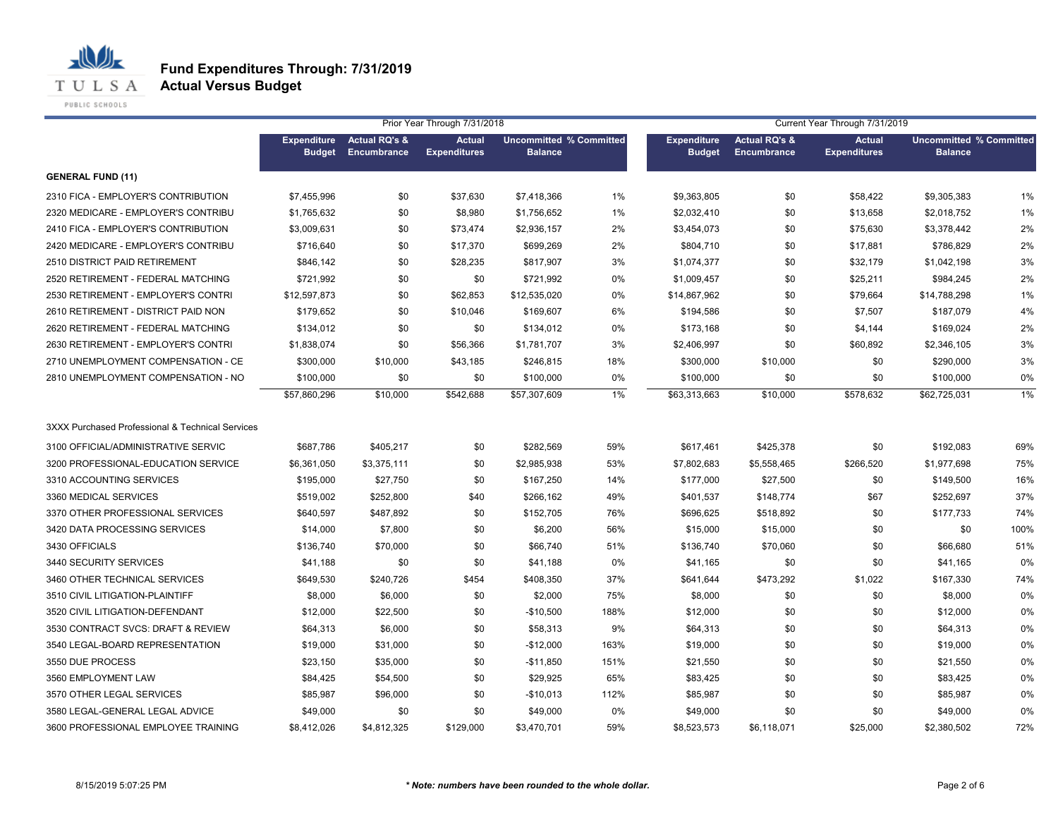

|                                                  |                                     |                                         | Prior Year Through 7/31/2018         |                                                  |       |                                     |                                         | Current Year Through 7/31/2019       |                                                  |       |
|--------------------------------------------------|-------------------------------------|-----------------------------------------|--------------------------------------|--------------------------------------------------|-------|-------------------------------------|-----------------------------------------|--------------------------------------|--------------------------------------------------|-------|
|                                                  | <b>Expenditure</b><br><b>Budget</b> | <b>Actual RQ's &amp;</b><br>Encumbrance | <b>Actual</b><br><b>Expenditures</b> | <b>Uncommitted % Committed</b><br><b>Balance</b> |       | <b>Expenditure</b><br><b>Budget</b> | <b>Actual RQ's &amp;</b><br>Encumbrance | <b>Actual</b><br><b>Expenditures</b> | <b>Uncommitted % Committed</b><br><b>Balance</b> |       |
| <b>GENERAL FUND (11)</b>                         |                                     |                                         |                                      |                                                  |       |                                     |                                         |                                      |                                                  |       |
| 2310 FICA - EMPLOYER'S CONTRIBUTION              | \$7,455,996                         | \$0                                     | \$37,630                             | \$7,418,366                                      | 1%    | \$9,363,805                         | \$0                                     | \$58,422                             | \$9,305,383                                      | 1%    |
| 2320 MEDICARE - EMPLOYER'S CONTRIBU              | \$1,765,632                         | \$0                                     | \$8,980                              | \$1,756,652                                      | 1%    | \$2,032,410                         | \$0                                     | \$13,658                             | \$2,018,752                                      | 1%    |
| 2410 FICA - EMPLOYER'S CONTRIBUTION              | \$3,009,631                         | \$0                                     | \$73,474                             | \$2,936,157                                      | 2%    | \$3,454,073                         | \$0                                     | \$75,630                             | \$3,378,442                                      | 2%    |
| 2420 MEDICARE - EMPLOYER'S CONTRIBU              | \$716,640                           | \$0                                     | \$17,370                             | \$699,269                                        | 2%    | \$804,710                           | \$0                                     | \$17,881                             | \$786,829                                        | 2%    |
| 2510 DISTRICT PAID RETIREMENT                    | \$846,142                           | \$0                                     | \$28,235                             | \$817,907                                        | 3%    | \$1,074,377                         | \$0                                     | \$32,179                             | \$1,042,198                                      | 3%    |
| 2520 RETIREMENT - FEDERAL MATCHING               | \$721,992                           | \$0                                     | \$0                                  | \$721,992                                        | 0%    | \$1,009,457                         | \$0                                     | \$25,211                             | \$984,245                                        | 2%    |
| 2530 RETIREMENT - EMPLOYER'S CONTRI              | \$12,597,873                        | \$0                                     | \$62,853                             | \$12,535,020                                     | 0%    | \$14,867,962                        | \$0                                     | \$79,664                             | \$14,788,298                                     | 1%    |
| 2610 RETIREMENT - DISTRICT PAID NON              | \$179,652                           | \$0                                     | \$10,046                             | \$169,607                                        | 6%    | \$194,586                           | \$0                                     | \$7,507                              | \$187,079                                        | 4%    |
| 2620 RETIREMENT - FEDERAL MATCHING               | \$134,012                           | \$0                                     | \$0                                  | \$134,012                                        | 0%    | \$173,168                           | \$0                                     | \$4,144                              | \$169,024                                        | 2%    |
| 2630 RETIREMENT - EMPLOYER'S CONTRI              | \$1,838,074                         | \$0                                     | \$56,366                             | \$1,781,707                                      | 3%    | \$2,406,997                         | \$0                                     | \$60,892                             | \$2,346,105                                      | 3%    |
| 2710 UNEMPLOYMENT COMPENSATION - CE              | \$300,000                           | \$10,000                                | \$43,185                             | \$246,815                                        | 18%   | \$300,000                           | \$10,000                                | \$0                                  | \$290,000                                        | 3%    |
| 2810 UNEMPLOYMENT COMPENSATION - NO              | \$100,000                           | \$0                                     | \$0                                  | \$100,000                                        | 0%    | \$100,000                           | \$0                                     | \$0                                  | \$100,000                                        | 0%    |
|                                                  | \$57,860,296                        | \$10,000                                | \$542,688                            | \$57,307,609                                     | $1\%$ | \$63,313,663                        | \$10,000                                | \$578,632                            | \$62,725,031                                     | $1\%$ |
| 3XXX Purchased Professional & Technical Services |                                     |                                         |                                      |                                                  |       |                                     |                                         |                                      |                                                  |       |
| 3100 OFFICIAL/ADMINISTRATIVE SERVIC              | \$687,786                           | \$405,217                               | \$0                                  | \$282,569                                        | 59%   | \$617,461                           | \$425,378                               | \$0                                  | \$192,083                                        | 69%   |
| 3200 PROFESSIONAL-EDUCATION SERVICE              | \$6,361,050                         | \$3,375,111                             | \$0                                  | \$2,985,938                                      | 53%   | \$7,802,683                         | \$5,558,465                             | \$266,520                            | \$1,977,698                                      | 75%   |
| 3310 ACCOUNTING SERVICES                         | \$195,000                           | \$27,750                                | \$0                                  | \$167,250                                        | 14%   | \$177,000                           | \$27,500                                | \$0                                  | \$149,500                                        | 16%   |
| 3360 MEDICAL SERVICES                            | \$519,002                           | \$252,800                               | \$40                                 | \$266,162                                        | 49%   | \$401,537                           | \$148,774                               | \$67                                 | \$252,697                                        | 37%   |
| 3370 OTHER PROFESSIONAL SERVICES                 | \$640,597                           | \$487,892                               | \$0                                  | \$152,705                                        | 76%   | \$696,625                           | \$518,892                               | \$0                                  | \$177,733                                        | 74%   |
| 3420 DATA PROCESSING SERVICES                    | \$14,000                            | \$7,800                                 | \$0                                  | \$6,200                                          | 56%   | \$15,000                            | \$15,000                                | \$0                                  | \$0                                              | 100%  |
| 3430 OFFICIALS                                   | \$136,740                           | \$70,000                                | \$0                                  | \$66,740                                         | 51%   | \$136,740                           | \$70,060                                | \$0                                  | \$66,680                                         | 51%   |
| 3440 SECURITY SERVICES                           | \$41,188                            | \$0                                     | \$0                                  | \$41,188                                         | 0%    | \$41,165                            | \$0                                     | \$0                                  | \$41,165                                         | 0%    |
| 3460 OTHER TECHNICAL SERVICES                    | \$649,530                           | \$240,726                               | \$454                                | \$408,350                                        | 37%   | \$641,644                           | \$473,292                               | \$1,022                              | \$167,330                                        | 74%   |
| 3510 CIVIL LITIGATION-PLAINTIFF                  | \$8,000                             | \$6,000                                 | \$0                                  | \$2,000                                          | 75%   | \$8,000                             | \$0                                     | \$0                                  | \$8,000                                          | 0%    |
| 3520 CIVIL LITIGATION-DEFENDANT                  | \$12,000                            | \$22,500                                | \$0                                  | $-$10,500$                                       | 188%  | \$12,000                            | \$0                                     | \$0                                  | \$12,000                                         | 0%    |
| 3530 CONTRACT SVCS: DRAFT & REVIEW               | \$64,313                            | \$6,000                                 | \$0                                  | \$58,313                                         | 9%    | \$64,313                            | \$0                                     | \$0                                  | \$64,313                                         | 0%    |
| 3540 LEGAL-BOARD REPRESENTATION                  | \$19,000                            | \$31,000                                | \$0                                  | $-$12,000$                                       | 163%  | \$19,000                            | \$0                                     | \$0                                  | \$19,000                                         | 0%    |
| 3550 DUE PROCESS                                 | \$23,150                            | \$35,000                                | \$0                                  | -\$11,850                                        | 151%  | \$21,550                            | \$0                                     | \$0                                  | \$21,550                                         | 0%    |
| 3560 EMPLOYMENT LAW                              | \$84,425                            | \$54,500                                | \$0                                  | \$29,925                                         | 65%   | \$83,425                            | \$0                                     | \$0                                  | \$83,425                                         | 0%    |
| 3570 OTHER LEGAL SERVICES                        | \$85,987                            | \$96,000                                | \$0                                  | $-$10,013$                                       | 112%  | \$85,987                            | \$0                                     | \$0                                  | \$85,987                                         | 0%    |
| 3580 LEGAL-GENERAL LEGAL ADVICE                  | \$49,000                            | \$0                                     | \$0                                  | \$49,000                                         | 0%    | \$49,000                            | \$0                                     | \$0                                  | \$49,000                                         | 0%    |
| 3600 PROFESSIONAL EMPLOYEE TRAINING              | \$8,412,026                         | \$4,812,325                             | \$129,000                            | \$3,470,701                                      | 59%   | \$8,523,573                         | \$6,118,071                             | \$25,000                             | \$2,380,502                                      | 72%   |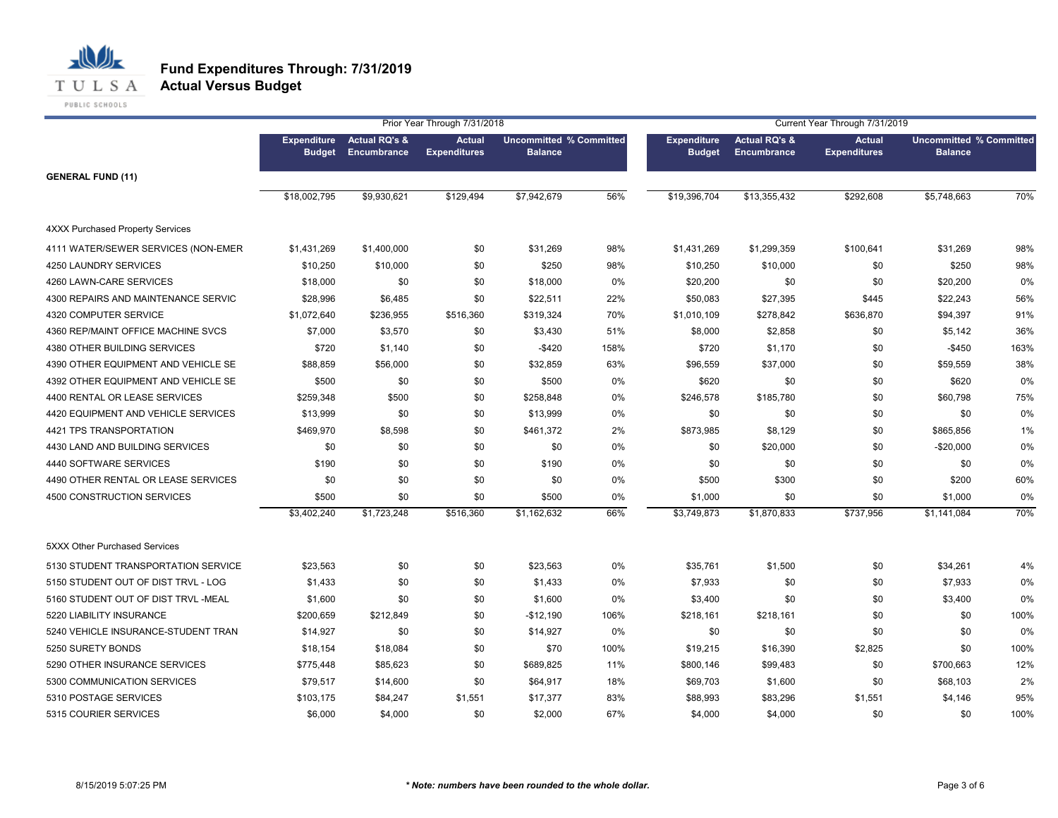

|                                         |                                     |                                         | Prior Year Through 7/31/2018         |                                                  |      |                                     |                                         | Current Year Through 7/31/2019       |                                                  |      |
|-----------------------------------------|-------------------------------------|-----------------------------------------|--------------------------------------|--------------------------------------------------|------|-------------------------------------|-----------------------------------------|--------------------------------------|--------------------------------------------------|------|
|                                         | <b>Expenditure</b><br><b>Budget</b> | <b>Actual RQ's &amp;</b><br>Encumbrance | <b>Actual</b><br><b>Expenditures</b> | <b>Uncommitted % Committed</b><br><b>Balance</b> |      | <b>Expenditure</b><br><b>Budget</b> | <b>Actual RQ's &amp;</b><br>Encumbrance | <b>Actual</b><br><b>Expenditures</b> | <b>Uncommitted % Committed</b><br><b>Balance</b> |      |
| <b>GENERAL FUND (11)</b>                |                                     |                                         |                                      |                                                  |      |                                     |                                         |                                      |                                                  |      |
|                                         | \$18,002,795                        | \$9,930,621                             | \$129,494                            | \$7,942,679                                      | 56%  | \$19,396,704                        | \$13,355,432                            | \$292,608                            | \$5,748,663                                      | 70%  |
| <b>4XXX Purchased Property Services</b> |                                     |                                         |                                      |                                                  |      |                                     |                                         |                                      |                                                  |      |
| 4111 WATER/SEWER SERVICES (NON-EMER     | \$1,431,269                         | \$1,400,000                             | \$0                                  | \$31,269                                         | 98%  | \$1,431,269                         | \$1,299,359                             | \$100,641                            | \$31,269                                         | 98%  |
| 4250 LAUNDRY SERVICES                   | \$10,250                            | \$10,000                                | \$0                                  | \$250                                            | 98%  | \$10,250                            | \$10,000                                | \$0                                  | \$250                                            | 98%  |
| 4260 LAWN-CARE SERVICES                 | \$18,000                            | \$0                                     | \$0                                  | \$18,000                                         | 0%   | \$20,200                            | \$0                                     | \$0                                  | \$20,200                                         | 0%   |
| 4300 REPAIRS AND MAINTENANCE SERVIC     | \$28,996                            | \$6,485                                 | \$0                                  | \$22,511                                         | 22%  | \$50,083                            | \$27,395                                | \$445                                | \$22,243                                         | 56%  |
| 4320 COMPUTER SERVICE                   | \$1,072,640                         | \$236,955                               | \$516,360                            | \$319,324                                        | 70%  | \$1,010,109                         | \$278,842                               | \$636,870                            | \$94,397                                         | 91%  |
| 4360 REP/MAINT OFFICE MACHINE SVCS      | \$7,000                             | \$3,570                                 | \$0                                  | \$3,430                                          | 51%  | \$8,000                             | \$2,858                                 | \$0                                  | \$5,142                                          | 36%  |
| 4380 OTHER BUILDING SERVICES            | \$720                               | \$1,140                                 | \$0                                  | $-$420$                                          | 158% | \$720                               | \$1,170                                 | \$0                                  | $-$450$                                          | 163% |
| 4390 OTHER EQUIPMENT AND VEHICLE SE     | \$88,859                            | \$56,000                                | \$0                                  | \$32,859                                         | 63%  | \$96,559                            | \$37,000                                | \$0                                  | \$59,559                                         | 38%  |
| 4392 OTHER EQUIPMENT AND VEHICLE SE     | \$500                               | \$0                                     | \$0                                  | \$500                                            | 0%   | \$620                               | \$0                                     | \$0                                  | \$620                                            | 0%   |
| 4400 RENTAL OR LEASE SERVICES           | \$259,348                           | \$500                                   | \$0                                  | \$258,848                                        | 0%   | \$246,578                           | \$185,780                               | \$0                                  | \$60,798                                         | 75%  |
| 4420 EQUIPMENT AND VEHICLE SERVICES     | \$13,999                            | \$0                                     | \$0                                  | \$13,999                                         | 0%   | \$0                                 | \$0                                     | \$0                                  | \$0                                              | 0%   |
| 4421 TPS TRANSPORTATION                 | \$469,970                           | \$8,598                                 | \$0                                  | \$461,372                                        | 2%   | \$873,985                           | \$8,129                                 | \$0                                  | \$865,856                                        | 1%   |
| 4430 LAND AND BUILDING SERVICES         | \$0                                 | \$0                                     | \$0                                  | \$0                                              | 0%   | \$0                                 | \$20,000                                | \$0                                  | $-$20,000$                                       | 0%   |
| 4440 SOFTWARE SERVICES                  | \$190                               | \$0                                     | \$0                                  | \$190                                            | 0%   | \$0                                 | \$0                                     | \$0                                  | \$0                                              | 0%   |
| 4490 OTHER RENTAL OR LEASE SERVICES     | \$0                                 | \$0                                     | \$0                                  | \$0                                              | 0%   | \$500                               | \$300                                   | \$0                                  | \$200                                            | 60%  |
| 4500 CONSTRUCTION SERVICES              | \$500                               | \$0                                     | \$0                                  | \$500                                            | 0%   | \$1,000                             | \$0                                     | \$0                                  | \$1,000                                          | 0%   |
|                                         | \$3,402,240                         | \$1,723,248                             | \$516,360                            | \$1,162,632                                      | 66%  | \$3,749,873                         | \$1,870,833                             | \$737,956                            | \$1,141,084                                      | 70%  |
| 5XXX Other Purchased Services           |                                     |                                         |                                      |                                                  |      |                                     |                                         |                                      |                                                  |      |
| 5130 STUDENT TRANSPORTATION SERVICE     | \$23,563                            | \$0                                     | \$0                                  | \$23,563                                         | 0%   | \$35,761                            | \$1,500                                 | \$0                                  | \$34,261                                         | 4%   |
| 5150 STUDENT OUT OF DIST TRVL - LOG     | \$1,433                             | \$0                                     | \$0                                  | \$1,433                                          | 0%   | \$7,933                             | \$0                                     | \$0                                  | \$7,933                                          | 0%   |
| 5160 STUDENT OUT OF DIST TRVL -MEAL     | \$1,600                             | \$0                                     | \$0                                  | \$1,600                                          | 0%   | \$3,400                             | \$0                                     | \$0                                  | \$3,400                                          | 0%   |
| 5220 LIABILITY INSURANCE                | \$200,659                           | \$212,849                               | \$0                                  | $-$12,190$                                       | 106% | \$218,161                           | \$218,161                               | \$0                                  | \$0                                              | 100% |
| 5240 VEHICLE INSURANCE-STUDENT TRAN     | \$14,927                            | \$0                                     | \$0                                  | \$14,927                                         | 0%   | \$0                                 | \$0                                     | \$0                                  | \$0                                              | 0%   |
| 5250 SURETY BONDS                       | \$18,154                            | \$18,084                                | \$0                                  | \$70                                             | 100% | \$19,215                            | \$16,390                                | \$2,825                              | \$0                                              | 100% |
| 5290 OTHER INSURANCE SERVICES           | \$775,448                           | \$85,623                                | \$0                                  | \$689,825                                        | 11%  | \$800,146                           | \$99,483                                | \$0                                  | \$700,663                                        | 12%  |
| 5300 COMMUNICATION SERVICES             | \$79,517                            | \$14,600                                | \$0                                  | \$64,917                                         | 18%  | \$69,703                            | \$1,600                                 | \$0                                  | \$68,103                                         | 2%   |
| 5310 POSTAGE SERVICES                   | \$103,175                           | \$84,247                                | \$1,551                              | \$17,377                                         | 83%  | \$88,993                            | \$83,296                                | \$1,551                              | \$4,146                                          | 95%  |
| 5315 COURIER SERVICES                   | \$6,000                             | \$4,000                                 | \$0                                  | \$2,000                                          | 67%  | \$4,000                             | \$4,000                                 | \$0                                  | \$0                                              | 100% |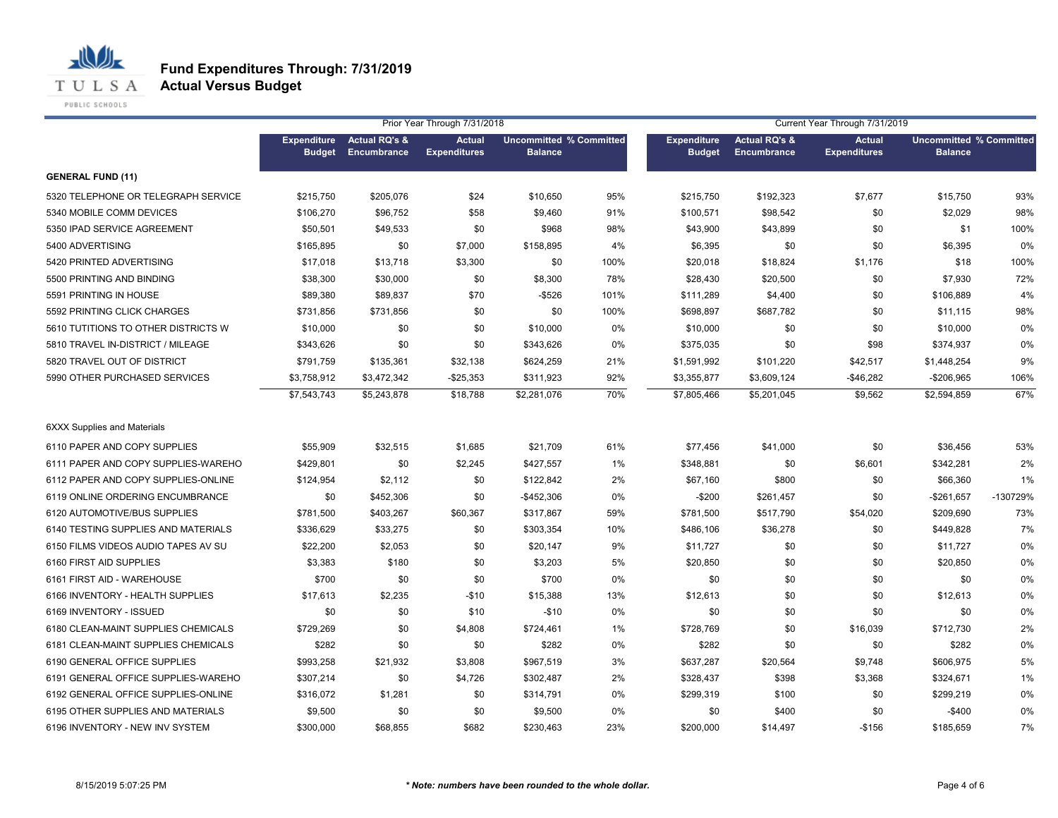

|                                     |                                     |                                         | Prior Year Through 7/31/2018         |                                                  |       |                                     |                                         | Current Year Through 7/31/2019       |                                                  |          |
|-------------------------------------|-------------------------------------|-----------------------------------------|--------------------------------------|--------------------------------------------------|-------|-------------------------------------|-----------------------------------------|--------------------------------------|--------------------------------------------------|----------|
|                                     | <b>Expenditure</b><br><b>Budget</b> | <b>Actual RQ's &amp;</b><br>Encumbrance | <b>Actual</b><br><b>Expenditures</b> | <b>Uncommitted % Committed</b><br><b>Balance</b> |       | <b>Expenditure</b><br><b>Budget</b> | <b>Actual RQ's &amp;</b><br>Encumbrance | <b>Actual</b><br><b>Expenditures</b> | <b>Uncommitted % Committed</b><br><b>Balance</b> |          |
| <b>GENERAL FUND (11)</b>            |                                     |                                         |                                      |                                                  |       |                                     |                                         |                                      |                                                  |          |
| 5320 TELEPHONE OR TELEGRAPH SERVICE | \$215,750                           | \$205,076                               | \$24                                 | \$10,650                                         | 95%   | \$215,750                           | \$192,323                               | \$7,677                              | \$15,750                                         | 93%      |
| 5340 MOBILE COMM DEVICES            | \$106,270                           | \$96,752                                | \$58                                 | \$9,460                                          | 91%   | \$100,571                           | \$98,542                                | \$0                                  | \$2,029                                          | 98%      |
| 5350 IPAD SERVICE AGREEMENT         | \$50,501                            | \$49,533                                | \$0                                  | \$968                                            | 98%   | \$43,900                            | \$43,899                                | \$0                                  | \$1                                              | 100%     |
| 5400 ADVERTISING                    | \$165,895                           | \$0                                     | \$7,000                              | \$158,895                                        | 4%    | \$6,395                             | \$0                                     | \$0                                  | \$6,395                                          | 0%       |
| 5420 PRINTED ADVERTISING            | \$17,018                            | \$13,718                                | \$3,300                              | \$0                                              | 100%  | \$20,018                            | \$18,824                                | \$1,176                              | \$18                                             | 100%     |
| 5500 PRINTING AND BINDING           | \$38,300                            | \$30,000                                | \$0                                  | \$8,300                                          | 78%   | \$28,430                            | \$20,500                                | \$0                                  | \$7,930                                          | 72%      |
| 5591 PRINTING IN HOUSE              | \$89,380                            | \$89,837                                | \$70                                 | -\$526                                           | 101%  | \$111,289                           | \$4,400                                 | \$0                                  | \$106,889                                        | 4%       |
| 5592 PRINTING CLICK CHARGES         | \$731,856                           | \$731,856                               | \$0                                  | \$0                                              | 100%  | \$698,897                           | \$687,782                               | \$0                                  | \$11,115                                         | 98%      |
| 5610 TUTITIONS TO OTHER DISTRICTS W | \$10,000                            | \$0                                     | \$0                                  | \$10,000                                         | $0\%$ | \$10,000                            | \$0                                     | \$0                                  | \$10,000                                         | 0%       |
| 5810 TRAVEL IN-DISTRICT / MILEAGE   | \$343,626                           | \$0                                     | \$0                                  | \$343,626                                        | 0%    | \$375,035                           | \$0                                     | \$98                                 | \$374,937                                        | 0%       |
| 5820 TRAVEL OUT OF DISTRICT         | \$791,759                           | \$135,361                               | \$32,138                             | \$624,259                                        | 21%   | \$1,591,992                         | \$101,220                               | \$42,517                             | \$1,448,254                                      | 9%       |
| 5990 OTHER PURCHASED SERVICES       | \$3,758,912                         | \$3,472,342                             | $-$25,353$                           | \$311,923                                        | 92%   | \$3,355,877                         | \$3,609,124                             | $-$ \$46,282                         | $-$206,965$                                      | 106%     |
|                                     | \$7,543,743                         | \$5,243,878                             | \$18,788                             | \$2,281,076                                      | 70%   | \$7,805,466                         | \$5,201,045                             | \$9,562                              | \$2,594,859                                      | 67%      |
| <b>6XXX Supplies and Materials</b>  |                                     |                                         |                                      |                                                  |       |                                     |                                         |                                      |                                                  |          |
| 6110 PAPER AND COPY SUPPLIES        | \$55,909                            | \$32,515                                | \$1,685                              | \$21,709                                         | 61%   | \$77,456                            | \$41,000                                | \$0                                  | \$36,456                                         | 53%      |
| 6111 PAPER AND COPY SUPPLIES-WAREHO | \$429,801                           | \$0                                     | \$2,245                              | \$427,557                                        | 1%    | \$348,881                           | \$0                                     | \$6,601                              | \$342,281                                        | 2%       |
| 6112 PAPER AND COPY SUPPLIES-ONLINE | \$124,954                           | \$2,112                                 | \$0                                  | \$122,842                                        | 2%    | \$67,160                            | \$800                                   | \$0                                  | \$66,360                                         | 1%       |
| 6119 ONLINE ORDERING ENCUMBRANCE    | \$0                                 | \$452,306                               | \$0                                  | $-$ \$452,306                                    | 0%    | $-$200$                             | \$261,457                               | \$0                                  | $-$261,657$                                      | -130729% |
| 6120 AUTOMOTIVE/BUS SUPPLIES        | \$781,500                           | \$403,267                               | \$60,367                             | \$317,867                                        | 59%   | \$781,500                           | \$517,790                               | \$54,020                             | \$209,690                                        | 73%      |
| 6140 TESTING SUPPLIES AND MATERIALS | \$336,629                           | \$33,275                                | \$0                                  | \$303,354                                        | 10%   | \$486,106                           | \$36,278                                | \$0                                  | \$449,828                                        | 7%       |
| 6150 FILMS VIDEOS AUDIO TAPES AV SU | \$22,200                            | \$2,053                                 | \$0                                  | \$20,147                                         | 9%    | \$11,727                            | \$0                                     | \$0                                  | \$11,727                                         | 0%       |
| 6160 FIRST AID SUPPLIES             | \$3,383                             | \$180                                   | \$0                                  | \$3,203                                          | 5%    | \$20,850                            | \$0                                     | \$0                                  | \$20,850                                         | 0%       |
| 6161 FIRST AID - WAREHOUSE          | \$700                               | \$0                                     | \$0                                  | \$700                                            | 0%    | \$0                                 | \$0                                     | \$0                                  | \$0                                              | 0%       |
| 6166 INVENTORY - HEALTH SUPPLIES    | \$17,613                            | \$2,235                                 | $-$10$                               | \$15,388                                         | 13%   | \$12,613                            | \$0                                     | \$0                                  | \$12,613                                         | 0%       |
| 6169 INVENTORY - ISSUED             | \$0                                 | \$0                                     | \$10                                 | $-$10$                                           | 0%    | \$0                                 | \$0                                     | \$0                                  | \$0                                              | 0%       |
| 6180 CLEAN-MAINT SUPPLIES CHEMICALS | \$729,269                           | \$0                                     | \$4,808                              | \$724,461                                        | 1%    | \$728,769                           | \$0                                     | \$16,039                             | \$712,730                                        | 2%       |
| 6181 CLEAN-MAINT SUPPLIES CHEMICALS | \$282                               | \$0                                     | \$0                                  | \$282                                            | 0%    | \$282                               | \$0                                     | \$0                                  | \$282                                            | 0%       |
| 6190 GENERAL OFFICE SUPPLIES        | \$993,258                           | \$21,932                                | \$3,808                              | \$967,519                                        | 3%    | \$637,287                           | \$20,564                                | \$9,748                              | \$606,975                                        | 5%       |
| 6191 GENERAL OFFICE SUPPLIES-WAREHO | \$307,214                           | \$0                                     | \$4,726                              | \$302,487                                        | 2%    | \$328,437                           | \$398                                   | \$3,368                              | \$324,671                                        | 1%       |
| 6192 GENERAL OFFICE SUPPLIES-ONLINE | \$316,072                           | \$1,281                                 | \$0                                  | \$314,791                                        | 0%    | \$299,319                           | \$100                                   | \$0                                  | \$299,219                                        | 0%       |
| 6195 OTHER SUPPLIES AND MATERIALS   | \$9,500                             | \$0                                     | \$0                                  | \$9,500                                          | 0%    | \$0                                 | \$400                                   | \$0                                  | $-$400$                                          | 0%       |
| 6196 INVENTORY - NEW INV SYSTEM     | \$300,000                           | \$68,855                                | \$682                                | \$230,463                                        | 23%   | \$200,000                           | \$14,497                                | $-$156$                              | \$185,659                                        | 7%       |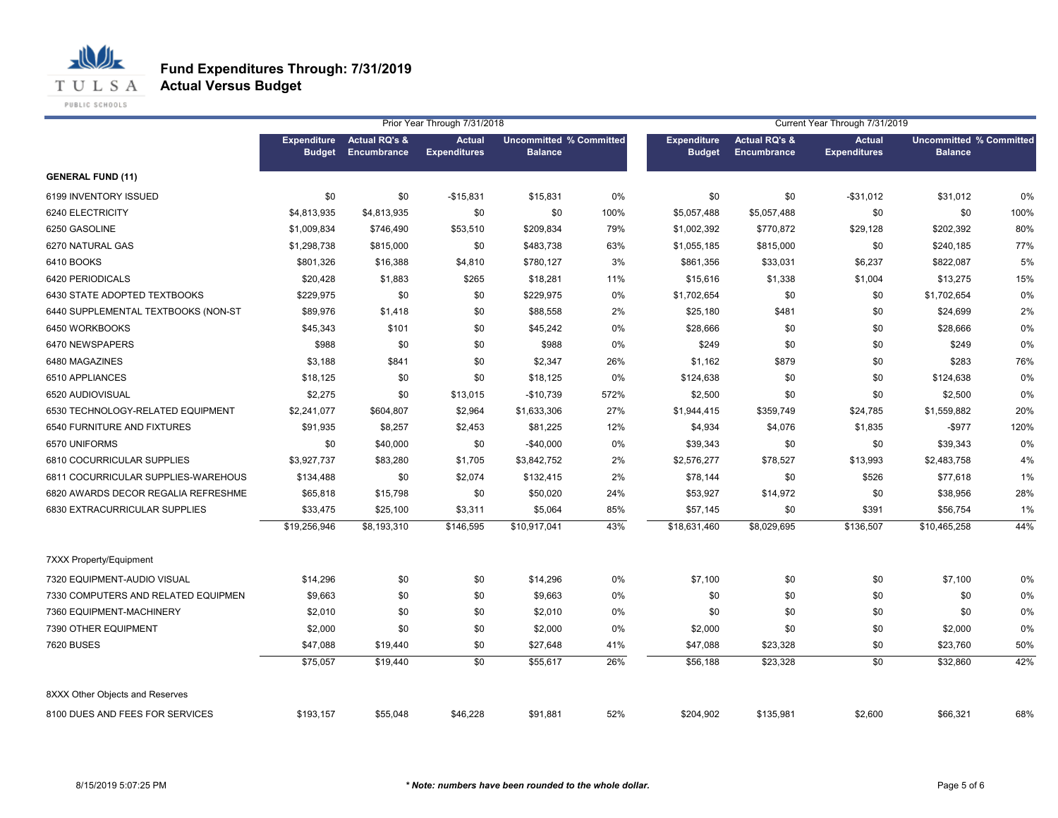

|                                     |                                     |                                         | Prior Year Through 7/31/2018         |                                                  |      |                                     |                                                | Current Year Through 7/31/2019       |                                                  |      |
|-------------------------------------|-------------------------------------|-----------------------------------------|--------------------------------------|--------------------------------------------------|------|-------------------------------------|------------------------------------------------|--------------------------------------|--------------------------------------------------|------|
|                                     | <b>Expenditure</b><br><b>Budget</b> | <b>Actual RQ's &amp;</b><br>Encumbrance | <b>Actual</b><br><b>Expenditures</b> | <b>Uncommitted % Committed</b><br><b>Balance</b> |      | <b>Expenditure</b><br><b>Budget</b> | <b>Actual RQ's &amp;</b><br><b>Encumbrance</b> | <b>Actual</b><br><b>Expenditures</b> | <b>Uncommitted % Committed</b><br><b>Balance</b> |      |
| <b>GENERAL FUND (11)</b>            |                                     |                                         |                                      |                                                  |      |                                     |                                                |                                      |                                                  |      |
| 6199 INVENTORY ISSUED               | \$0                                 | \$0                                     | $-$15,831$                           | \$15,831                                         | 0%   | \$0                                 | \$0                                            | $-$ \$31,012                         | \$31,012                                         | 0%   |
| 6240 ELECTRICITY                    | \$4,813,935                         | \$4,813,935                             | \$0                                  | \$0                                              | 100% | \$5,057,488                         | \$5,057,488                                    | \$0                                  | \$0                                              | 100% |
| 6250 GASOLINE                       | \$1,009,834                         | \$746,490                               | \$53,510                             | \$209,834                                        | 79%  | \$1,002,392                         | \$770,872                                      | \$29,128                             | \$202,392                                        | 80%  |
| 6270 NATURAL GAS                    | \$1,298,738                         | \$815,000                               | \$0                                  | \$483,738                                        | 63%  | \$1,055,185                         | \$815,000                                      | \$0                                  | \$240,185                                        | 77%  |
| 6410 BOOKS                          | \$801,326                           | \$16,388                                | \$4,810                              | \$780,127                                        | 3%   | \$861,356                           | \$33,031                                       | \$6,237                              | \$822,087                                        | 5%   |
| 6420 PERIODICALS                    | \$20,428                            | \$1,883                                 | \$265                                | \$18,281                                         | 11%  | \$15,616                            | \$1,338                                        | \$1,004                              | \$13,275                                         | 15%  |
| 6430 STATE ADOPTED TEXTBOOKS        | \$229,975                           | \$0                                     | \$0                                  | \$229,975                                        | 0%   | \$1,702,654                         | \$0                                            | \$0                                  | \$1,702,654                                      | 0%   |
| 6440 SUPPLEMENTAL TEXTBOOKS (NON-ST | \$89,976                            | \$1,418                                 | \$0                                  | \$88,558                                         | 2%   | \$25,180                            | \$481                                          | \$0                                  | \$24,699                                         | 2%   |
| 6450 WORKBOOKS                      | \$45,343                            | \$101                                   | \$0                                  | \$45,242                                         | 0%   | \$28,666                            | \$0                                            | \$0                                  | \$28,666                                         | 0%   |
| 6470 NEWSPAPERS                     | \$988                               | \$0                                     | \$0                                  | \$988                                            | 0%   | \$249                               | \$0                                            | \$0                                  | \$249                                            | 0%   |
| 6480 MAGAZINES                      | \$3,188                             | \$841                                   | \$0                                  | \$2,347                                          | 26%  | \$1,162                             | \$879                                          | \$0                                  | \$283                                            | 76%  |
| 6510 APPLIANCES                     | \$18,125                            | \$0                                     | \$0                                  | \$18,125                                         | 0%   | \$124,638                           | \$0                                            | \$0                                  | \$124,638                                        | 0%   |
| 6520 AUDIOVISUAL                    | \$2,275                             | \$0                                     | \$13,015                             | $-$10,739$                                       | 572% | \$2,500                             | \$0                                            | \$0                                  | \$2,500                                          | 0%   |
| 6530 TECHNOLOGY-RELATED EQUIPMENT   | \$2,241,077                         | \$604,807                               | \$2,964                              | \$1,633,306                                      | 27%  | \$1,944,415                         | \$359,749                                      | \$24,785                             | \$1,559,882                                      | 20%  |
| 6540 FURNITURE AND FIXTURES         | \$91,935                            | \$8,257                                 | \$2,453                              | \$81,225                                         | 12%  | \$4,934                             | \$4,076                                        | \$1,835                              | $-$ \$977                                        | 120% |
| 6570 UNIFORMS                       | \$0                                 | \$40,000                                | \$0                                  | -\$40,000                                        | 0%   | \$39,343                            | \$0                                            | \$0                                  | \$39,343                                         | 0%   |
| 6810 COCURRICULAR SUPPLIES          | \$3,927,737                         | \$83,280                                | \$1,705                              | \$3,842,752                                      | 2%   | \$2,576,277                         | \$78,527                                       | \$13,993                             | \$2,483,758                                      | 4%   |
| 6811 COCURRICULAR SUPPLIES-WAREHOUS | \$134,488                           | \$0                                     | \$2,074                              | \$132,415                                        | 2%   | \$78,144                            | \$0                                            | \$526                                | \$77,618                                         | 1%   |
| 6820 AWARDS DECOR REGALIA REFRESHME | \$65,818                            | \$15,798                                | \$0                                  | \$50,020                                         | 24%  | \$53,927                            | \$14,972                                       | \$0                                  | \$38,956                                         | 28%  |
| 6830 EXTRACURRICULAR SUPPLIES       | \$33,475                            | \$25,100                                | \$3,311                              | \$5,064                                          | 85%  | \$57,145                            | \$0                                            | \$391                                | \$56,754                                         | 1%   |
|                                     | \$19,256,946                        | \$8,193,310                             | \$146,595                            | \$10,917,041                                     | 43%  | \$18,631,460                        | \$8,029,695                                    | \$136,507                            | \$10,465,258                                     | 44%  |
| 7XXX Property/Equipment             |                                     |                                         |                                      |                                                  |      |                                     |                                                |                                      |                                                  |      |
| 7320 EQUIPMENT-AUDIO VISUAL         | \$14,296                            | \$0                                     | \$0                                  | \$14,296                                         | 0%   | \$7,100                             | \$0                                            | \$0                                  | \$7,100                                          | 0%   |
| 7330 COMPUTERS AND RELATED EQUIPMEN | \$9,663                             | \$0                                     | \$0                                  | \$9,663                                          | 0%   | \$0                                 | \$0                                            | \$0                                  | \$0                                              | 0%   |
| 7360 EQUIPMENT-MACHINERY            | \$2,010                             | \$0                                     | \$0                                  | \$2,010                                          | 0%   | \$0                                 | \$0                                            | \$0                                  | \$0                                              | 0%   |
| 7390 OTHER EQUIPMENT                | \$2,000                             | \$0                                     | \$0                                  | \$2,000                                          | 0%   | \$2,000                             | \$0                                            | \$0                                  | \$2,000                                          | 0%   |
| <b>7620 BUSES</b>                   | \$47,088                            | \$19,440                                | \$0                                  | \$27,648                                         | 41%  | \$47,088                            | \$23,328                                       | \$0                                  | \$23,760                                         | 50%  |
|                                     | \$75,057                            | \$19,440                                | \$0                                  | \$55,617                                         | 26%  | \$56,188                            | \$23,328                                       | \$0                                  | \$32,860                                         | 42%  |
| 8XXX Other Objects and Reserves     |                                     |                                         |                                      |                                                  |      |                                     |                                                |                                      |                                                  |      |
| 8100 DUES AND FEES FOR SERVICES     | \$193,157                           | \$55,048                                | \$46,228                             | \$91,881                                         | 52%  | \$204,902                           | \$135,981                                      | \$2,600                              | \$66,321                                         | 68%  |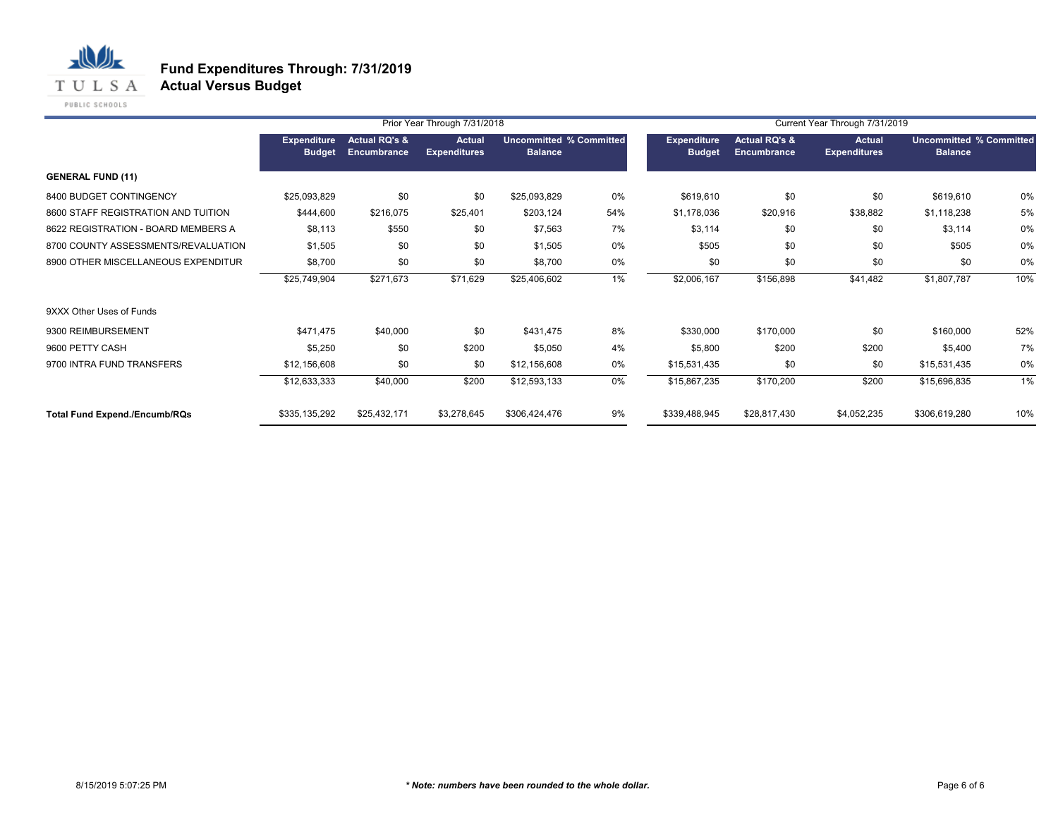

|                                      |                              |                                         | Prior Year Through 7/31/2018         |                                                  |       |                                     |                                         | Current Year Through 7/31/2019 |                                                  |       |
|--------------------------------------|------------------------------|-----------------------------------------|--------------------------------------|--------------------------------------------------|-------|-------------------------------------|-----------------------------------------|--------------------------------|--------------------------------------------------|-------|
|                                      | Expenditure<br><b>Budget</b> | <b>Actual RQ's &amp;</b><br>Encumbrance | <b>Actual</b><br><b>Expenditures</b> | <b>Uncommitted % Committed</b><br><b>Balance</b> |       | <b>Expenditure</b><br><b>Budget</b> | <b>Actual RQ's &amp;</b><br>Encumbrance | Actual<br><b>Expenditures</b>  | <b>Uncommitted % Committed</b><br><b>Balance</b> |       |
| <b>GENERAL FUND (11)</b>             |                              |                                         |                                      |                                                  |       |                                     |                                         |                                |                                                  |       |
| 8400 BUDGET CONTINGENCY              | \$25,093,829                 | \$0                                     | \$0                                  | \$25,093,829                                     | 0%    | \$619,610                           | \$0                                     | \$0                            | \$619,610                                        | 0%    |
| 8600 STAFF REGISTRATION AND TUITION  | \$444,600                    | \$216,075                               | \$25,401                             | \$203,124                                        | 54%   | \$1,178,036                         | \$20,916                                | \$38,882                       | \$1,118,238                                      | 5%    |
| 8622 REGISTRATION - BOARD MEMBERS A  | \$8,113                      | \$550                                   | \$0                                  | \$7,563                                          | 7%    | \$3,114                             | \$0                                     | \$0                            | \$3,114                                          | 0%    |
| 8700 COUNTY ASSESSMENTS/REVALUATION  | \$1,505                      | \$0                                     | \$0                                  | \$1,505                                          | 0%    | \$505                               | \$0                                     | \$0                            | \$505                                            | 0%    |
| 8900 OTHER MISCELLANEOUS EXPENDITUR  | \$8,700                      | \$0                                     | \$0                                  | \$8,700                                          | 0%    | \$0                                 | \$0                                     | \$0                            | \$0                                              | 0%    |
|                                      | \$25,749,904                 | \$271,673                               | \$71,629                             | \$25,406,602                                     | 1%    | \$2,006,167                         | \$156,898                               | \$41,482                       | \$1,807,787                                      | 10%   |
| 9XXX Other Uses of Funds             |                              |                                         |                                      |                                                  |       |                                     |                                         |                                |                                                  |       |
| 9300 REIMBURSEMENT                   | \$471,475                    | \$40,000                                | \$0                                  | \$431,475                                        | 8%    | \$330,000                           | \$170,000                               | \$0                            | \$160,000                                        | 52%   |
| 9600 PETTY CASH                      | \$5,250                      | \$0                                     | \$200                                | \$5,050                                          | 4%    | \$5,800                             | \$200                                   | \$200                          | \$5,400                                          | 7%    |
| 9700 INTRA FUND TRANSFERS            | \$12,156,608                 | \$0                                     | \$0                                  | \$12,156,608                                     | 0%    | \$15,531,435                        | \$0                                     | \$0                            | \$15,531,435                                     | 0%    |
|                                      | \$12,633,333                 | \$40,000                                | \$200                                | \$12,593,133                                     | $0\%$ | \$15,867,235                        | \$170,200                               | \$200                          | \$15,696,835                                     | $1\%$ |
| <b>Total Fund Expend./Encumb/RQs</b> | \$335,135,292                | \$25,432,171                            | \$3,278,645                          | \$306,424,476                                    | 9%    | \$339,488,945                       | \$28,817,430                            | \$4,052,235                    | \$306,619,280                                    | 10%   |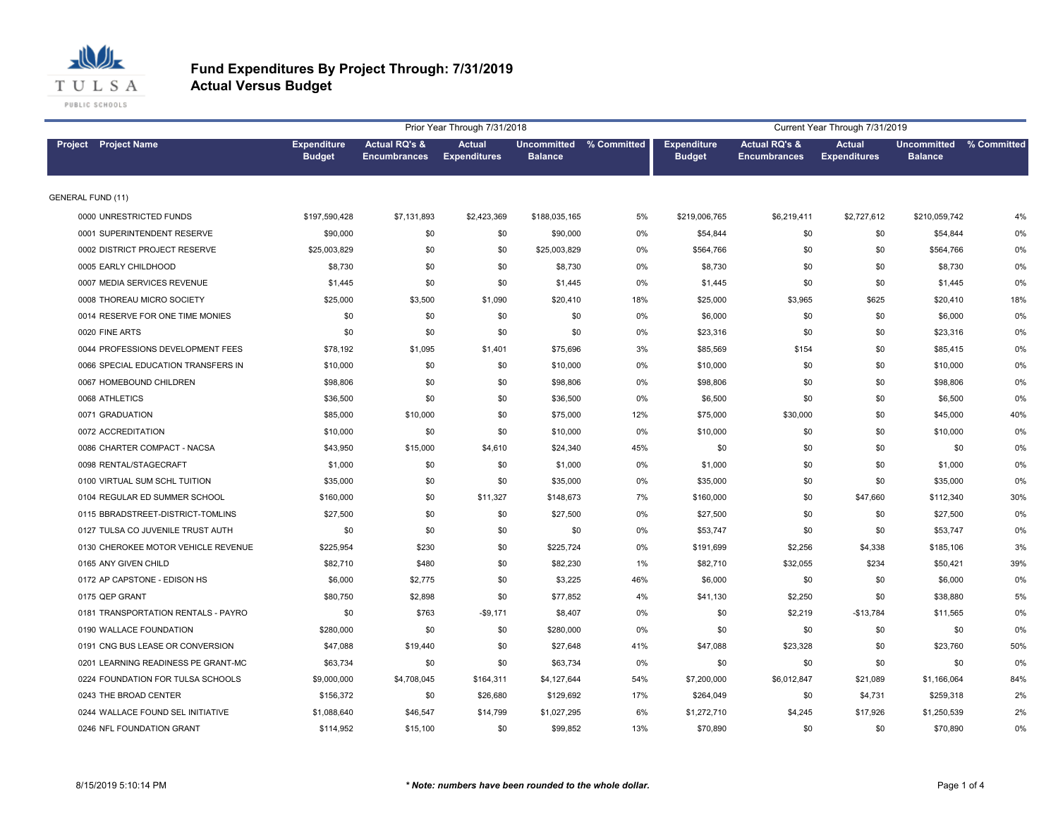

|                                     |                                     |                                                 | Prior Year Through 7/31/2018         |                                           |       |                                     |                                                 | Current Year Through 7/31/2019       |                                      |             |
|-------------------------------------|-------------------------------------|-------------------------------------------------|--------------------------------------|-------------------------------------------|-------|-------------------------------------|-------------------------------------------------|--------------------------------------|--------------------------------------|-------------|
| <b>Project</b> Project Name         | <b>Expenditure</b><br><b>Budget</b> | <b>Actual RQ's &amp;</b><br><b>Encumbrances</b> | <b>Actual</b><br><b>Expenditures</b> | Uncommitted % Committed<br><b>Balance</b> |       | <b>Expenditure</b><br><b>Budget</b> | <b>Actual RQ's &amp;</b><br><b>Encumbrances</b> | <b>Actual</b><br><b>Expenditures</b> | <b>Uncommitted</b><br><b>Balance</b> | % Committed |
| <b>GENERAL FUND (11)</b>            |                                     |                                                 |                                      |                                           |       |                                     |                                                 |                                      |                                      |             |
| 0000 UNRESTRICTED FUNDS             | \$197,590,428                       | \$7,131,893                                     | \$2,423,369                          | \$188,035,165                             | 5%    | \$219,006,765                       | \$6,219,411                                     | \$2,727,612                          | \$210,059,742                        | 4%          |
| 0001 SUPERINTENDENT RESERVE         | \$90,000                            | \$0                                             | \$0                                  | \$90,000                                  | 0%    | \$54,844                            | \$0                                             | \$0                                  | \$54,844                             | 0%          |
| 0002 DISTRICT PROJECT RESERVE       | \$25,003,829                        | \$0                                             | \$0                                  | \$25,003,829                              | 0%    | \$564,766                           | \$0                                             | \$0                                  | \$564,766                            | 0%          |
| 0005 EARLY CHILDHOOD                | \$8,730                             | \$0                                             | \$0                                  | \$8,730                                   | 0%    | \$8,730                             | \$0                                             | \$0                                  | \$8,730                              | 0%          |
| 0007 MEDIA SERVICES REVENUE         | \$1,445                             | \$0                                             | \$0                                  | \$1,445                                   | 0%    | \$1,445                             | \$0                                             | \$0                                  | \$1,445                              | 0%          |
| 0008 THOREAU MICRO SOCIETY          | \$25,000                            | \$3,500                                         | \$1,090                              | \$20,410                                  | 18%   | \$25,000                            | \$3,965                                         | \$625                                | \$20,410                             | 18%         |
| 0014 RESERVE FOR ONE TIME MONIES    | \$0                                 | \$0                                             | \$0                                  | \$0                                       | 0%    | \$6,000                             | \$0                                             | \$0                                  | \$6,000                              | 0%          |
| 0020 FINE ARTS                      | \$0                                 | \$0                                             | \$0                                  | \$0                                       | 0%    | \$23,316                            | \$0                                             | \$0                                  | \$23,316                             | 0%          |
| 0044 PROFESSIONS DEVELOPMENT FEES   | \$78,192                            | \$1,095                                         | \$1,401                              | \$75,696                                  | 3%    | \$85,569                            | \$154                                           | \$0                                  | \$85,415                             | 0%          |
| 0066 SPECIAL EDUCATION TRANSFERS IN | \$10,000                            | \$0                                             | \$0                                  | \$10,000                                  | 0%    | \$10,000                            | \$0                                             | \$0                                  | \$10,000                             | 0%          |
| 0067 HOMEBOUND CHILDREN             | \$98,806                            | \$0                                             | \$0                                  | \$98,806                                  | 0%    | \$98,806                            | \$0                                             | \$0                                  | \$98,806                             | 0%          |
| 0068 ATHLETICS                      | \$36,500                            | \$0                                             | \$0                                  | \$36,500                                  | 0%    | \$6,500                             | \$0                                             | \$0                                  | \$6,500                              | 0%          |
| 0071 GRADUATION                     | \$85,000                            | \$10,000                                        | \$0                                  | \$75,000                                  | 12%   | \$75,000                            | \$30,000                                        | \$0                                  | \$45,000                             | 40%         |
| 0072 ACCREDITATION                  | \$10,000                            | \$0                                             | \$0                                  | \$10,000                                  | 0%    | \$10,000                            | \$0                                             | \$0                                  | \$10,000                             | 0%          |
| 0086 CHARTER COMPACT - NACSA        | \$43,950                            | \$15,000                                        | \$4,610                              | \$24,340                                  | 45%   | \$0                                 | \$0                                             | \$0                                  | \$0                                  | 0%          |
| 0098 RENTAL/STAGECRAFT              | \$1,000                             | \$0                                             | \$0                                  | \$1,000                                   | 0%    | \$1,000                             | \$0                                             | \$0                                  | \$1,000                              | 0%          |
| 0100 VIRTUAL SUM SCHL TUITION       | \$35,000                            | \$0                                             | \$0                                  | \$35,000                                  | 0%    | \$35,000                            | \$0                                             | \$0                                  | \$35,000                             | 0%          |
| 0104 REGULAR ED SUMMER SCHOOL       | \$160,000                           | \$0                                             | \$11,327                             | \$148,673                                 | 7%    | \$160,000                           | \$0                                             | \$47,660                             | \$112,340                            | 30%         |
| 0115 BBRADSTREET-DISTRICT-TOMLINS   | \$27,500                            | \$0                                             | \$0                                  | \$27,500                                  | 0%    | \$27,500                            | \$0                                             | \$0                                  | \$27,500                             | 0%          |
| 0127 TULSA CO JUVENILE TRUST AUTH   | \$0                                 | \$0                                             | \$0                                  | \$0                                       | 0%    | \$53,747                            | \$0                                             | \$0                                  | \$53,747                             | 0%          |
| 0130 CHEROKEE MOTOR VEHICLE REVENUE | \$225,954                           | \$230                                           | \$0                                  | \$225,724                                 | 0%    | \$191,699                           | \$2,256                                         | \$4,338                              | \$185,106                            | 3%          |
| 0165 ANY GIVEN CHILD                | \$82,710                            | \$480                                           | \$0                                  | \$82,230                                  | $1\%$ | \$82,710                            | \$32,055                                        | \$234                                | \$50,421                             | 39%         |
| 0172 AP CAPSTONE - EDISON HS        | \$6,000                             | \$2,775                                         | \$0                                  | \$3,225                                   | 46%   | \$6,000                             | \$0                                             | \$0                                  | \$6,000                              | 0%          |
| 0175 QEP GRANT                      | \$80,750                            | \$2,898                                         | \$0                                  | \$77,852                                  | 4%    | \$41,130                            | \$2,250                                         | \$0                                  | \$38,880                             | 5%          |
| 0181 TRANSPORTATION RENTALS - PAYRO | \$0                                 | \$763                                           | $-$9,171$                            | \$8,407                                   | 0%    | \$0                                 | \$2,219                                         | $-$13,784$                           | \$11,565                             | 0%          |
| 0190 WALLACE FOUNDATION             | \$280,000                           | \$0                                             | \$0                                  | \$280,000                                 | 0%    | \$0                                 | \$0                                             | \$0                                  | \$0                                  | 0%          |
| 0191 CNG BUS LEASE OR CONVERSION    | \$47,088                            | \$19,440                                        | \$0                                  | \$27,648                                  | 41%   | \$47,088                            | \$23,328                                        | \$0                                  | \$23,760                             | 50%         |
| 0201 LEARNING READINESS PE GRANT-MC | \$63,734                            | \$0                                             | \$0                                  | \$63,734                                  | 0%    | \$0                                 | \$0                                             | \$0                                  | \$0                                  | 0%          |
| 0224 FOUNDATION FOR TULSA SCHOOLS   | \$9,000,000                         | \$4,708,045                                     | \$164,311                            | \$4,127,644                               | 54%   | \$7,200,000                         | \$6,012,847                                     | \$21,089                             | \$1,166,064                          | 84%         |
| 0243 THE BROAD CENTER               | \$156,372                           | \$0                                             | \$26,680                             | \$129,692                                 | 17%   | \$264,049                           | \$0                                             | \$4,731                              | \$259,318                            | 2%          |
| 0244 WALLACE FOUND SEL INITIATIVE   | \$1,088,640                         | \$46,547                                        | \$14,799                             | \$1,027,295                               | 6%    | \$1,272,710                         | \$4,245                                         | \$17,926                             | \$1,250,539                          | 2%          |
| 0246 NFL FOUNDATION GRANT           | \$114,952                           | \$15,100                                        | \$0                                  | \$99,852                                  | 13%   | \$70,890                            | \$0                                             | \$0                                  | \$70,890                             | 0%          |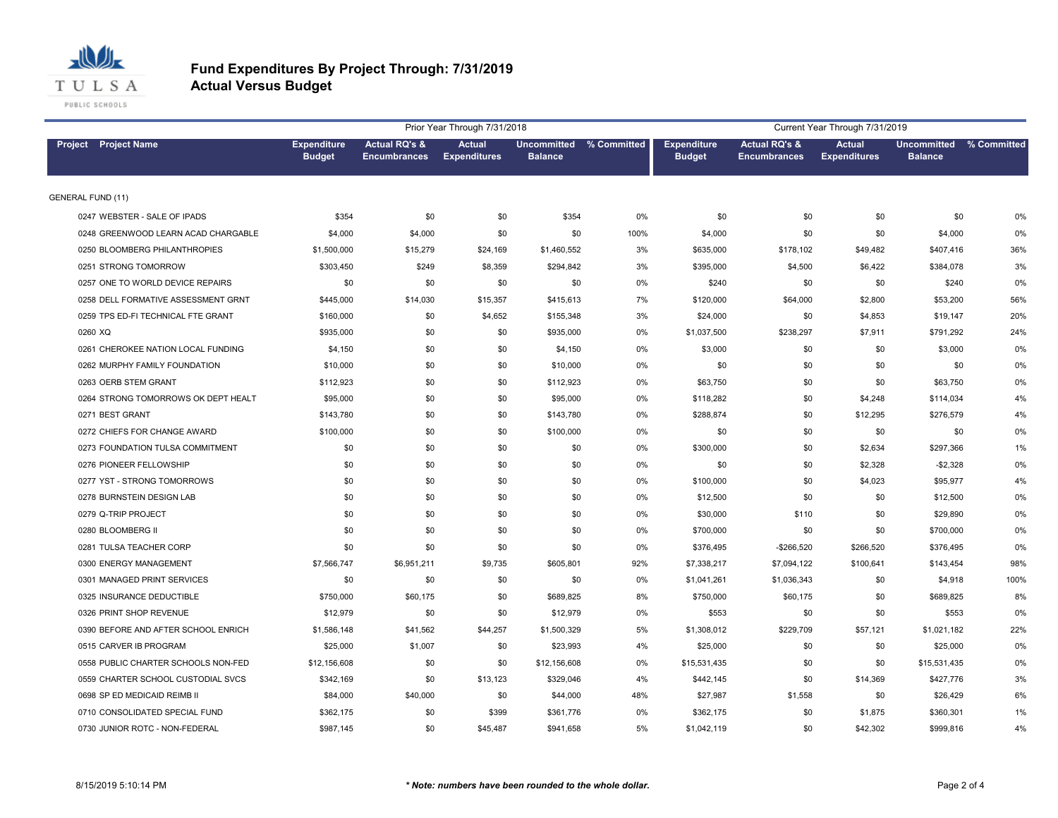

|                                     |                                     |                                                 | Prior Year Through 7/31/2018         |                |                         |                                     |                                                 | Current Year Through 7/31/2019       |                                           |      |
|-------------------------------------|-------------------------------------|-------------------------------------------------|--------------------------------------|----------------|-------------------------|-------------------------------------|-------------------------------------------------|--------------------------------------|-------------------------------------------|------|
| Project Project Name                | <b>Expenditure</b><br><b>Budget</b> | <b>Actual RQ's &amp;</b><br><b>Encumbrances</b> | <b>Actual</b><br><b>Expenditures</b> | <b>Balance</b> | Uncommitted % Committed | <b>Expenditure</b><br><b>Budget</b> | <b>Actual RQ's &amp;</b><br><b>Encumbrances</b> | <b>Actual</b><br><b>Expenditures</b> | Uncommitted % Committed<br><b>Balance</b> |      |
| <b>GENERAL FUND (11)</b>            |                                     |                                                 |                                      |                |                         |                                     |                                                 |                                      |                                           |      |
| 0247 WEBSTER - SALE OF IPADS        | \$354                               | \$0                                             | \$0                                  | \$354          | 0%                      | \$0                                 | \$0                                             | \$0                                  | \$0                                       | 0%   |
| 0248 GREENWOOD LEARN ACAD CHARGABLE | \$4,000                             | \$4,000                                         | \$0                                  | \$0            | 100%                    | \$4,000                             | \$0                                             | \$0                                  | \$4,000                                   | 0%   |
| 0250 BLOOMBERG PHILANTHROPIES       | \$1,500,000                         | \$15,279                                        | \$24,169                             | \$1,460,552    | 3%                      | \$635,000                           | \$178,102                                       | \$49,482                             | \$407,416                                 | 36%  |
| 0251 STRONG TOMORROW                | \$303,450                           | \$249                                           | \$8,359                              | \$294,842      | 3%                      | \$395,000                           | \$4,500                                         | \$6,422                              | \$384,078                                 | 3%   |
| 0257 ONE TO WORLD DEVICE REPAIRS    | \$0                                 | \$0                                             | \$0                                  | \$0            | 0%                      | \$240                               | \$0                                             | \$0                                  | \$240                                     | 0%   |
| 0258 DELL FORMATIVE ASSESSMENT GRNT | \$445,000                           | \$14,030                                        | \$15,357                             | \$415,613      | 7%                      | \$120,000                           | \$64,000                                        | \$2,800                              | \$53,200                                  | 56%  |
| 0259 TPS ED-FI TECHNICAL FTE GRANT  | \$160,000                           | \$0                                             | \$4,652                              | \$155,348      | 3%                      | \$24,000                            | \$0                                             | \$4,853                              | \$19,147                                  | 20%  |
| 0260 XQ                             | \$935,000                           | \$0                                             | \$0                                  | \$935,000      | 0%                      | \$1,037,500                         | \$238,297                                       | \$7,911                              | \$791,292                                 | 24%  |
| 0261 CHEROKEE NATION LOCAL FUNDING  | \$4,150                             | \$0                                             | \$0                                  | \$4,150        | 0%                      | \$3,000                             | \$0                                             | \$0                                  | \$3,000                                   | 0%   |
| 0262 MURPHY FAMILY FOUNDATION       | \$10,000                            | \$0                                             | \$0                                  | \$10,000       | 0%                      | \$0                                 | \$0                                             | \$0                                  | \$0                                       | 0%   |
| 0263 OERB STEM GRANT                | \$112,923                           | \$0                                             | \$0                                  | \$112,923      | 0%                      | \$63,750                            | \$0                                             | \$0                                  | \$63,750                                  | 0%   |
| 0264 STRONG TOMORROWS OK DEPT HEALT | \$95,000                            | \$0                                             | \$0                                  | \$95,000       | 0%                      | \$118,282                           | \$0                                             | \$4,248                              | \$114,034                                 | 4%   |
| 0271 BEST GRANT                     | \$143,780                           | \$0                                             | \$0                                  | \$143,780      | 0%                      | \$288,874                           | \$0                                             | \$12,295                             | \$276,579                                 | 4%   |
| 0272 CHIEFS FOR CHANGE AWARD        | \$100,000                           | \$0                                             | \$0                                  | \$100,000      | 0%                      | \$0                                 | \$0                                             | \$0                                  | \$0                                       | 0%   |
| 0273 FOUNDATION TULSA COMMITMENT    | \$0                                 | \$0                                             | \$0                                  | \$0            | 0%                      | \$300,000                           | \$0                                             | \$2,634                              | \$297,366                                 | 1%   |
| 0276 PIONEER FELLOWSHIP             | \$0                                 | \$0                                             | \$0                                  | \$0            | 0%                      | \$0                                 | \$0                                             | \$2,328                              | $-$2,328$                                 | 0%   |
| 0277 YST - STRONG TOMORROWS         | \$0                                 | \$0                                             | \$0                                  | \$0            | 0%                      | \$100,000                           | \$0                                             | \$4,023                              | \$95,977                                  | 4%   |
| 0278 BURNSTEIN DESIGN LAB           | \$0                                 | \$0                                             | \$0                                  | \$0            | 0%                      | \$12,500                            | \$0                                             | \$0                                  | \$12,500                                  | 0%   |
| 0279 Q-TRIP PROJECT                 | \$0                                 | \$0                                             | \$0                                  | \$0            | 0%                      | \$30,000                            | \$110                                           | \$0                                  | \$29,890                                  | 0%   |
| 0280 BLOOMBERG II                   | \$0                                 | \$0                                             | \$0                                  | \$0            | 0%                      | \$700,000                           | \$0                                             | \$0                                  | \$700,000                                 | 0%   |
| 0281 TULSA TEACHER CORP             | \$0                                 | \$0                                             | \$0                                  | \$0            | 0%                      | \$376,495                           | $-$266,520$                                     | \$266,520                            | \$376,495                                 | 0%   |
| 0300 ENERGY MANAGEMENT              | \$7,566,747                         | \$6,951,211                                     | \$9,735                              | \$605,801      | 92%                     | \$7,338,217                         | \$7,094,122                                     | \$100,641                            | \$143,454                                 | 98%  |
| 0301 MANAGED PRINT SERVICES         | \$0                                 | \$0                                             | \$0                                  | \$0            | 0%                      | \$1,041,261                         | \$1,036,343                                     | \$0                                  | \$4,918                                   | 100% |
| 0325 INSURANCE DEDUCTIBLE           | \$750,000                           | \$60,175                                        | \$0                                  | \$689,825      | 8%                      | \$750,000                           | \$60,175                                        | \$0                                  | \$689,825                                 | 8%   |
| 0326 PRINT SHOP REVENUE             | \$12,979                            | \$0                                             | \$0                                  | \$12,979       | 0%                      | \$553                               | \$0                                             | \$0                                  | \$553                                     | 0%   |
| 0390 BEFORE AND AFTER SCHOOL ENRICH | \$1,586,148                         | \$41,562                                        | \$44,257                             | \$1,500,329    | 5%                      | \$1,308,012                         | \$229,709                                       | \$57,121                             | \$1,021,182                               | 22%  |
| 0515 CARVER IB PROGRAM              | \$25,000                            | \$1,007                                         | \$0                                  | \$23,993       | 4%                      | \$25,000                            | \$0                                             | \$0                                  | \$25,000                                  | 0%   |
| 0558 PUBLIC CHARTER SCHOOLS NON-FED | \$12,156,608                        | \$0                                             | \$0                                  | \$12,156,608   | 0%                      | \$15,531,435                        | \$0                                             | \$0                                  | \$15,531,435                              | 0%   |
| 0559 CHARTER SCHOOL CUSTODIAL SVCS  | \$342,169                           | \$0                                             | \$13,123                             | \$329,046      | 4%                      | \$442,145                           | \$0                                             | \$14,369                             | \$427,776                                 | 3%   |
| 0698 SP ED MEDICAID REIMB II        | \$84,000                            | \$40,000                                        | \$0                                  | \$44,000       | 48%                     | \$27,987                            | \$1,558                                         | \$0                                  | \$26,429                                  | 6%   |
| 0710 CONSOLIDATED SPECIAL FUND      | \$362,175                           | \$0                                             | \$399                                | \$361,776      | 0%                      | \$362,175                           | \$0                                             | \$1,875                              | \$360,301                                 | 1%   |
| 0730 JUNIOR ROTC - NON-FEDERAL      | \$987,145                           | \$0                                             | \$45,487                             | \$941.658      | 5%                      | \$1,042,119                         | \$0                                             | \$42,302                             | \$999,816                                 | 4%   |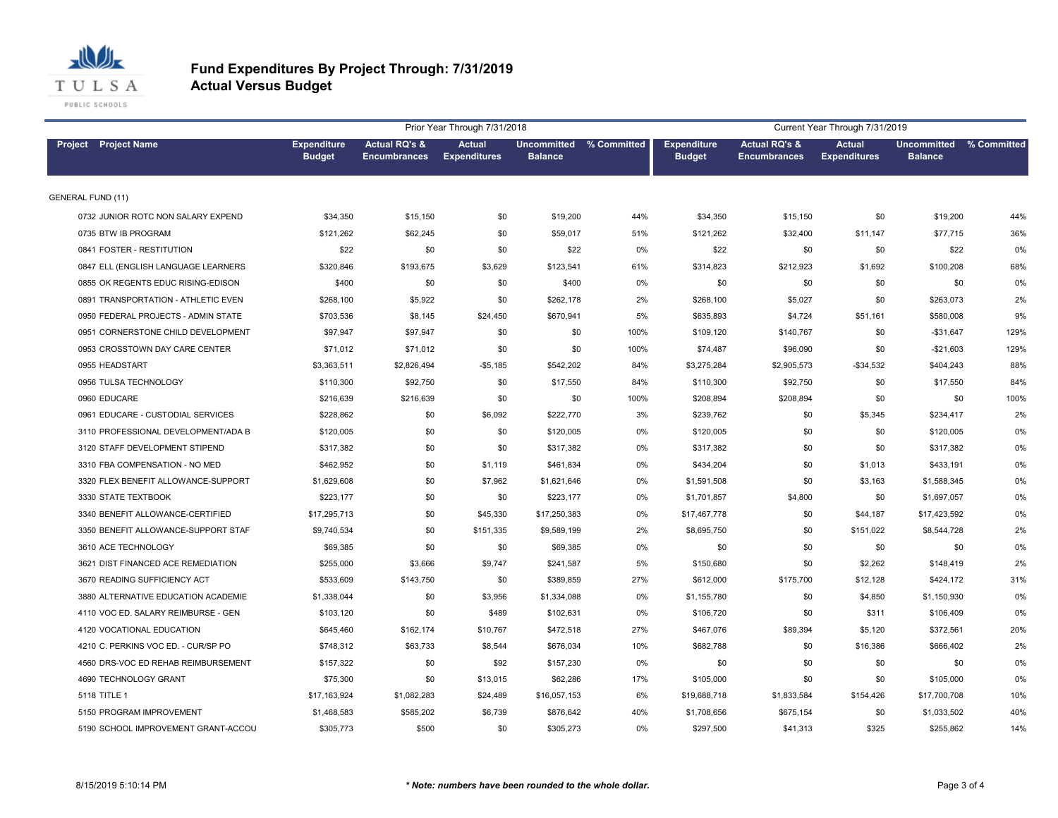

|                                     |                                     |                                                 | Prior Year Through 7/31/2018         |                |                         |                                     |                                                 | Current Year Through 7/31/2019       |                                           |      |
|-------------------------------------|-------------------------------------|-------------------------------------------------|--------------------------------------|----------------|-------------------------|-------------------------------------|-------------------------------------------------|--------------------------------------|-------------------------------------------|------|
| Project Project Name                | <b>Expenditure</b><br><b>Budget</b> | <b>Actual RQ's &amp;</b><br><b>Encumbrances</b> | <b>Actual</b><br><b>Expenditures</b> | <b>Balance</b> | Uncommitted % Committed | <b>Expenditure</b><br><b>Budget</b> | <b>Actual RQ's &amp;</b><br><b>Encumbrances</b> | <b>Actual</b><br><b>Expenditures</b> | Uncommitted % Committed<br><b>Balance</b> |      |
| <b>GENERAL FUND (11)</b>            |                                     |                                                 |                                      |                |                         |                                     |                                                 |                                      |                                           |      |
| 0732 JUNIOR ROTC NON SALARY EXPEND  | \$34,350                            | \$15,150                                        | \$0                                  | \$19,200       | 44%                     | \$34,350                            | \$15,150                                        | \$0                                  | \$19,200                                  | 44%  |
| 0735 BTW IB PROGRAM                 | \$121,262                           | \$62,245                                        | \$0                                  | \$59,017       | 51%                     | \$121,262                           | \$32,400                                        | \$11,147                             | \$77,715                                  | 36%  |
| 0841 FOSTER - RESTITUTION           | \$22                                | \$0                                             | \$0                                  | \$22           | 0%                      | \$22                                | \$0                                             | \$0                                  | \$22                                      | 0%   |
| 0847 ELL (ENGLISH LANGUAGE LEARNERS | \$320,846                           | \$193,675                                       | \$3,629                              | \$123,541      | 61%                     | \$314,823                           | \$212,923                                       | \$1,692                              | \$100,208                                 | 68%  |
| 0855 OK REGENTS EDUC RISING-EDISON  | \$400                               | \$0                                             | \$0                                  | \$400          | 0%                      | \$0                                 | \$0                                             | \$0                                  | \$0                                       | 0%   |
| 0891 TRANSPORTATION - ATHLETIC EVEN | \$268,100                           | \$5,922                                         | \$0                                  | \$262,178      | 2%                      | \$268,100                           | \$5,027                                         | \$0                                  | \$263,073                                 | 2%   |
| 0950 FEDERAL PROJECTS - ADMIN STATE | \$703,536                           | \$8,145                                         | \$24,450                             | \$670,941      | 5%                      | \$635,893                           | \$4,724                                         | \$51,161                             | \$580,008                                 | 9%   |
| 0951 CORNERSTONE CHILD DEVELOPMENT  | \$97,947                            | \$97,947                                        | \$0                                  | \$0            | 100%                    | \$109,120                           | \$140,767                                       | \$0                                  | $-$31,647$                                | 129% |
| 0953 CROSSTOWN DAY CARE CENTER      | \$71,012                            | \$71,012                                        | \$0                                  | \$0            | 100%                    | \$74,487                            | \$96,090                                        | \$0                                  | $-$21,603$                                | 129% |
| 0955 HEADSTART                      | \$3,363,511                         | \$2,826,494                                     | $-$5,185$                            | \$542,202      | 84%                     | \$3,275,284                         | \$2,905,573                                     | $-$34,532$                           | \$404,243                                 | 88%  |
| 0956 TULSA TECHNOLOGY               | \$110,300                           | \$92,750                                        | \$0                                  | \$17,550       | 84%                     | \$110,300                           | \$92,750                                        | \$0                                  | \$17,550                                  | 84%  |
| 0960 EDUCARE                        | \$216,639                           | \$216,639                                       | \$0                                  | \$0            | 100%                    | \$208,894                           | \$208,894                                       | \$0                                  | \$0                                       | 100% |
| 0961 EDUCARE - CUSTODIAL SERVICES   | \$228,862                           | \$0                                             | \$6,092                              | \$222,770      | 3%                      | \$239,762                           | \$0                                             | \$5,345                              | \$234,417                                 | 2%   |
| 3110 PROFESSIONAL DEVELOPMENT/ADA B | \$120,005                           | \$0                                             | \$0                                  | \$120,005      | 0%                      | \$120,005                           | \$0                                             | \$0                                  | \$120,005                                 | 0%   |
| 3120 STAFF DEVELOPMENT STIPEND      | \$317,382                           | \$0                                             | \$0                                  | \$317,382      | 0%                      | \$317,382                           | \$0                                             | \$0                                  | \$317,382                                 | 0%   |
| 3310 FBA COMPENSATION - NO MED      | \$462,952                           | \$0                                             | \$1,119                              | \$461,834      | 0%                      | \$434,204                           | \$0                                             | \$1,013                              | \$433,191                                 | 0%   |
| 3320 FLEX BENEFIT ALLOWANCE-SUPPORT | \$1,629,608                         | \$0                                             | \$7,962                              | \$1,621,646    | 0%                      | \$1,591,508                         | \$0                                             | \$3,163                              | \$1,588,345                               | 0%   |
| 3330 STATE TEXTBOOK                 | \$223,177                           | \$0                                             | \$0                                  | \$223,177      | 0%                      | \$1,701,857                         | \$4,800                                         | \$0                                  | \$1,697,057                               | 0%   |
| 3340 BENEFIT ALLOWANCE-CERTIFIED    | \$17,295,713                        | \$0                                             | \$45,330                             | \$17,250,383   | 0%                      | \$17,467,778                        | \$0                                             | \$44,187                             | \$17,423,592                              | 0%   |
| 3350 BENEFIT ALLOWANCE-SUPPORT STAF | \$9,740,534                         | \$0                                             | \$151,335                            | \$9,589,199    | 2%                      | \$8,695,750                         | \$0                                             | \$151,022                            | \$8,544,728                               | 2%   |
| 3610 ACE TECHNOLOGY                 | \$69,385                            | \$0                                             | \$0                                  | \$69,385       | 0%                      | \$0                                 | \$0                                             | \$0                                  | \$0                                       | 0%   |
| 3621 DIST FINANCED ACE REMEDIATION  | \$255,000                           | \$3,666                                         | \$9,747                              | \$241,587      | 5%                      | \$150,680                           | \$0                                             | \$2,262                              | \$148,419                                 | 2%   |
| 3670 READING SUFFICIENCY ACT        | \$533,609                           | \$143,750                                       | \$0                                  | \$389,859      | 27%                     | \$612,000                           | \$175,700                                       | \$12,128                             | \$424,172                                 | 31%  |
| 3880 ALTERNATIVE EDUCATION ACADEMIE | \$1,338,044                         | \$0                                             | \$3,956                              | \$1,334,088    | 0%                      | \$1,155,780                         | \$0                                             | \$4,850                              | \$1,150,930                               | 0%   |
| 4110 VOC ED. SALARY REIMBURSE - GEN | \$103,120                           | \$0                                             | \$489                                | \$102,631      | 0%                      | \$106,720                           | \$0                                             | \$311                                | \$106,409                                 | 0%   |
| 4120 VOCATIONAL EDUCATION           | \$645,460                           | \$162,174                                       | \$10,767                             | \$472,518      | 27%                     | \$467,076                           | \$89,394                                        | \$5,120                              | \$372,561                                 | 20%  |
| 4210 C. PERKINS VOC ED. - CUR/SP PO | \$748,312                           | \$63,733                                        | \$8,544                              | \$676,034      | 10%                     | \$682,788                           | \$0                                             | \$16,386                             | \$666,402                                 | 2%   |
| 4560 DRS-VOC ED REHAB REIMBURSEMENT | \$157,322                           | \$0                                             | \$92                                 | \$157,230      | 0%                      | \$0                                 | \$0                                             | \$0                                  | \$0                                       | 0%   |
| 4690 TECHNOLOGY GRANT               | \$75,300                            | \$0                                             | \$13,015                             | \$62,286       | 17%                     | \$105,000                           | \$0                                             | \$0                                  | \$105,000                                 | 0%   |
| 5118 TITLE 1                        | \$17,163,924                        | \$1,082,283                                     | \$24,489                             | \$16,057,153   | 6%                      | \$19,688,718                        | \$1,833,584                                     | \$154,426                            | \$17,700,708                              | 10%  |
| 5150 PROGRAM IMPROVEMENT            | \$1,468,583                         | \$585,202                                       | \$6,739                              | \$876,642      | 40%                     | \$1,708,656                         | \$675,154                                       | \$0                                  | \$1,033,502                               | 40%  |
| 5190 SCHOOL IMPROVEMENT GRANT-ACCOU | \$305,773                           | \$500                                           | \$0                                  | \$305.273      | 0%                      | \$297,500                           | \$41,313                                        | \$325                                | \$255,862                                 | 14%  |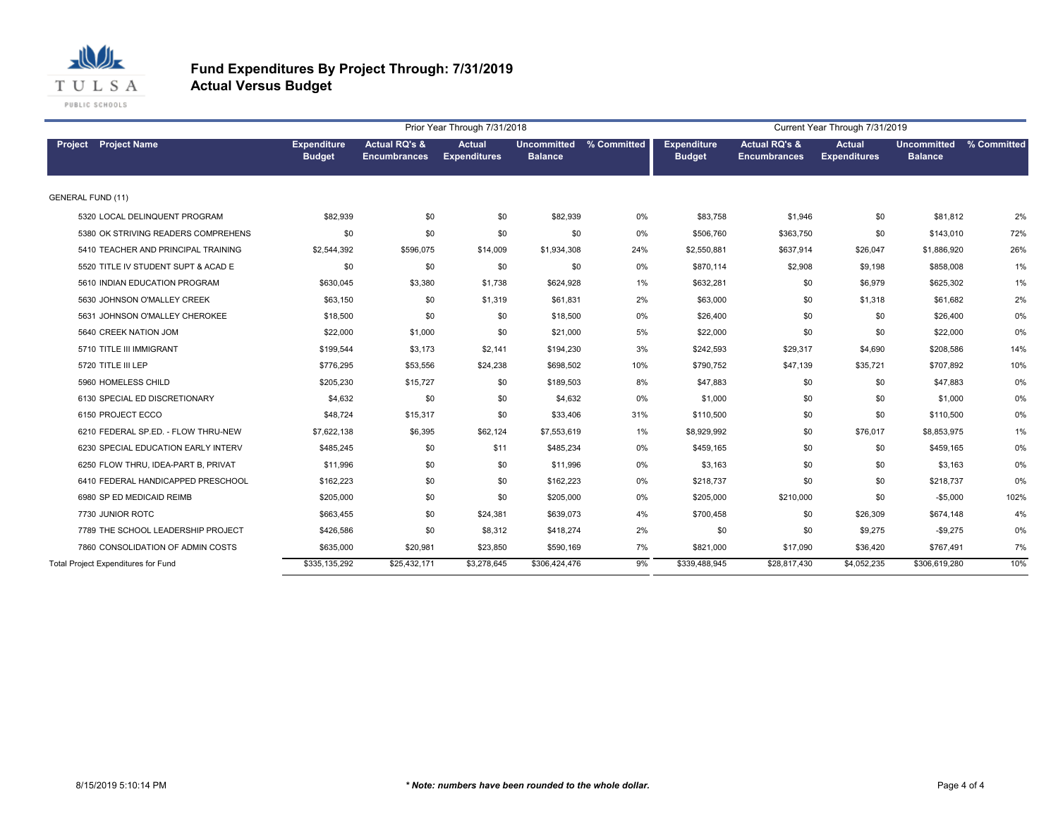

|                                     |                                     |                                     |                                                 | Prior Year Through 7/31/2018         |                                      |             |                                     |                                                 | Current Year Through 7/31/2019       |                                      |             |
|-------------------------------------|-------------------------------------|-------------------------------------|-------------------------------------------------|--------------------------------------|--------------------------------------|-------------|-------------------------------------|-------------------------------------------------|--------------------------------------|--------------------------------------|-------------|
| <b>Project</b> Project Name         |                                     | <b>Expenditure</b><br><b>Budget</b> | <b>Actual RQ's &amp;</b><br><b>Encumbrances</b> | <b>Actual</b><br><b>Expenditures</b> | <b>Uncommitted</b><br><b>Balance</b> | % Committed | <b>Expenditure</b><br><b>Budget</b> | <b>Actual RQ's &amp;</b><br><b>Encumbrances</b> | <b>Actual</b><br><b>Expenditures</b> | <b>Uncommitted</b><br><b>Balance</b> | % Committed |
| <b>GENERAL FUND (11)</b>            |                                     |                                     |                                                 |                                      |                                      |             |                                     |                                                 |                                      |                                      |             |
|                                     | 5320 LOCAL DELINQUENT PROGRAM       | \$82,939                            | \$0                                             | \$0                                  | \$82,939                             | 0%          | \$83,758                            | \$1,946                                         | \$0                                  | \$81,812                             | 2%          |
|                                     | 5380 OK STRIVING READERS COMPREHENS | \$0                                 | \$0                                             | \$0                                  | \$0                                  | 0%          | \$506.760                           | \$363,750                                       | \$0                                  | \$143,010                            | 72%         |
|                                     | 5410 TEACHER AND PRINCIPAL TRAINING | \$2,544,392                         | \$596,075                                       | \$14,009                             | \$1,934,308                          | 24%         | \$2,550,881                         | \$637,914                                       | \$26,047                             | \$1,886,920                          | 26%         |
|                                     | 5520 TITLE IV STUDENT SUPT & ACAD E | \$0                                 | \$0                                             | \$0                                  | \$0                                  | 0%          | \$870,114                           | \$2,908                                         | \$9,198                              | \$858,008                            | 1%          |
|                                     | 5610 INDIAN EDUCATION PROGRAM       | \$630,045                           | \$3,380                                         | \$1,738                              | \$624,928                            | 1%          | \$632,281                           | \$0                                             | \$6,979                              | \$625,302                            | 1%          |
|                                     | 5630 JOHNSON O'MALLEY CREEK         | \$63,150                            | \$0                                             | \$1,319                              | \$61,831                             | 2%          | \$63,000                            | \$0                                             | \$1,318                              | \$61,682                             | 2%          |
|                                     | 5631 JOHNSON O'MALLEY CHEROKEE      | \$18,500                            | \$0                                             | \$0                                  | \$18,500                             | 0%          | \$26,400                            | \$0                                             | \$0                                  | \$26,400                             | 0%          |
|                                     | 5640 CREEK NATION JOM               | \$22,000                            | \$1,000                                         | \$0                                  | \$21,000                             | 5%          | \$22,000                            | \$0                                             | \$0                                  | \$22,000                             | 0%          |
|                                     | 5710 TITLE III IMMIGRANT            | \$199,544                           | \$3,173                                         | \$2,141                              | \$194,230                            | 3%          | \$242,593                           | \$29,317                                        | \$4,690                              | \$208,586                            | 14%         |
| 5720 TITLE III LEP                  |                                     | \$776,295                           | \$53,556                                        | \$24,238                             | \$698,502                            | 10%         | \$790,752                           | \$47,139                                        | \$35,721                             | \$707,892                            | 10%         |
| 5960 HOMELESS CHILD                 |                                     | \$205,230                           | \$15,727                                        | \$0                                  | \$189,503                            | 8%          | \$47,883                            | \$0                                             | \$0                                  | \$47,883                             | 0%          |
|                                     | 6130 SPECIAL ED DISCRETIONARY       | \$4,632                             | \$0                                             | \$0                                  | \$4,632                              | 0%          | \$1,000                             | \$0                                             | \$0                                  | \$1,000                              | 0%          |
| 6150 PROJECT ECCO                   |                                     | \$48,724                            | \$15,317                                        | \$0                                  | \$33,406                             | 31%         | \$110,500                           | \$0                                             | \$0                                  | \$110,500                            | 0%          |
|                                     | 6210 FEDERAL SP.ED. - FLOW THRU-NEW | \$7,622,138                         | \$6,395                                         | \$62,124                             | \$7,553,619                          | 1%          | \$8,929,992                         | \$0                                             | \$76,017                             | \$8,853,975                          | 1%          |
|                                     | 6230 SPECIAL EDUCATION EARLY INTERV | \$485,245                           | \$0                                             | \$11                                 | \$485,234                            | 0%          | \$459,165                           | \$0                                             | \$0                                  | \$459,165                            | 0%          |
|                                     | 6250 FLOW THRU, IDEA-PART B, PRIVAT | \$11,996                            | \$0                                             | \$0                                  | \$11,996                             | 0%          | \$3,163                             | \$0                                             | \$0                                  | \$3,163                              | 0%          |
|                                     | 6410 FEDERAL HANDICAPPED PRESCHOOL  | \$162,223                           | \$0                                             | \$0                                  | \$162,223                            | 0%          | \$218,737                           | \$0                                             | \$0                                  | \$218,737                            | 0%          |
|                                     | 6980 SP ED MEDICAID REIMB           | \$205,000                           | \$0                                             | \$0                                  | \$205,000                            | 0%          | \$205,000                           | \$210,000                                       | \$0                                  | $-$5,000$                            | 102%        |
| 7730 JUNIOR ROTC                    |                                     | \$663,455                           | \$0                                             | \$24,381                             | \$639,073                            | 4%          | \$700,458                           | \$0                                             | \$26,309                             | \$674,148                            | 4%          |
|                                     | 7789 THE SCHOOL LEADERSHIP PROJECT  | \$426,586                           | \$0                                             | \$8,312                              | \$418,274                            | 2%          | \$0                                 | \$0                                             | \$9,275                              | $-$9,275$                            | 0%          |
|                                     | 7860 CONSOLIDATION OF ADMIN COSTS   | \$635,000                           | \$20,981                                        | \$23,850                             | \$590,169                            | 7%          | \$821,000                           | \$17,090                                        | \$36,420                             | \$767,491                            | 7%          |
| Total Project Expenditures for Fund |                                     | \$335,135,292                       | \$25,432,171                                    | \$3,278,645                          | \$306,424,476                        | 9%          | \$339,488,945                       | \$28,817,430                                    | \$4,052,235                          | \$306,619,280                        | 10%         |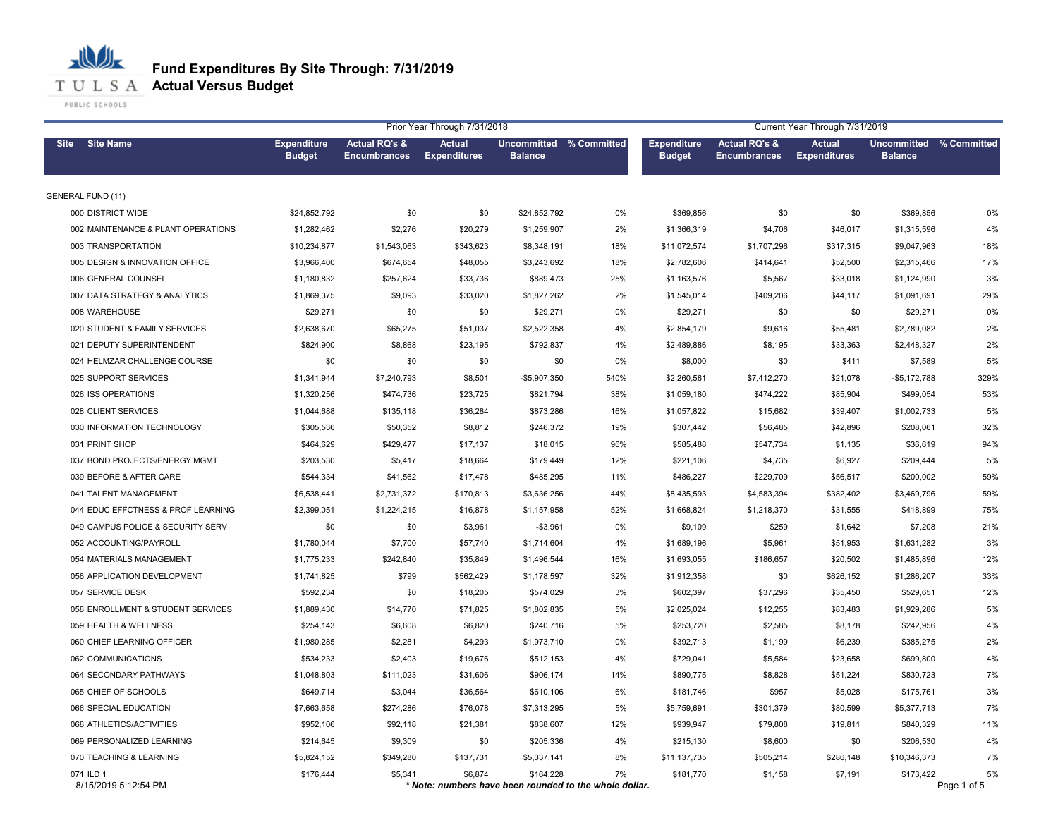|                                    | Prior Year Through 7/31/2018<br>Current Year Through 7/31/2019 |                                                 |                                                                   |                                           |       |                                     |                                                 |                                      |                               |                   |
|------------------------------------|----------------------------------------------------------------|-------------------------------------------------|-------------------------------------------------------------------|-------------------------------------------|-------|-------------------------------------|-------------------------------------------------|--------------------------------------|-------------------------------|-------------------|
| <b>Site Name</b><br><b>Site</b>    | <b>Expenditure</b><br><b>Budget</b>                            | <b>Actual RQ's &amp;</b><br><b>Encumbrances</b> | Actual<br><b>Expenditures</b>                                     | Uncommitted % Committed<br><b>Balance</b> |       | <b>Expenditure</b><br><b>Budget</b> | <b>Actual RQ's &amp;</b><br><b>Encumbrances</b> | <b>Actual</b><br><b>Expenditures</b> | Uncommitted<br><b>Balance</b> | % Committed       |
| <b>GENERAL FUND (11)</b>           |                                                                |                                                 |                                                                   |                                           |       |                                     |                                                 |                                      |                               |                   |
| 000 DISTRICT WIDE                  | \$24,852,792                                                   | \$0                                             | \$0                                                               | \$24,852,792                              | 0%    | \$369,856                           | \$0                                             | \$0                                  | \$369,856                     | 0%                |
| 002 MAINTENANCE & PLANT OPERATIONS | \$1,282,462                                                    | \$2,276                                         | \$20,279                                                          | \$1,259,907                               | 2%    | \$1,366,319                         | \$4,706                                         | \$46,017                             | \$1,315,596                   | 4%                |
| 003 TRANSPORTATION                 | \$10,234,877                                                   | \$1,543,063                                     | \$343,623                                                         | \$8,348,191                               | 18%   | \$11,072,574                        | \$1,707,296                                     | \$317,315                            | \$9,047,963                   | 18%               |
| 005 DESIGN & INNOVATION OFFICE     | \$3,966,400                                                    | \$674,654                                       | \$48,055                                                          | \$3,243,692                               | 18%   | \$2,782,606                         | \$414,641                                       | \$52,500                             | \$2,315,466                   | 17%               |
| 006 GENERAL COUNSEL                | \$1,180,832                                                    | \$257,624                                       | \$33,736                                                          | \$889,473                                 | 25%   | \$1,163,576                         | \$5,567                                         | \$33,018                             | \$1,124,990                   | 3%                |
| 007 DATA STRATEGY & ANALYTICS      | \$1,869,375                                                    | \$9,093                                         | \$33,020                                                          | \$1,827,262                               | 2%    | \$1,545,014                         | \$409,206                                       | \$44,117                             | \$1,091,691                   | 29%               |
| 008 WAREHOUSE                      | \$29,271                                                       | \$0                                             | \$0                                                               | \$29,271                                  | 0%    | \$29,271                            | \$0                                             | \$0                                  | \$29,271                      | 0%                |
| 020 STUDENT & FAMILY SERVICES      | \$2,638,670                                                    | \$65,275                                        | \$51,037                                                          | \$2,522,358                               | 4%    | \$2,854,179                         | \$9,616                                         | \$55,481                             | \$2,789,082                   | 2%                |
| 021 DEPUTY SUPERINTENDENT          | \$824,900                                                      | \$8,868                                         | \$23,195                                                          | \$792,837                                 | 4%    | \$2,489,886                         | \$8,195                                         | \$33,363                             | \$2,448,327                   | 2%                |
| 024 HELMZAR CHALLENGE COURSE       | \$0                                                            | \$0                                             | \$0                                                               | \$0                                       | 0%    | \$8,000                             | \$0                                             | \$411                                | \$7,589                       | 5%                |
| 025 SUPPORT SERVICES               | \$1,341,944                                                    | \$7,240,793                                     | \$8,501                                                           | $-$5,907,350$                             | 540%  | \$2,260,561                         | \$7,412,270                                     | \$21,078                             | $-$5,172,788$                 | 329%              |
| 026 ISS OPERATIONS                 | \$1,320,256                                                    | \$474,736                                       | \$23,725                                                          | \$821,794                                 | 38%   | \$1,059,180                         | \$474,222                                       | \$85,904                             | \$499,054                     | 53%               |
| 028 CLIENT SERVICES                | \$1,044,688                                                    | \$135,118                                       | \$36,284                                                          | \$873,286                                 | 16%   | \$1,057,822                         | \$15,682                                        | \$39,407                             | \$1,002,733                   | 5%                |
| 030 INFORMATION TECHNOLOGY         | \$305,536                                                      | \$50,352                                        | \$8,812                                                           | \$246,372                                 | 19%   | \$307,442                           | \$56,485                                        | \$42,896                             | \$208,061                     | 32%               |
| 031 PRINT SHOP                     | \$464,629                                                      | \$429,477                                       | \$17,137                                                          | \$18,015                                  | 96%   | \$585,488                           | \$547,734                                       | \$1,135                              | \$36,619                      | 94%               |
| 037 BOND PROJECTS/ENERGY MGMT      | \$203,530                                                      | \$5,417                                         | \$18,664                                                          | \$179,449                                 | 12%   | \$221,106                           | \$4,735                                         | \$6,927                              | \$209,444                     | 5%                |
| 039 BEFORE & AFTER CARE            | \$544,334                                                      | \$41,562                                        | \$17,478                                                          | \$485,295                                 | 11%   | \$486,227                           | \$229,709                                       | \$56,517                             | \$200,002                     | 59%               |
| 041 TALENT MANAGEMENT              | \$6,538,441                                                    | \$2,731,372                                     | \$170,813                                                         | \$3,636,256                               | 44%   | \$8,435,593                         | \$4,583,394                                     | \$382,402                            | \$3,469,796                   | 59%               |
| 044 EDUC EFFCTNESS & PROF LEARNING | \$2,399,051                                                    | \$1,224,215                                     | \$16,878                                                          | \$1,157,958                               | 52%   | \$1,668,824                         | \$1,218,370                                     | \$31,555                             | \$418,899                     | 75%               |
| 049 CAMPUS POLICE & SECURITY SERV  | \$0                                                            | \$0                                             | \$3,961                                                           | $-$3,961$                                 | 0%    | \$9,109                             | \$259                                           | \$1,642                              | \$7,208                       | 21%               |
| 052 ACCOUNTING/PAYROLL             | \$1,780,044                                                    | \$7,700                                         | \$57,740                                                          | \$1,714,604                               | 4%    | \$1,689,196                         | \$5,961                                         | \$51,953                             | \$1,631,282                   | 3%                |
| 054 MATERIALS MANAGEMENT           | \$1,775,233                                                    | \$242,840                                       | \$35,849                                                          | \$1,496,544                               | 16%   | \$1,693,055                         | \$186,657                                       | \$20,502                             | \$1,485,896                   | 12%               |
| 056 APPLICATION DEVELOPMENT        | \$1,741,825                                                    | \$799                                           | \$562,429                                                         | \$1,178,597                               | 32%   | \$1,912,358                         | \$0                                             | \$626,152                            | \$1,286,207                   | 33%               |
| 057 SERVICE DESK                   | \$592,234                                                      | \$0                                             | \$18,205                                                          | \$574,029                                 | 3%    | \$602,397                           | \$37,296                                        | \$35,450                             | \$529.651                     | 12%               |
| 058 ENROLLMENT & STUDENT SERVICES  | \$1,889,430                                                    | \$14,770                                        | \$71,825                                                          | \$1,802,835                               | 5%    | \$2,025,024                         | \$12,255                                        | \$83,483                             | \$1,929,286                   | 5%                |
| 059 HEALTH & WELLNESS              | \$254,143                                                      | \$6,608                                         | \$6,820                                                           | \$240,716                                 | 5%    | \$253,720                           | \$2,585                                         | \$8,178                              | \$242,956                     | 4%                |
| 060 CHIEF LEARNING OFFICER         | \$1,980,285                                                    | \$2,281                                         | \$4,293                                                           | \$1,973,710                               | $0\%$ | \$392,713                           | \$1,199                                         | \$6,239                              | \$385,275                     | 2%                |
| 062 COMMUNICATIONS                 | \$534,233                                                      | \$2,403                                         | \$19,676                                                          | \$512,153                                 | 4%    | \$729,041                           | \$5,584                                         | \$23,658                             | \$699,800                     | 4%                |
| 064 SECONDARY PATHWAYS             | \$1,048,803                                                    | \$111,023                                       | \$31,606                                                          | \$906,174                                 | 14%   | \$890,775                           | \$8,828                                         | \$51,224                             | \$830,723                     | 7%                |
| 065 CHIEF OF SCHOOLS               | \$649,714                                                      | \$3,044                                         | \$36,564                                                          | \$610,106                                 | 6%    | \$181,746                           | \$957                                           | \$5,028                              | \$175,761                     | 3%                |
| 066 SPECIAL EDUCATION              | \$7,663,658                                                    | \$274,286                                       | \$76,078                                                          | \$7,313,295                               | 5%    | \$5,759,691                         | \$301,379                                       | \$80,599                             | \$5,377,713                   | 7%                |
| 068 ATHLETICS/ACTIVITIES           | \$952,106                                                      | \$92,118                                        | \$21,381                                                          | \$838,607                                 | 12%   | \$939,947                           | \$79,808                                        | \$19,811                             | \$840,329                     | 11%               |
| 069 PERSONALIZED LEARNING          | \$214,645                                                      | \$9,309                                         | \$0                                                               | \$205,336                                 | 4%    | \$215,130                           | \$8,600                                         | \$0                                  | \$206,530                     | 4%                |
| 070 TEACHING & LEARNING            | \$5,824,152                                                    | \$349,280                                       | \$137,731                                                         | \$5,337,141                               | 8%    | \$11,137,735                        | \$505,214                                       | \$286,148                            | \$10,346,373                  | 7%                |
| 071 ILD 1<br>8/15/2019 5:12:54 PM  | \$176,444                                                      | \$5,341                                         | \$6,874<br>* Note: numbers have been rounded to the whole dollar. | \$164,228                                 | 7%    | \$181,770                           | \$1,158                                         | \$7,191                              | \$173,422                     | 5%<br>Page 1 of 5 |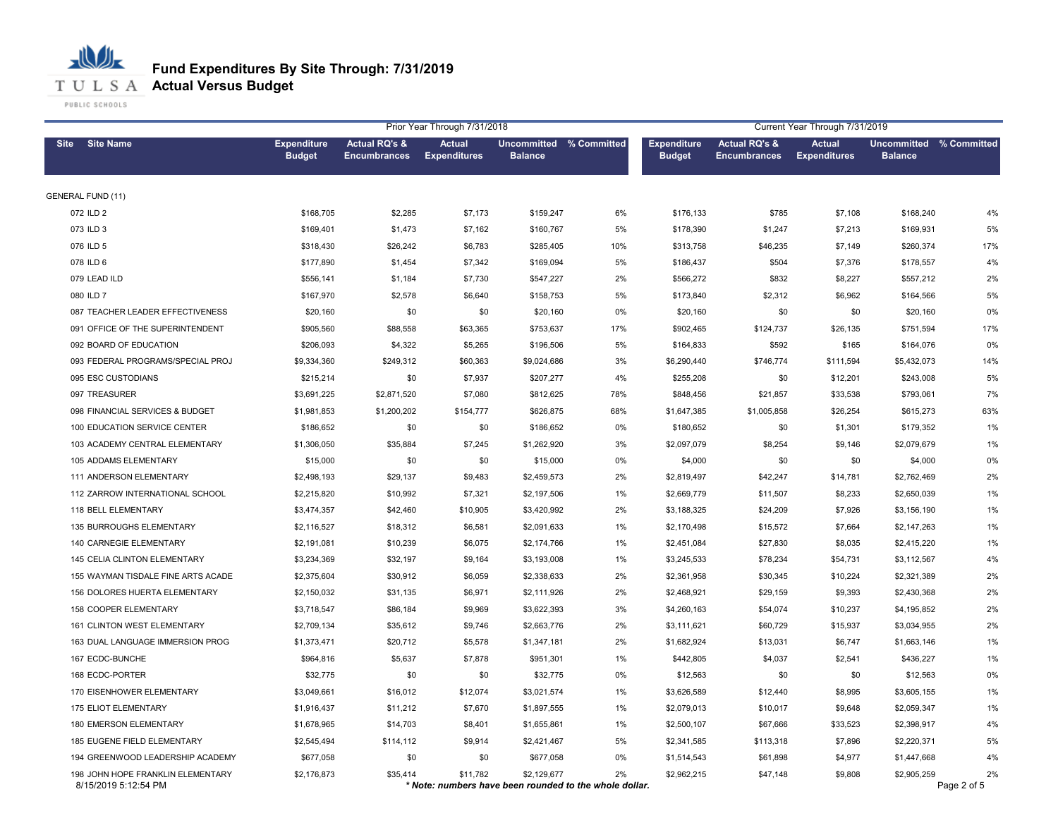

|                                                           |                                     |                                                 | Prior Year Through 7/31/2018                                       |                                           |       |                                     |                                                 | Current Year Through 7/31/2019       |                                           |                   |
|-----------------------------------------------------------|-------------------------------------|-------------------------------------------------|--------------------------------------------------------------------|-------------------------------------------|-------|-------------------------------------|-------------------------------------------------|--------------------------------------|-------------------------------------------|-------------------|
| <b>Site Name</b><br><b>Site</b>                           | <b>Expenditure</b><br><b>Budget</b> | <b>Actual RQ's &amp;</b><br><b>Encumbrances</b> | <b>Actual</b><br><b>Expenditures</b>                               | Uncommitted % Committed<br><b>Balance</b> |       | <b>Expenditure</b><br><b>Budget</b> | <b>Actual RQ's &amp;</b><br><b>Encumbrances</b> | <b>Actual</b><br><b>Expenditures</b> | Uncommitted % Committed<br><b>Balance</b> |                   |
| <b>GENERAL FUND (11)</b>                                  |                                     |                                                 |                                                                    |                                           |       |                                     |                                                 |                                      |                                           |                   |
| 072 ILD 2                                                 | \$168,705                           | \$2,285                                         | \$7,173                                                            | \$159,247                                 | 6%    | \$176,133                           | \$785                                           | \$7,108                              | \$168,240                                 | 4%                |
| 073 ILD 3                                                 | \$169,401                           | \$1,473                                         | \$7,162                                                            | \$160,767                                 | 5%    | \$178,390                           | \$1,247                                         | \$7,213                              | \$169,931                                 | 5%                |
| 076 ILD 5                                                 | \$318,430                           | \$26,242                                        | \$6,783                                                            | \$285,405                                 | 10%   | \$313,758                           | \$46,235                                        | \$7,149                              | \$260,374                                 | 17%               |
| 078 ILD 6                                                 | \$177,890                           | \$1,454                                         | \$7,342                                                            | \$169,094                                 | 5%    | \$186,437                           | \$504                                           | \$7,376                              | \$178,557                                 | 4%                |
| 079 LEAD ILD                                              | \$556,141                           | \$1,184                                         | \$7,730                                                            | \$547,227                                 | 2%    | \$566,272                           | \$832                                           | \$8,227                              | \$557,212                                 | 2%                |
| 080 ILD 7                                                 | \$167,970                           | \$2,578                                         | \$6,640                                                            | \$158,753                                 | 5%    | \$173,840                           | \$2,312                                         | \$6,962                              | \$164,566                                 | 5%                |
| 087 TEACHER LEADER EFFECTIVENESS                          | \$20,160                            | \$0                                             | \$0                                                                | \$20,160                                  | 0%    | \$20,160                            | \$0                                             | \$0                                  | \$20,160                                  | 0%                |
| 091 OFFICE OF THE SUPERINTENDENT                          | \$905,560                           | \$88,558                                        | \$63,365                                                           | \$753,637                                 | 17%   | \$902,465                           | \$124,737                                       | \$26,135                             | \$751,594                                 | 17%               |
| 092 BOARD OF EDUCATION                                    | \$206,093                           | \$4,322                                         | \$5,265                                                            | \$196,506                                 | 5%    | \$164,833                           | \$592                                           | \$165                                | \$164,076                                 | 0%                |
| 093 FEDERAL PROGRAMS/SPECIAL PROJ                         | \$9,334,360                         | \$249,312                                       | \$60,363                                                           | \$9,024,686                               | 3%    | \$6,290,440                         | \$746,774                                       | \$111,594                            | \$5,432,073                               | 14%               |
| 095 ESC CUSTODIANS                                        | \$215,214                           | \$0                                             | \$7,937                                                            | \$207,277                                 | 4%    | \$255,208                           | \$0                                             | \$12,201                             | \$243,008                                 | 5%                |
| 097 TREASURER                                             | \$3,691,225                         | \$2,871,520                                     | \$7,080                                                            | \$812,625                                 | 78%   | \$848,456                           | \$21,857                                        | \$33,538                             | \$793,061                                 | 7%                |
| 098 FINANCIAL SERVICES & BUDGET                           | \$1,981,853                         | \$1,200,202                                     | \$154,777                                                          | \$626,875                                 | 68%   | \$1,647,385                         | \$1,005,858                                     | \$26,254                             | \$615,273                                 | 63%               |
| 100 EDUCATION SERVICE CENTER                              | \$186,652                           | \$0                                             | \$0                                                                | \$186,652                                 | 0%    | \$180,652                           | \$0                                             | \$1,301                              | \$179,352                                 | 1%                |
| 103 ACADEMY CENTRAL ELEMENTARY                            | \$1,306,050                         | \$35,884                                        | \$7,245                                                            | \$1,262,920                               | 3%    | \$2,097,079                         | \$8,254                                         | \$9,146                              | \$2,079,679                               | 1%                |
| 105 ADDAMS ELEMENTARY                                     | \$15,000                            | \$0                                             | \$0                                                                | \$15,000                                  | 0%    | \$4,000                             | \$0                                             | \$0                                  | \$4,000                                   | 0%                |
| 111 ANDERSON ELEMENTARY                                   | \$2,498,193                         | \$29,137                                        | \$9,483                                                            | \$2,459,573                               | 2%    | \$2,819,497                         | \$42,247                                        | \$14,781                             | \$2,762,469                               | 2%                |
| 112 ZARROW INTERNATIONAL SCHOOL                           | \$2,215,820                         | \$10,992                                        | \$7,321                                                            | \$2,197,506                               | 1%    | \$2,669,779                         | \$11,507                                        | \$8,233                              | \$2,650,039                               | 1%                |
| 118 BELL ELEMENTARY                                       | \$3,474,357                         | \$42,460                                        | \$10,905                                                           | \$3,420,992                               | 2%    | \$3,188,325                         | \$24,209                                        | \$7,926                              | \$3,156,190                               | 1%                |
| 135 BURROUGHS ELEMENTARY                                  | \$2,116,527                         | \$18,312                                        | \$6,581                                                            | \$2,091,633                               | 1%    | \$2,170,498                         | \$15,572                                        | \$7,664                              | \$2,147,263                               | 1%                |
| 140 CARNEGIE ELEMENTARY                                   | \$2,191,081                         | \$10,239                                        | \$6,075                                                            | \$2,174,766                               | 1%    | \$2,451,084                         | \$27,830                                        | \$8,035                              | \$2,415,220                               | 1%                |
| 145 CELIA CLINTON ELEMENTARY                              | \$3,234,369                         | \$32,197                                        | \$9,164                                                            | \$3,193,008                               | 1%    | \$3,245,533                         | \$78,234                                        | \$54,731                             | \$3,112,567                               | 4%                |
| 155 WAYMAN TISDALE FINE ARTS ACADE                        | \$2,375,604                         | \$30,912                                        | \$6,059                                                            | \$2,338,633                               | 2%    | \$2,361,958                         | \$30,345                                        | \$10,224                             | \$2,321,389                               | 2%                |
| 156 DOLORES HUERTA ELEMENTARY                             | \$2,150,032                         | \$31,135                                        | \$6,971                                                            | \$2,111,926                               | 2%    | \$2,468,921                         | \$29,159                                        | \$9,393                              | \$2,430,368                               | 2%                |
| 158 COOPER ELEMENTARY                                     | \$3,718,547                         | \$86,184                                        | \$9,969                                                            | \$3,622,393                               | 3%    | \$4,260,163                         | \$54,074                                        | \$10,237                             | \$4,195,852                               | 2%                |
| 161 CLINTON WEST ELEMENTARY                               | \$2,709,134                         | \$35,612                                        | \$9,746                                                            | \$2,663,776                               | 2%    | \$3,111,621                         | \$60,729                                        | \$15,937                             | \$3,034,955                               | 2%                |
| 163 DUAL LANGUAGE IMMERSION PROG                          | \$1,373,471                         | \$20,712                                        | \$5,578                                                            | \$1,347,181                               | 2%    | \$1,682,924                         | \$13,031                                        | \$6,747                              | \$1,663,146                               | 1%                |
| 167 ECDC-BUNCHE                                           | \$964,816                           | \$5,637                                         | \$7,878                                                            | \$951,301                                 | 1%    | \$442,805                           | \$4,037                                         | \$2,541                              | \$436,227                                 | 1%                |
| 168 ECDC-PORTER                                           | \$32,775                            | \$0                                             | \$0                                                                | \$32,775                                  | 0%    | \$12,563                            | \$0                                             | \$0                                  | \$12,563                                  | 0%                |
| 170 EISENHOWER ELEMENTARY                                 | \$3,049,661                         | \$16,012                                        | \$12,074                                                           | \$3,021,574                               | 1%    | \$3,626,589                         | \$12,440                                        | \$8,995                              | \$3,605,155                               | 1%                |
| 175 ELIOT ELEMENTARY                                      | \$1,916,437                         | \$11,212                                        | \$7,670                                                            | \$1,897,555                               | 1%    | \$2,079,013                         | \$10,017                                        | \$9,648                              | \$2,059,347                               | 1%                |
| 180 EMERSON ELEMENTARY                                    | \$1,678,965                         | \$14,703                                        | \$8,401                                                            | \$1,655,861                               | 1%    | \$2,500,107                         | \$67,666                                        | \$33,523                             | \$2,398,917                               | 4%                |
| 185 EUGENE FIELD ELEMENTARY                               | \$2,545,494                         | \$114,112                                       | \$9,914                                                            | \$2,421,467                               | 5%    | \$2,341,585                         | \$113,318                                       | \$7,896                              | \$2,220,371                               | 5%                |
| 194 GREENWOOD LEADERSHIP ACADEMY                          | \$677,058                           | \$0                                             | \$0                                                                | \$677,058                                 | $0\%$ | \$1,514,543                         | \$61,898                                        | \$4,977                              | \$1,447,668                               | 4%                |
| 198 JOHN HOPE FRANKLIN ELEMENTARY<br>8/15/2019 5:12:54 PM | \$2,176,873                         | \$35,414                                        | \$11,782<br>* Note: numbers have been rounded to the whole dollar. | \$2,129,677                               | 2%    | \$2,962,215                         | \$47,148                                        | \$9,808                              | \$2,905,259                               | 2%<br>Page 2 of 5 |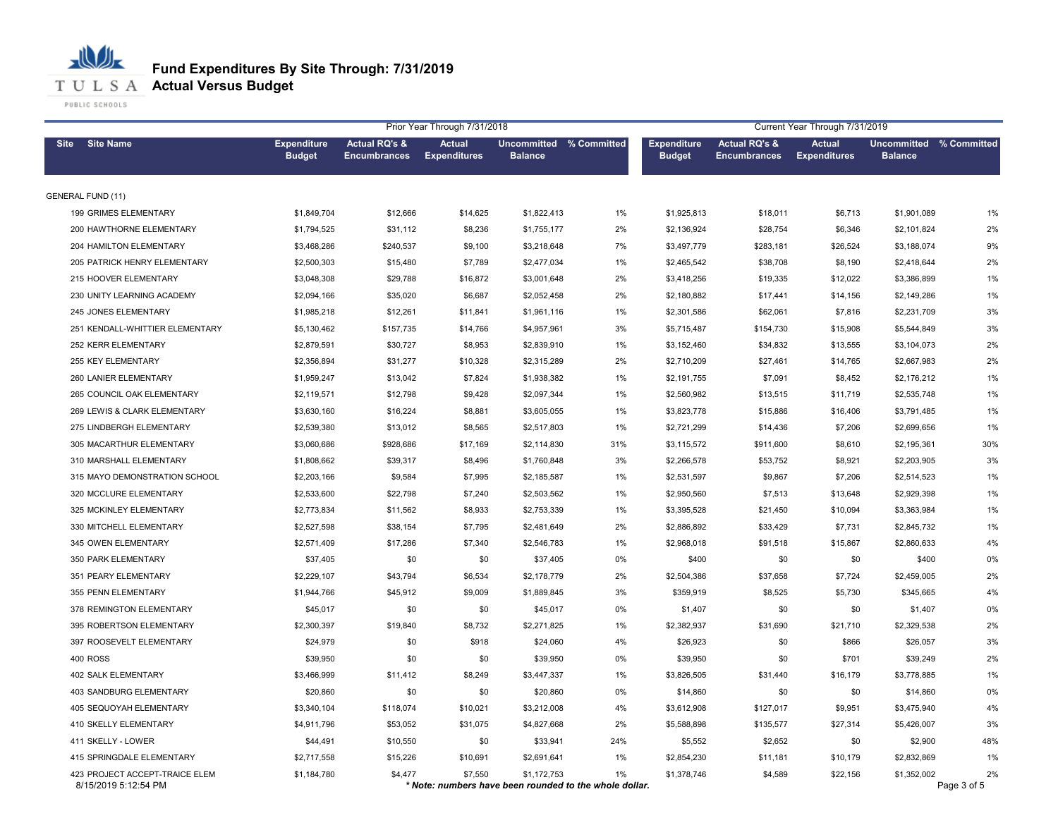### 心儿 **Fund Expenditures By Site Through: 7/31/2019**

**Actual Versus Budget**

|                                                        | Prior Year Through 7/31/2018        |                                                 |                                      |                                                                       |     |                                     |                                                 |                                      | Current Year Through 7/31/2019            |                   |  |  |  |  |
|--------------------------------------------------------|-------------------------------------|-------------------------------------------------|--------------------------------------|-----------------------------------------------------------------------|-----|-------------------------------------|-------------------------------------------------|--------------------------------------|-------------------------------------------|-------------------|--|--|--|--|
| <b>Site Name</b><br><b>Site</b>                        | <b>Expenditure</b><br><b>Budget</b> | <b>Actual RQ's &amp;</b><br><b>Encumbrances</b> | <b>Actual</b><br><b>Expenditures</b> | Uncommitted % Committed<br><b>Balance</b>                             |     | <b>Expenditure</b><br><b>Budget</b> | <b>Actual RQ's &amp;</b><br><b>Encumbrances</b> | <b>Actual</b><br><b>Expenditures</b> | Uncommitted % Committed<br><b>Balance</b> |                   |  |  |  |  |
| <b>GENERAL FUND (11)</b>                               |                                     |                                                 |                                      |                                                                       |     |                                     |                                                 |                                      |                                           |                   |  |  |  |  |
| 199 GRIMES ELEMENTARY                                  | \$1,849,704                         | \$12,666                                        | \$14,625                             | \$1,822,413                                                           | 1%  | \$1,925,813                         | \$18,011                                        | \$6,713                              | \$1,901,089                               | 1%                |  |  |  |  |
| 200 HAWTHORNE ELEMENTARY                               | \$1,794,525                         | \$31,112                                        | \$8,236                              | \$1,755,177                                                           | 2%  | \$2,136,924                         | \$28,754                                        | \$6,346                              | \$2,101,824                               | 2%                |  |  |  |  |
| 204 HAMILTON ELEMENTARY                                | \$3,468,286                         | \$240,537                                       | \$9,100                              | \$3,218,648                                                           | 7%  | \$3,497,779                         | \$283,181                                       | \$26,524                             | \$3,188,074                               | 9%                |  |  |  |  |
| 205 PATRICK HENRY ELEMENTARY                           | \$2,500,303                         | \$15,480                                        | \$7,789                              | \$2,477,034                                                           | 1%  | \$2,465,542                         | \$38,708                                        | \$8,190                              | \$2,418,644                               | 2%                |  |  |  |  |
| 215 HOOVER ELEMENTARY                                  | \$3,048,308                         | \$29,788                                        | \$16,872                             | \$3,001,648                                                           | 2%  | \$3,418,256                         | \$19,335                                        | \$12,022                             | \$3,386,899                               | 1%                |  |  |  |  |
| 230 UNITY LEARNING ACADEMY                             | \$2,094,166                         | \$35,020                                        | \$6,687                              | \$2,052,458                                                           | 2%  | \$2,180,882                         | \$17,441                                        | \$14,156                             | \$2,149,286                               | $1\%$             |  |  |  |  |
| 245 JONES ELEMENTARY                                   | \$1,985,218                         | \$12,261                                        | \$11,841                             | \$1,961,116                                                           | 1%  | \$2,301,586                         | \$62,061                                        | \$7,816                              | \$2,231,709                               | 3%                |  |  |  |  |
| 251 KENDALL-WHITTIER ELEMENTARY                        | \$5,130,462                         | \$157,735                                       | \$14,766                             | \$4,957,961                                                           | 3%  | \$5,715,487                         | \$154,730                                       | \$15,908                             | \$5,544,849                               | 3%                |  |  |  |  |
| 252 KERR ELEMENTARY                                    | \$2,879,591                         | \$30,727                                        | \$8,953                              | \$2,839,910                                                           | 1%  | \$3,152,460                         | \$34,832                                        | \$13,555                             | \$3,104,073                               | 2%                |  |  |  |  |
| 255 KEY ELEMENTARY                                     | \$2,356,894                         | \$31,277                                        | \$10,328                             | \$2,315,289                                                           | 2%  | \$2,710,209                         | \$27,461                                        | \$14,765                             | \$2,667,983                               | 2%                |  |  |  |  |
| 260 LANIER ELEMENTARY                                  | \$1,959,247                         | \$13,042                                        | \$7,824                              | \$1,938,382                                                           | 1%  | \$2,191,755                         | \$7,091                                         | \$8,452                              | \$2,176,212                               | 1%                |  |  |  |  |
| 265 COUNCIL OAK ELEMENTARY                             | \$2,119,571                         | \$12,798                                        | \$9,428                              | \$2,097,344                                                           | 1%  | \$2,560,982                         | \$13,515                                        | \$11,719                             | \$2,535,748                               | 1%                |  |  |  |  |
| 269 LEWIS & CLARK ELEMENTARY                           | \$3,630,160                         | \$16,224                                        | \$8,881                              | \$3,605,055                                                           | 1%  | \$3,823,778                         | \$15,886                                        | \$16,406                             | \$3,791,485                               | $1\%$             |  |  |  |  |
| 275 LINDBERGH ELEMENTARY                               | \$2,539,380                         | \$13,012                                        | \$8,565                              | \$2,517,803                                                           | 1%  | \$2,721,299                         | \$14,436                                        | \$7,206                              | \$2,699,656                               | 1%                |  |  |  |  |
| 305 MACARTHUR ELEMENTARY                               | \$3,060,686                         | \$928,686                                       | \$17,169                             | \$2,114,830                                                           | 31% | \$3,115,572                         | \$911,600                                       | \$8,610                              | \$2,195,361                               | 30%               |  |  |  |  |
| 310 MARSHALL ELEMENTARY                                | \$1,808,662                         | \$39,317                                        | \$8,496                              | \$1,760,848                                                           | 3%  | \$2,266,578                         | \$53,752                                        | \$8,921                              | \$2,203,905                               | 3%                |  |  |  |  |
| 315 MAYO DEMONSTRATION SCHOOL                          | \$2,203,166                         | \$9,584                                         | \$7,995                              | \$2,185,587                                                           | 1%  | \$2,531,597                         | \$9,867                                         | \$7,206                              | \$2,514,523                               | 1%                |  |  |  |  |
| 320 MCCLURE ELEMENTARY                                 | \$2,533,600                         | \$22,798                                        | \$7,240                              | \$2,503,562                                                           | 1%  | \$2,950,560                         | \$7,513                                         | \$13,648                             | \$2,929,398                               | 1%                |  |  |  |  |
| 325 MCKINLEY ELEMENTARY                                | \$2,773,834                         | \$11,562                                        | \$8,933                              | \$2,753,339                                                           | 1%  | \$3,395,528                         | \$21,450                                        | \$10,094                             | \$3,363,984                               | 1%                |  |  |  |  |
| 330 MITCHELL ELEMENTARY                                | \$2,527,598                         | \$38,154                                        | \$7,795                              | \$2,481,649                                                           | 2%  | \$2,886,892                         | \$33,429                                        | \$7,731                              | \$2,845,732                               | 1%                |  |  |  |  |
| 345 OWEN ELEMENTARY                                    | \$2,571,409                         | \$17,286                                        | \$7,340                              | \$2,546,783                                                           | 1%  | \$2,968,018                         | \$91,518                                        | \$15,867                             | \$2,860,633                               | 4%                |  |  |  |  |
| 350 PARK ELEMENTARY                                    | \$37,405                            | \$0                                             | \$0                                  | \$37,405                                                              | 0%  | \$400                               | \$0                                             | \$0                                  | \$400                                     | 0%                |  |  |  |  |
| 351 PEARY ELEMENTARY                                   | \$2,229,107                         | \$43,794                                        | \$6,534                              | \$2,178,779                                                           | 2%  | \$2,504,386                         | \$37,658                                        | \$7,724                              | \$2,459,005                               | 2%                |  |  |  |  |
| 355 PENN ELEMENTARY                                    | \$1,944,766                         | \$45,912                                        | \$9,009                              | \$1,889,845                                                           | 3%  | \$359,919                           | \$8,525                                         | \$5,730                              | \$345,665                                 | 4%                |  |  |  |  |
| 378 REMINGTON ELEMENTARY                               | \$45,017                            | \$0                                             | \$0                                  | \$45,017                                                              | 0%  | \$1,407                             | \$0                                             | \$0                                  | \$1,407                                   | 0%                |  |  |  |  |
| 395 ROBERTSON ELEMENTARY                               | \$2,300,397                         | \$19,840                                        | \$8,732                              | \$2,271,825                                                           | 1%  | \$2,382,937                         | \$31,690                                        | \$21,710                             | \$2,329,538                               | 2%                |  |  |  |  |
| 397 ROOSEVELT ELEMENTARY                               | \$24,979                            | \$0                                             | \$918                                | \$24,060                                                              | 4%  | \$26,923                            | \$0                                             | \$866                                | \$26,057                                  | 3%                |  |  |  |  |
| <b>400 ROSS</b>                                        | \$39,950                            | \$0                                             | \$0                                  | \$39,950                                                              | 0%  | \$39,950                            | \$0                                             | \$701                                | \$39,249                                  | 2%                |  |  |  |  |
| 402 SALK ELEMENTARY                                    | \$3,466,999                         | \$11,412                                        | \$8,249                              | \$3,447,337                                                           | 1%  | \$3,826,505                         | \$31,440                                        | \$16,179                             | \$3,778,885                               | 1%                |  |  |  |  |
| 403 SANDBURG ELEMENTARY                                | \$20,860                            | \$0                                             | \$0                                  | \$20,860                                                              | 0%  | \$14,860                            | \$0                                             | \$0                                  | \$14,860                                  | 0%                |  |  |  |  |
| 405 SEQUOYAH ELEMENTARY                                | \$3,340,104                         | \$118,074                                       | \$10,021                             | \$3,212,008                                                           | 4%  | \$3,612,908                         | \$127,017                                       | \$9,951                              | \$3,475,940                               | 4%                |  |  |  |  |
| 410 SKELLY ELEMENTARY                                  | \$4,911,796                         | \$53,052                                        | \$31,075                             | \$4,827,668                                                           | 2%  | \$5,588,898                         | \$135,577                                       | \$27,314                             | \$5,426,007                               | 3%                |  |  |  |  |
| 411 SKELLY - LOWER                                     | \$44,491                            | \$10,550                                        | \$0                                  | \$33,941                                                              | 24% | \$5,552                             | \$2,652                                         | \$0                                  | \$2,900                                   | 48%               |  |  |  |  |
| 415 SPRINGDALE ELEMENTARY                              | \$2,717,558                         | \$15,226                                        | \$10,691                             | \$2,691,641                                                           | 1%  | \$2,854,230                         | \$11,181                                        | \$10,179                             | \$2,832,869                               | 1%                |  |  |  |  |
| 423 PROJECT ACCEPT-TRAICE ELEM<br>8/15/2019 5:12:54 PM | \$1,184,780                         | \$4,477                                         | \$7,550                              | \$1,172,753<br>* Note: numbers have been rounded to the whole dollar. | 1%  | \$1,378,746                         | \$4,589                                         | \$22,156                             | \$1,352,002                               | 2%<br>Page 3 of 5 |  |  |  |  |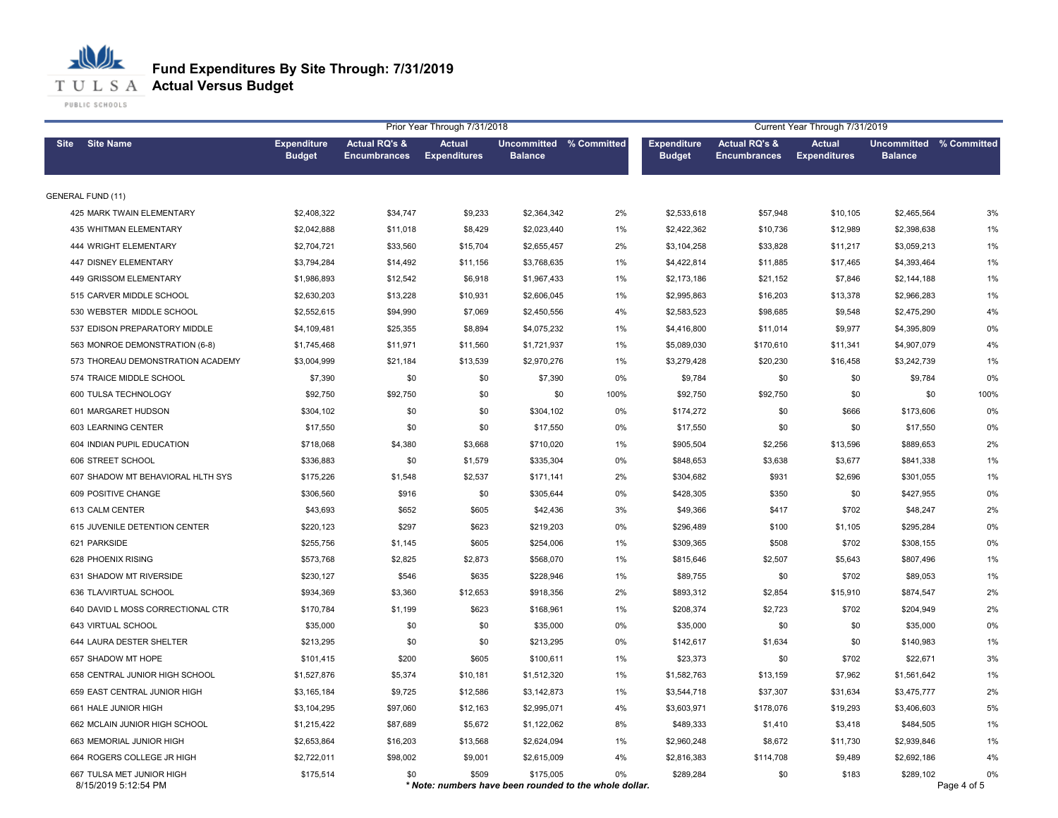|                                                   | Prior Year Through 7/31/2018        |                                                 |                                      |                                           |                                                              |                                     |                                                 |                                      | Current Year Through 7/31/2019            |                   |  |  |  |  |  |
|---------------------------------------------------|-------------------------------------|-------------------------------------------------|--------------------------------------|-------------------------------------------|--------------------------------------------------------------|-------------------------------------|-------------------------------------------------|--------------------------------------|-------------------------------------------|-------------------|--|--|--|--|--|
| <b>Site Name</b><br><b>Site</b>                   | <b>Expenditure</b><br><b>Budget</b> | <b>Actual RQ's &amp;</b><br><b>Encumbrances</b> | <b>Actual</b><br><b>Expenditures</b> | Uncommitted % Committed<br><b>Balance</b> |                                                              | <b>Expenditure</b><br><b>Budget</b> | <b>Actual RQ's &amp;</b><br><b>Encumbrances</b> | <b>Actual</b><br><b>Expenditures</b> | Uncommitted % Committed<br><b>Balance</b> |                   |  |  |  |  |  |
| <b>GENERAL FUND (11)</b>                          |                                     |                                                 |                                      |                                           |                                                              |                                     |                                                 |                                      |                                           |                   |  |  |  |  |  |
| 425 MARK TWAIN ELEMENTARY                         | \$2,408,322                         | \$34,747                                        | \$9,233                              | \$2,364,342                               | 2%                                                           | \$2,533,618                         | \$57,948                                        | \$10,105                             | \$2,465,564                               | 3%                |  |  |  |  |  |
| <b>435 WHITMAN ELEMENTARY</b>                     | \$2,042,888                         | \$11,018                                        | \$8,429                              | \$2,023,440                               | 1%                                                           | \$2,422,362                         | \$10,736                                        | \$12,989                             | \$2,398,638                               | 1%                |  |  |  |  |  |
| 444 WRIGHT ELEMENTARY                             | \$2,704,721                         | \$33,560                                        | \$15,704                             | \$2,655,457                               | 2%                                                           | \$3,104,258                         | \$33,828                                        | \$11,217                             | \$3,059,213                               | 1%                |  |  |  |  |  |
| 447 DISNEY ELEMENTARY                             | \$3,794,284                         | \$14,492                                        | \$11,156                             | \$3,768,635                               | 1%                                                           | \$4,422,814                         | \$11,885                                        | \$17,465                             | \$4,393,464                               | 1%                |  |  |  |  |  |
| 449 GRISSOM ELEMENTARY                            | \$1,986,893                         | \$12,542                                        | \$6,918                              | \$1,967,433                               | 1%                                                           | \$2,173,186                         | \$21,152                                        | \$7,846                              | \$2,144,188                               | 1%                |  |  |  |  |  |
| 515 CARVER MIDDLE SCHOOL                          | \$2,630,203                         | \$13,228                                        | \$10,931                             | \$2,606,045                               | 1%                                                           | \$2,995,863                         | \$16,203                                        | \$13,378                             | \$2,966,283                               | 1%                |  |  |  |  |  |
| 530 WEBSTER MIDDLE SCHOOL                         | \$2,552,615                         | \$94,990                                        | \$7,069                              | \$2,450,556                               | 4%                                                           | \$2,583,523                         | \$98,685                                        | \$9,548                              | \$2,475,290                               | 4%                |  |  |  |  |  |
| 537 EDISON PREPARATORY MIDDLE                     | \$4,109,481                         | \$25,355                                        | \$8,894                              | \$4,075,232                               | 1%                                                           | \$4,416,800                         | \$11,014                                        | \$9,977                              | \$4,395,809                               | $0\%$             |  |  |  |  |  |
| 563 MONROE DEMONSTRATION (6-8)                    | \$1,745,468                         | \$11,971                                        | \$11,560                             | \$1,721,937                               | 1%                                                           | \$5,089,030                         | \$170,610                                       | \$11,341                             | \$4,907,079                               | 4%                |  |  |  |  |  |
| 573 THOREAU DEMONSTRATION ACADEMY                 | \$3,004,999                         | \$21,184                                        | \$13,539                             | \$2,970,276                               | 1%                                                           | \$3,279,428                         | \$20,230                                        | \$16,458                             | \$3,242,739                               | 1%                |  |  |  |  |  |
| 574 TRAICE MIDDLE SCHOOL                          | \$7,390                             | \$0                                             | \$0                                  | \$7,390                                   | 0%                                                           | \$9,784                             | \$0                                             | \$0                                  | \$9,784                                   | 0%                |  |  |  |  |  |
| 600 TULSA TECHNOLOGY                              | \$92,750                            | \$92,750                                        | \$0                                  | \$0                                       | 100%                                                         | \$92,750                            | \$92,750                                        | \$0                                  | \$0                                       | 100%              |  |  |  |  |  |
| 601 MARGARET HUDSON                               | \$304,102                           | \$0                                             | \$0                                  | \$304,102                                 | 0%                                                           | \$174,272                           | \$0                                             | \$666                                | \$173,606                                 | 0%                |  |  |  |  |  |
| 603 LEARNING CENTER                               | \$17,550                            | \$0                                             | \$0                                  | \$17,550                                  | 0%                                                           | \$17,550                            | \$0                                             | \$0                                  | \$17,550                                  | 0%                |  |  |  |  |  |
| 604 INDIAN PUPIL EDUCATION                        | \$718,068                           | \$4,380                                         | \$3,668                              | \$710,020                                 | 1%                                                           | \$905,504                           | \$2,256                                         | \$13,596                             | \$889,653                                 | 2%                |  |  |  |  |  |
| 606 STREET SCHOOL                                 | \$336,883                           | \$0                                             | \$1,579                              | \$335,304                                 | 0%                                                           | \$848,653                           | \$3,638                                         | \$3,677                              | \$841,338                                 | $1\%$             |  |  |  |  |  |
| 607 SHADOW MT BEHAVIORAL HLTH SYS                 | \$175,226                           | \$1,548                                         | \$2,537                              | \$171,141                                 | 2%                                                           | \$304,682                           | \$931                                           | \$2,696                              | \$301,055                                 | 1%                |  |  |  |  |  |
| 609 POSITIVE CHANGE                               | \$306,560                           | \$916                                           | \$0                                  | \$305,644                                 | 0%                                                           | \$428,305                           | \$350                                           | \$0                                  | \$427,955                                 | $0\%$             |  |  |  |  |  |
| 613 CALM CENTER                                   | \$43,693                            | \$652                                           | \$605                                | \$42,436                                  | 3%                                                           | \$49,366                            | \$417                                           | \$702                                | \$48,247                                  | 2%                |  |  |  |  |  |
| 615 JUVENILE DETENTION CENTER                     | \$220,123                           | \$297                                           | \$623                                | \$219,203                                 | 0%                                                           | \$296,489                           | \$100                                           | \$1,105                              | \$295,284                                 | $0\%$             |  |  |  |  |  |
| 621 PARKSIDE                                      | \$255,756                           | \$1,145                                         | \$605                                | \$254,006                                 | 1%                                                           | \$309,365                           | \$508                                           | \$702                                | \$308,155                                 | 0%                |  |  |  |  |  |
| 628 PHOENIX RISING                                | \$573,768                           | \$2,825                                         | \$2,873                              | \$568,070                                 | 1%                                                           | \$815,646                           | \$2,507                                         | \$5,643                              | \$807,496                                 | 1%                |  |  |  |  |  |
| 631 SHADOW MT RIVERSIDE                           | \$230,127                           | \$546                                           | \$635                                | \$228,946                                 | 1%                                                           | \$89,755                            | \$0                                             | \$702                                | \$89,053                                  | $1\%$             |  |  |  |  |  |
| 636 TLA/VIRTUAL SCHOOL                            | \$934,369                           | \$3,360                                         | \$12,653                             | \$918,356                                 | 2%                                                           | \$893,312                           | \$2,854                                         | \$15,910                             | \$874,547                                 | 2%                |  |  |  |  |  |
| 640 DAVID L MOSS CORRECTIONAL CTR                 | \$170,784                           | \$1,199                                         | \$623                                | \$168,961                                 | 1%                                                           | \$208,374                           | \$2,723                                         | \$702                                | \$204,949                                 | 2%                |  |  |  |  |  |
| 643 VIRTUAL SCHOOL                                | \$35,000                            | \$0                                             | \$0                                  | \$35,000                                  | 0%                                                           | \$35,000                            | \$0                                             | \$0                                  | \$35,000                                  | $0\%$             |  |  |  |  |  |
| 644 LAURA DESTER SHELTER                          | \$213,295                           | \$0                                             | \$0                                  | \$213,295                                 | 0%                                                           | \$142,617                           | \$1,634                                         | \$0                                  | \$140,983                                 | 1%                |  |  |  |  |  |
| 657 SHADOW MT HOPE                                | \$101,415                           | \$200                                           | \$605                                | \$100,611                                 | 1%                                                           | \$23,373                            | \$0                                             | \$702                                | \$22,671                                  | 3%                |  |  |  |  |  |
| 658 CENTRAL JUNIOR HIGH SCHOOL                    | \$1,527,876                         | \$5,374                                         | \$10,181                             | \$1,512,320                               | 1%                                                           | \$1,582,763                         | \$13,159                                        | \$7,962                              | \$1,561,642                               | 1%                |  |  |  |  |  |
| 659 EAST CENTRAL JUNIOR HIGH                      | \$3,165,184                         | \$9,725                                         | \$12,586                             | \$3,142,873                               | 1%                                                           | \$3,544,718                         | \$37,307                                        | \$31,634                             | \$3,475,777                               | 2%                |  |  |  |  |  |
| 661 HALE JUNIOR HIGH                              | \$3,104,295                         | \$97,060                                        | \$12,163                             | \$2,995,071                               | 4%                                                           | \$3,603,971                         | \$178,076                                       | \$19,293                             | \$3,406,603                               | 5%                |  |  |  |  |  |
| 662 MCLAIN JUNIOR HIGH SCHOOL                     | \$1,215,422                         | \$87,689                                        | \$5,672                              | \$1,122,062                               | 8%                                                           | \$489,333                           | \$1,410                                         | \$3,418                              | \$484,505                                 | 1%                |  |  |  |  |  |
| 663 MEMORIAL JUNIOR HIGH                          | \$2,653,864                         | \$16,203                                        | \$13,568                             | \$2,624,094                               | 1%                                                           | \$2,960,248                         | \$8,672                                         | \$11,730                             | \$2,939,846                               | 1%                |  |  |  |  |  |
| 664 ROGERS COLLEGE JR HIGH                        | \$2,722,011                         | \$98,002                                        | \$9,001                              | \$2,615,009                               | 4%                                                           | \$2,816,383                         | \$114,708                                       | \$9,489                              | \$2,692,186                               | 4%                |  |  |  |  |  |
| 667 TULSA MET JUNIOR HIGH<br>8/15/2019 5:12:54 PM | \$175,514                           | \$0                                             | \$509                                | \$175,005                                 | 0%<br>* Note: numbers have been rounded to the whole dollar. | \$289,284                           | \$0                                             | \$183                                | \$289,102                                 | 0%<br>Page 4 of 5 |  |  |  |  |  |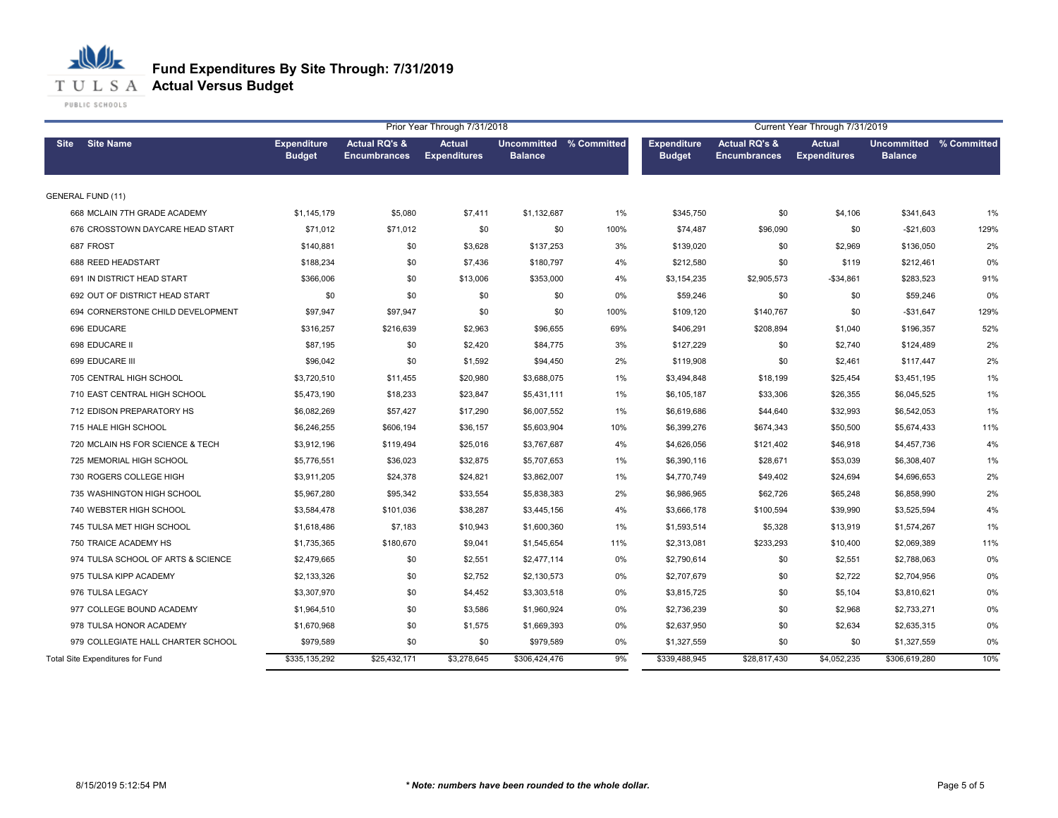

|                                    |                                     |                                                 | Prior Year Through 7/31/2018         |                                           |       | Current Year Through 7/31/2019      |                                                 |                                      |                                           |      |  |
|------------------------------------|-------------------------------------|-------------------------------------------------|--------------------------------------|-------------------------------------------|-------|-------------------------------------|-------------------------------------------------|--------------------------------------|-------------------------------------------|------|--|
| <b>Site Name</b><br><b>Site</b>    | <b>Expenditure</b><br><b>Budget</b> | <b>Actual RQ's &amp;</b><br><b>Encumbrances</b> | <b>Actual</b><br><b>Expenditures</b> | Uncommitted % Committed<br><b>Balance</b> |       | <b>Expenditure</b><br><b>Budget</b> | <b>Actual RQ's &amp;</b><br><b>Encumbrances</b> | <b>Actual</b><br><b>Expenditures</b> | Uncommitted % Committed<br><b>Balance</b> |      |  |
| <b>GENERAL FUND (11)</b>           |                                     |                                                 |                                      |                                           |       |                                     |                                                 |                                      |                                           |      |  |
| 668 MCLAIN 7TH GRADE ACADEMY       | \$1,145,179                         | \$5,080                                         | \$7,411                              | \$1,132,687                               | 1%    | \$345,750                           | \$0                                             | \$4,106                              | \$341,643                                 | 1%   |  |
| 676 CROSSTOWN DAYCARE HEAD START   | \$71,012                            | \$71,012                                        | \$0                                  | \$0                                       | 100%  | \$74,487                            | \$96,090                                        | \$0                                  | $-$21,603$                                | 129% |  |
| 687 FROST                          | \$140,881                           | \$0                                             | \$3,628                              | \$137,253                                 | 3%    | \$139,020                           | \$0                                             | \$2,969                              | \$136,050                                 | 2%   |  |
| 688 REED HEADSTART                 | \$188,234                           | \$0                                             | \$7,436                              | \$180,797                                 | 4%    | \$212,580                           | \$0                                             | \$119                                | \$212,461                                 | 0%   |  |
| 691 IN DISTRICT HEAD START         | \$366,006                           | \$0                                             | \$13,006                             | \$353,000                                 | 4%    | \$3,154,235                         | \$2,905,573                                     | $-$34,861$                           | \$283,523                                 | 91%  |  |
| 692 OUT OF DISTRICT HEAD START     | \$0                                 | \$0                                             | \$0                                  | \$0                                       | 0%    | \$59,246                            | \$0                                             | \$0                                  | \$59,246                                  | 0%   |  |
| 694 CORNERSTONE CHILD DEVELOPMENT  | \$97,947                            | \$97,947                                        | \$0                                  | \$0                                       | 100%  | \$109,120                           | \$140,767                                       | \$0                                  | $-$31,647$                                | 129% |  |
| 696 EDUCARE                        | \$316,257                           | \$216,639                                       | \$2,963                              | \$96,655                                  | 69%   | \$406,291                           | \$208,894                                       | \$1,040                              | \$196,357                                 | 52%  |  |
| 698 EDUCARE II                     | \$87,195                            | \$0                                             | \$2,420                              | \$84,775                                  | 3%    | \$127,229                           | \$0                                             | \$2,740                              | \$124,489                                 | 2%   |  |
| 699 EDUCARE III                    | \$96,042                            | \$0                                             | \$1,592                              | \$94,450                                  | 2%    | \$119,908                           | \$0                                             | \$2,461                              | \$117,447                                 | 2%   |  |
| 705 CENTRAL HIGH SCHOOL            | \$3,720,510                         | \$11,455                                        | \$20,980                             | \$3,688,075                               | $1\%$ | \$3,494,848                         | \$18,199                                        | \$25,454                             | \$3,451,195                               | 1%   |  |
| 710 EAST CENTRAL HIGH SCHOOL       | \$5,473,190                         | \$18,233                                        | \$23,847                             | \$5,431,111                               | $1\%$ | \$6,105,187                         | \$33,306                                        | \$26,355                             | \$6,045,525                               | 1%   |  |
| 712 EDISON PREPARATORY HS          | \$6,082,269                         | \$57,427                                        | \$17,290                             | \$6,007,552                               | $1\%$ | \$6,619,686                         | \$44,640                                        | \$32,993                             | \$6,542,053                               | 1%   |  |
| 715 HALE HIGH SCHOOL               | \$6,246,255                         | \$606,194                                       | \$36,157                             | \$5,603,904                               | 10%   | \$6,399,276                         | \$674,343                                       | \$50,500                             | \$5,674,433                               | 11%  |  |
| 720 MCLAIN HS FOR SCIENCE & TECH   | \$3,912,196                         | \$119,494                                       | \$25,016                             | \$3,767,687                               | 4%    | \$4,626,056                         | \$121,402                                       | \$46,918                             | \$4,457,736                               | 4%   |  |
| 725 MEMORIAL HIGH SCHOOL           | \$5,776,551                         | \$36,023                                        | \$32,875                             | \$5,707,653                               | 1%    | \$6,390,116                         | \$28,671                                        | \$53,039                             | \$6,308,407                               | 1%   |  |
| 730 ROGERS COLLEGE HIGH            | \$3,911,205                         | \$24,378                                        | \$24,821                             | \$3,862,007                               | 1%    | \$4,770,749                         | \$49,402                                        | \$24,694                             | \$4,696,653                               | 2%   |  |
| 735 WASHINGTON HIGH SCHOOL         | \$5,967,280                         | \$95,342                                        | \$33,554                             | \$5,838,383                               | 2%    | \$6,986,965                         | \$62,726                                        | \$65,248                             | \$6,858,990                               | 2%   |  |
| 740 WEBSTER HIGH SCHOOL            | \$3,584,478                         | \$101,036                                       | \$38,287                             | \$3,445,156                               | 4%    | \$3,666,178                         | \$100,594                                       | \$39,990                             | \$3,525,594                               | 4%   |  |
| 745 TULSA MET HIGH SCHOOL          | \$1,618,486                         | \$7,183                                         | \$10,943                             | \$1,600,360                               | $1\%$ | \$1,593,514                         | \$5,328                                         | \$13,919                             | \$1,574,267                               | 1%   |  |
| 750 TRAICE ACADEMY HS              | \$1,735,365                         | \$180,670                                       | \$9,041                              | \$1,545,654                               | 11%   | \$2,313,081                         | \$233,293                                       | \$10,400                             | \$2,069,389                               | 11%  |  |
| 974 TULSA SCHOOL OF ARTS & SCIENCE | \$2,479,665                         | \$0                                             | \$2,551                              | \$2,477,114                               | 0%    | \$2,790,614                         | \$0                                             | \$2,551                              | \$2,788,063                               | 0%   |  |
| 975 TULSA KIPP ACADEMY             | \$2,133,326                         | \$0                                             | \$2,752                              | \$2,130,573                               | 0%    | \$2,707,679                         | \$0                                             | \$2,722                              | \$2,704,956                               | 0%   |  |
| 976 TULSA LEGACY                   | \$3,307,970                         | \$0                                             | \$4,452                              | \$3,303,518                               | 0%    | \$3,815,725                         | \$0                                             | \$5,104                              | \$3,810,621                               | 0%   |  |
| 977 COLLEGE BOUND ACADEMY          | \$1,964,510                         | \$0                                             | \$3,586                              | \$1,960,924                               | 0%    | \$2,736,239                         | \$0                                             | \$2,968                              | \$2,733,271                               | 0%   |  |
| 978 TULSA HONOR ACADEMY            | \$1,670,968                         | \$0                                             | \$1,575                              | \$1,669,393                               | 0%    | \$2,637,950                         | \$0                                             | \$2,634                              | \$2,635,315                               | 0%   |  |
| 979 COLLEGIATE HALL CHARTER SCHOOL | \$979,589                           | \$0                                             | \$0                                  | \$979,589                                 | 0%    | \$1,327,559                         | \$0                                             | \$0                                  | \$1,327,559                               | 0%   |  |
| Total Site Expenditures for Fund   | \$335,135,292                       | \$25,432,171                                    | \$3,278,645                          | \$306,424,476                             | 9%    | \$339,488,945                       | \$28,817,430                                    | \$4,052,235                          | \$306,619,280                             | 10%  |  |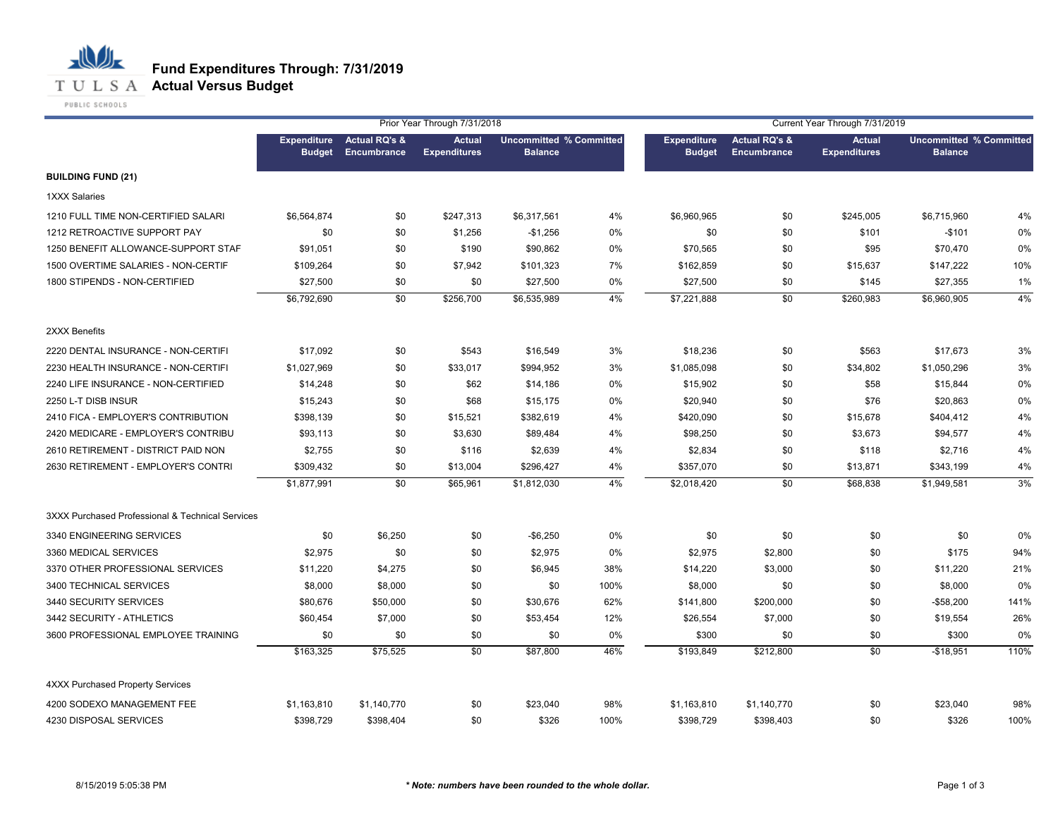

PUBLIC SCHOOLS

心儿

|                                                  |                                     |                                         | Prior Year Through 7/31/2018         |                                                  |      |                                     |                                         | Current Year Through 7/31/2019       |                                                  |      |
|--------------------------------------------------|-------------------------------------|-----------------------------------------|--------------------------------------|--------------------------------------------------|------|-------------------------------------|-----------------------------------------|--------------------------------------|--------------------------------------------------|------|
|                                                  | <b>Expenditure</b><br><b>Budget</b> | <b>Actual RQ's &amp;</b><br>Encumbrance | <b>Actual</b><br><b>Expenditures</b> | <b>Uncommitted % Committed</b><br><b>Balance</b> |      | <b>Expenditure</b><br><b>Budget</b> | <b>Actual RQ's &amp;</b><br>Encumbrance | <b>Actual</b><br><b>Expenditures</b> | <b>Uncommitted % Committed</b><br><b>Balance</b> |      |
| <b>BUILDING FUND (21)</b>                        |                                     |                                         |                                      |                                                  |      |                                     |                                         |                                      |                                                  |      |
| 1XXX Salaries                                    |                                     |                                         |                                      |                                                  |      |                                     |                                         |                                      |                                                  |      |
| 1210 FULL TIME NON-CERTIFIED SALARI              | \$6,564,874                         | \$0                                     | \$247,313                            | \$6,317,561                                      | 4%   | \$6,960,965                         | \$0                                     | \$245,005                            | \$6,715,960                                      | 4%   |
| 1212 RETROACTIVE SUPPORT PAY                     | \$0                                 | \$0                                     | \$1,256                              | $-$1,256$                                        | 0%   | \$0                                 | \$0                                     | \$101                                | $-$101$                                          | 0%   |
| 1250 BENEFIT ALLOWANCE-SUPPORT STAF              | \$91,051                            | \$0                                     | \$190                                | \$90,862                                         | 0%   | \$70,565                            | \$0                                     | \$95                                 | \$70,470                                         | 0%   |
| 1500 OVERTIME SALARIES - NON-CERTIF              | \$109,264                           | \$0                                     | \$7,942                              | \$101,323                                        | 7%   | \$162,859                           | \$0                                     | \$15,637                             | \$147,222                                        | 10%  |
| 1800 STIPENDS - NON-CERTIFIED                    | \$27,500                            | \$0                                     | \$0                                  | \$27,500                                         | 0%   | \$27,500                            | \$0                                     | \$145                                | \$27,355                                         | 1%   |
|                                                  | \$6,792,690                         | \$0                                     | \$256,700                            | \$6,535,989                                      | 4%   | \$7,221,888                         | \$0                                     | \$260,983                            | \$6,960,905                                      | 4%   |
| 2XXX Benefits                                    |                                     |                                         |                                      |                                                  |      |                                     |                                         |                                      |                                                  |      |
| 2220 DENTAL INSURANCE - NON-CERTIFI              | \$17,092                            | \$0                                     | \$543                                | \$16,549                                         | 3%   | \$18,236                            | \$0                                     | \$563                                | \$17,673                                         | 3%   |
| 2230 HEALTH INSURANCE - NON-CERTIFI              | \$1,027,969                         | \$0                                     | \$33,017                             | \$994,952                                        | 3%   | \$1,085,098                         | \$0                                     | \$34,802                             | \$1,050,296                                      | 3%   |
| 2240 LIFE INSURANCE - NON-CERTIFIED              | \$14,248                            | \$0                                     | \$62                                 | \$14,186                                         | 0%   | \$15,902                            | \$0                                     | \$58                                 | \$15,844                                         | 0%   |
| 2250 L-T DISB INSUR                              | \$15,243                            | \$0                                     | \$68                                 | \$15,175                                         | 0%   | \$20,940                            | \$0                                     | \$76                                 | \$20,863                                         | 0%   |
| 2410 FICA - EMPLOYER'S CONTRIBUTION              | \$398,139                           | \$0                                     | \$15,521                             | \$382,619                                        | 4%   | \$420,090                           | \$0                                     | \$15,678                             | \$404,412                                        | 4%   |
| 2420 MEDICARE - EMPLOYER'S CONTRIBU              | \$93,113                            | \$0                                     | \$3,630                              | \$89,484                                         | 4%   | \$98,250                            | \$0                                     | \$3,673                              | \$94,577                                         | 4%   |
| 2610 RETIREMENT - DISTRICT PAID NON              | \$2,755                             | \$0                                     | \$116                                | \$2,639                                          | 4%   | \$2,834                             | \$0                                     | \$118                                | \$2,716                                          | 4%   |
| 2630 RETIREMENT - EMPLOYER'S CONTRI              | \$309,432                           | \$0                                     | \$13,004                             | \$296,427                                        | 4%   | \$357,070                           | \$0                                     | \$13,871                             | \$343,199                                        | 4%   |
|                                                  | \$1,877,991                         | $\overline{50}$                         | \$65,961                             | \$1,812,030                                      | 4%   | \$2,018,420                         | $\overline{50}$                         | \$68,838                             | \$1,949,581                                      | 3%   |
| 3XXX Purchased Professional & Technical Services |                                     |                                         |                                      |                                                  |      |                                     |                                         |                                      |                                                  |      |
| 3340 ENGINEERING SERVICES                        | \$0                                 | \$6,250                                 | \$0                                  | $-$6,250$                                        | 0%   | \$0                                 | \$0                                     | \$0                                  | \$0                                              | 0%   |
| 3360 MEDICAL SERVICES                            | \$2,975                             | \$0                                     | \$0                                  | \$2,975                                          | 0%   | \$2,975                             | \$2,800                                 | \$0                                  | \$175                                            | 94%  |
| 3370 OTHER PROFESSIONAL SERVICES                 | \$11,220                            | \$4,275                                 | \$0                                  | \$6,945                                          | 38%  | \$14,220                            | \$3,000                                 | \$0                                  | \$11,220                                         | 21%  |
| 3400 TECHNICAL SERVICES                          | \$8,000                             | \$8,000                                 | \$0                                  | \$0                                              | 100% | \$8,000                             | \$0                                     | \$0                                  | \$8,000                                          | 0%   |
| 3440 SECURITY SERVICES                           | \$80,676                            | \$50,000                                | \$0                                  | \$30,676                                         | 62%  | \$141,800                           | \$200,000                               | \$0                                  | $-$58,200$                                       | 141% |
| 3442 SECURITY - ATHLETICS                        | \$60,454                            | \$7,000                                 | \$0                                  | \$53,454                                         | 12%  | \$26,554                            | \$7,000                                 | \$0                                  | \$19,554                                         | 26%  |
| 3600 PROFESSIONAL EMPLOYEE TRAINING              | \$0                                 | \$0                                     | \$0                                  | \$0                                              | 0%   | \$300                               | \$0                                     | \$0                                  | \$300                                            | 0%   |
|                                                  | \$163,325                           | \$75,525                                | \$0                                  | \$87,800                                         | 46%  | \$193,849                           | \$212,800                               | \$0                                  | $-$18,951$                                       | 110% |
| 4XXX Purchased Property Services                 |                                     |                                         |                                      |                                                  |      |                                     |                                         |                                      |                                                  |      |
| 4200 SODEXO MANAGEMENT FEE                       | \$1,163,810                         | \$1,140,770                             | \$0                                  | \$23,040                                         | 98%  | \$1,163,810                         | \$1,140,770                             | \$0                                  | \$23,040                                         | 98%  |
| 4230 DISPOSAL SERVICES                           | \$398.729                           | \$398,404                               | \$0                                  | \$326                                            | 100% | \$398,729                           | \$398,403                               | \$0                                  | \$326                                            | 100% |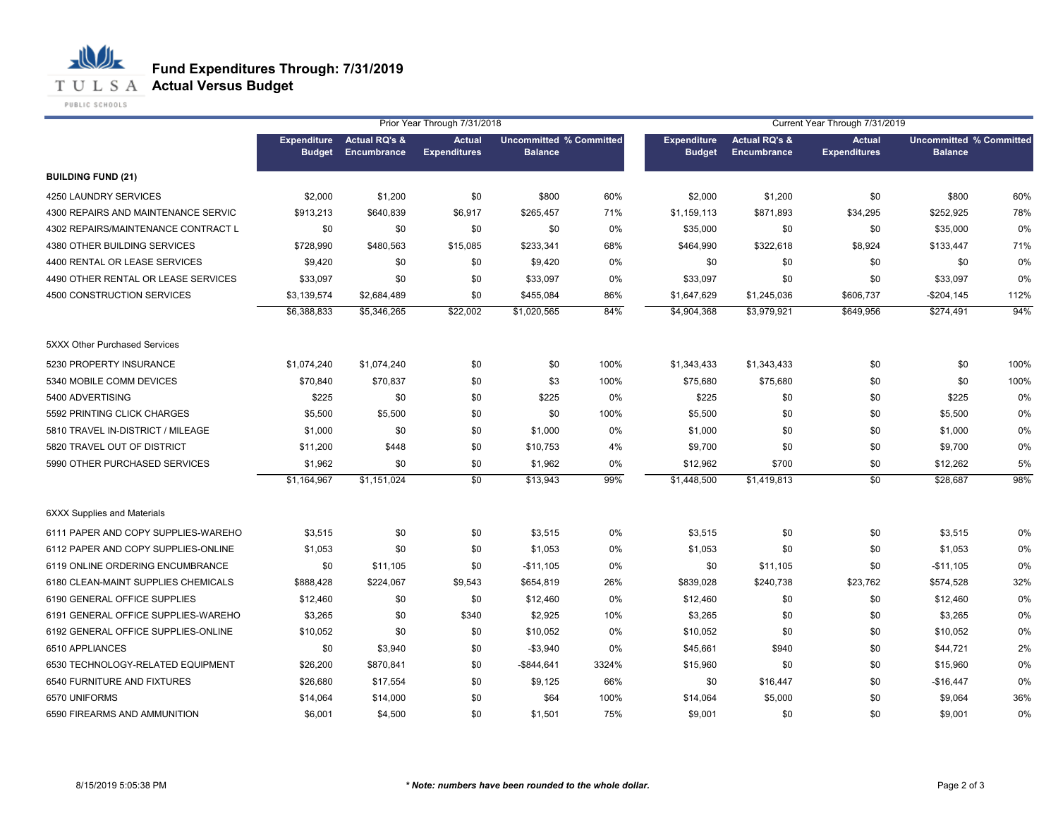**T U L S A Actual Versus Budget** 

PUBLIC SCHOOLS

心儿

|                                     |                                     |                                         | Prior Year Through 7/31/2018         |                                                  |       | Current Year Through 7/31/2019      |                                         |                                      |                                                  |      |
|-------------------------------------|-------------------------------------|-----------------------------------------|--------------------------------------|--------------------------------------------------|-------|-------------------------------------|-----------------------------------------|--------------------------------------|--------------------------------------------------|------|
|                                     | <b>Expenditure</b><br><b>Budget</b> | <b>Actual RQ's &amp;</b><br>Encumbrance | <b>Actual</b><br><b>Expenditures</b> | <b>Uncommitted % Committed</b><br><b>Balance</b> |       | <b>Expenditure</b><br><b>Budget</b> | <b>Actual RQ's &amp;</b><br>Encumbrance | <b>Actual</b><br><b>Expenditures</b> | <b>Uncommitted % Committed</b><br><b>Balance</b> |      |
| <b>BUILDING FUND (21)</b>           |                                     |                                         |                                      |                                                  |       |                                     |                                         |                                      |                                                  |      |
| 4250 LAUNDRY SERVICES               | \$2,000                             | \$1,200                                 | \$0                                  | \$800                                            | 60%   | \$2,000                             | \$1,200                                 | \$0                                  | \$800                                            | 60%  |
| 4300 REPAIRS AND MAINTENANCE SERVIC | \$913,213                           | \$640,839                               | \$6,917                              | \$265,457                                        | 71%   | \$1,159,113                         | \$871,893                               | \$34,295                             | \$252,925                                        | 78%  |
| 4302 REPAIRS/MAINTENANCE CONTRACT L | \$0                                 | \$0                                     | \$0                                  | \$0                                              | 0%    | \$35,000                            | \$0                                     | \$0                                  | \$35,000                                         | 0%   |
| 4380 OTHER BUILDING SERVICES        | \$728,990                           | \$480,563                               | \$15,085                             | \$233,341                                        | 68%   | \$464,990                           | \$322,618                               | \$8,924                              | \$133,447                                        | 71%  |
| 4400 RENTAL OR LEASE SERVICES       | \$9,420                             | \$0                                     | \$0                                  | \$9,420                                          | 0%    | \$0                                 | \$0                                     | \$0                                  | \$0                                              | 0%   |
| 4490 OTHER RENTAL OR LEASE SERVICES | \$33,097                            | \$0                                     | \$0                                  | \$33,097                                         | 0%    | \$33,097                            | \$0                                     | \$0                                  | \$33,097                                         | 0%   |
| 4500 CONSTRUCTION SERVICES          | \$3,139,574                         | \$2,684,489                             | \$0                                  | \$455,084                                        | 86%   | \$1,647,629                         | \$1,245,036                             | \$606,737                            | $-$204,145$                                      | 112% |
|                                     | \$6,388,833                         | \$5,346,265                             | \$22,002                             | \$1,020,565                                      | 84%   | \$4,904,368                         | \$3,979,921                             | \$649,956                            | \$274,491                                        | 94%  |
| 5XXX Other Purchased Services       |                                     |                                         |                                      |                                                  |       |                                     |                                         |                                      |                                                  |      |
| 5230 PROPERTY INSURANCE             | \$1,074,240                         | \$1,074,240                             | \$0                                  | \$0                                              | 100%  | \$1,343,433                         | \$1,343,433                             | \$0                                  | \$0                                              | 100% |
| 5340 MOBILE COMM DEVICES            | \$70,840                            | \$70,837                                | \$0                                  | \$3                                              | 100%  | \$75,680                            | \$75,680                                | \$0                                  | \$0                                              | 100% |
| 5400 ADVERTISING                    | \$225                               | \$0                                     | \$0                                  | \$225                                            | 0%    | \$225                               | \$0                                     | \$0                                  | \$225                                            | 0%   |
| 5592 PRINTING CLICK CHARGES         | \$5,500                             | \$5,500                                 | \$0                                  | \$0                                              | 100%  | \$5,500                             | \$0                                     | \$0                                  | \$5,500                                          | 0%   |
| 5810 TRAVEL IN-DISTRICT / MILEAGE   | \$1,000                             | \$0                                     | \$0                                  | \$1,000                                          | 0%    | \$1,000                             | \$0                                     | \$0                                  | \$1,000                                          | 0%   |
| 5820 TRAVEL OUT OF DISTRICT         | \$11,200                            | \$448                                   | \$0                                  | \$10,753                                         | 4%    | \$9,700                             | \$0                                     | \$0                                  | \$9,700                                          | 0%   |
| 5990 OTHER PURCHASED SERVICES       | \$1,962                             | \$0                                     | \$0                                  | \$1,962                                          | 0%    | \$12,962                            | \$700                                   | \$0                                  | \$12,262                                         | 5%   |
|                                     | \$1,164,967                         | \$1,151,024                             | \$0                                  | \$13,943                                         | 99%   | \$1,448,500                         | \$1,419,813                             | $\overline{50}$                      | \$28,687                                         | 98%  |
| <b>6XXX Supplies and Materials</b>  |                                     |                                         |                                      |                                                  |       |                                     |                                         |                                      |                                                  |      |
| 6111 PAPER AND COPY SUPPLIES-WAREHO | \$3,515                             | \$0                                     | \$0                                  | \$3,515                                          | 0%    | \$3,515                             | \$0                                     | \$0                                  | \$3,515                                          | 0%   |
| 6112 PAPER AND COPY SUPPLIES-ONLINE | \$1,053                             | \$0                                     | \$0                                  | \$1,053                                          | 0%    | \$1,053                             | \$0                                     | \$0                                  | \$1,053                                          | 0%   |
| 6119 ONLINE ORDERING ENCUMBRANCE    | \$0                                 | \$11,105                                | \$0                                  | $-$11,105$                                       | 0%    | \$0                                 | \$11,105                                | \$0                                  | $-$11,105$                                       | 0%   |
| 6180 CLEAN-MAINT SUPPLIES CHEMICALS | \$888,428                           | \$224,067                               | \$9,543                              | \$654,819                                        | 26%   | \$839,028                           | \$240,738                               | \$23,762                             | \$574,528                                        | 32%  |
| 6190 GENERAL OFFICE SUPPLIES        | \$12,460                            | \$0                                     | \$0                                  | \$12,460                                         | $0\%$ | \$12,460                            | \$0                                     | \$0                                  | \$12,460                                         | 0%   |
| 6191 GENERAL OFFICE SUPPLIES-WAREHO | \$3,265                             | \$0                                     | \$340                                | \$2,925                                          | 10%   | \$3,265                             | \$0                                     | \$0                                  | \$3,265                                          | 0%   |
| 6192 GENERAL OFFICE SUPPLIES-ONLINE | \$10,052                            | \$0                                     | \$0                                  | \$10,052                                         | 0%    | \$10,052                            | \$0                                     | \$0                                  | \$10,052                                         | 0%   |
| 6510 APPLIANCES                     | \$0                                 | \$3,940                                 | \$0                                  | $-$3,940$                                        | 0%    | \$45,661                            | \$940                                   | \$0                                  | \$44,721                                         | 2%   |
| 6530 TECHNOLOGY-RELATED EQUIPMENT   | \$26,200                            | \$870,841                               | \$0                                  | $-$ \$844,641                                    | 3324% | \$15,960                            | \$0                                     | \$0                                  | \$15,960                                         | 0%   |
| 6540 FURNITURE AND FIXTURES         | \$26,680                            | \$17,554                                | \$0                                  | \$9,125                                          | 66%   | \$0                                 | \$16,447                                | \$0                                  | $-$16,447$                                       | 0%   |
| 6570 UNIFORMS                       | \$14,064                            | \$14,000                                | \$0                                  | \$64                                             | 100%  | \$14,064                            | \$5,000                                 | \$0                                  | \$9,064                                          | 36%  |
| 6590 FIREARMS AND AMMUNITION        | \$6,001                             | \$4,500                                 | \$0                                  | \$1,501                                          | 75%   | \$9,001                             | \$0                                     | \$0                                  | \$9,001                                          | 0%   |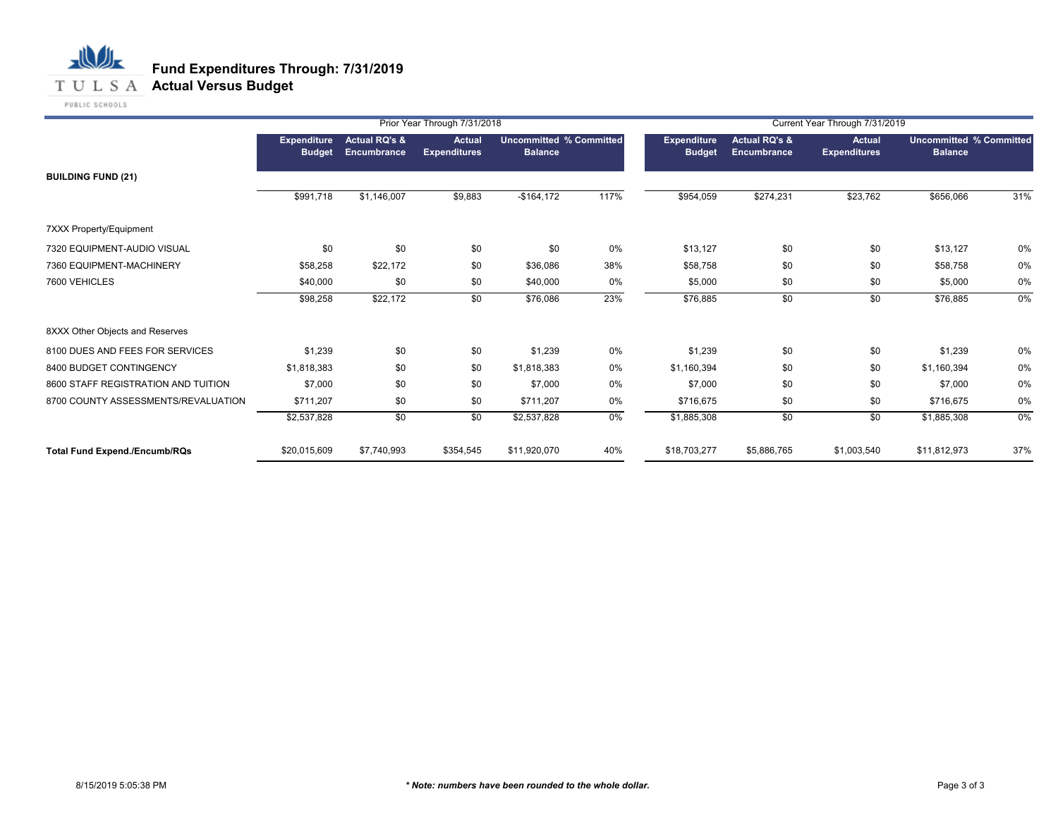

|                                      |                              |                              | Prior Year Through 7/31/2018         |                |                                |                                     |                                         | Current Year Through 7/31/2019       |                                                  |     |
|--------------------------------------|------------------------------|------------------------------|--------------------------------------|----------------|--------------------------------|-------------------------------------|-----------------------------------------|--------------------------------------|--------------------------------------------------|-----|
|                                      | Expenditure<br><b>Budget</b> | Actual RQ's &<br>Encumbrance | <b>Actual</b><br><b>Expenditures</b> | <b>Balance</b> | <b>Uncommitted % Committed</b> | <b>Expenditure</b><br><b>Budget</b> | <b>Actual RQ's &amp;</b><br>Encumbrance | <b>Actual</b><br><b>Expenditures</b> | <b>Uncommitted % Committed</b><br><b>Balance</b> |     |
| <b>BUILDING FUND (21)</b>            |                              |                              |                                      |                |                                |                                     |                                         |                                      |                                                  |     |
|                                      | \$991,718                    | \$1,146,007                  | \$9,883                              | $-$164,172$    | 117%                           | \$954,059                           | \$274,231                               | \$23,762                             | \$656,066                                        | 31% |
| <b>7XXX Property/Equipment</b>       |                              |                              |                                      |                |                                |                                     |                                         |                                      |                                                  |     |
| 7320 EQUIPMENT-AUDIO VISUAL          | \$0                          | \$0                          | \$0                                  | \$0            | 0%                             | \$13,127                            | \$0                                     | \$0                                  | \$13,127                                         | 0%  |
| 7360 EQUIPMENT-MACHINERY             | \$58,258                     | \$22,172                     | \$0                                  | \$36,086       | 38%                            | \$58,758                            | \$0                                     | \$0                                  | \$58,758                                         | 0%  |
| 7600 VEHICLES                        | \$40,000                     | \$0                          | \$0                                  | \$40,000       | 0%                             | \$5,000                             | \$0                                     | \$0                                  | \$5,000                                          | 0%  |
|                                      | \$98,258                     | \$22,172                     | \$0                                  | \$76,086       | 23%                            | \$76,885                            | \$0                                     | \$0                                  | \$76,885                                         | 0%  |
| 8XXX Other Objects and Reserves      |                              |                              |                                      |                |                                |                                     |                                         |                                      |                                                  |     |
| 8100 DUES AND FEES FOR SERVICES      | \$1,239                      | \$0                          | \$0                                  | \$1,239        | 0%                             | \$1,239                             | \$0                                     | \$0                                  | \$1,239                                          | 0%  |
| 8400 BUDGET CONTINGENCY              | \$1,818,383                  | \$0                          | \$0                                  | \$1,818,383    | 0%                             | \$1,160,394                         | \$0                                     | \$0                                  | \$1,160,394                                      | 0%  |
| 8600 STAFF REGISTRATION AND TUITION  | \$7,000                      | \$0                          | \$0                                  | \$7,000        | 0%                             | \$7,000                             | \$0                                     | \$0                                  | \$7,000                                          | 0%  |
| 8700 COUNTY ASSESSMENTS/REVALUATION  | \$711,207                    | \$0                          | \$0                                  | \$711,207      | 0%                             | \$716,675                           | \$0                                     | \$0                                  | \$716,675                                        | 0%  |
|                                      | \$2,537,828                  | \$0                          | \$0                                  | \$2,537,828    | $0\%$                          | \$1,885,308                         | \$0                                     | \$0                                  | \$1,885,308                                      | 0%  |
| <b>Total Fund Expend./Encumb/RQs</b> | \$20,015,609                 | \$7,740,993                  | \$354,545                            | \$11,920,070   | 40%                            | \$18,703,277                        | \$5,886,765                             | \$1,003,540                          | \$11,812,973                                     | 37% |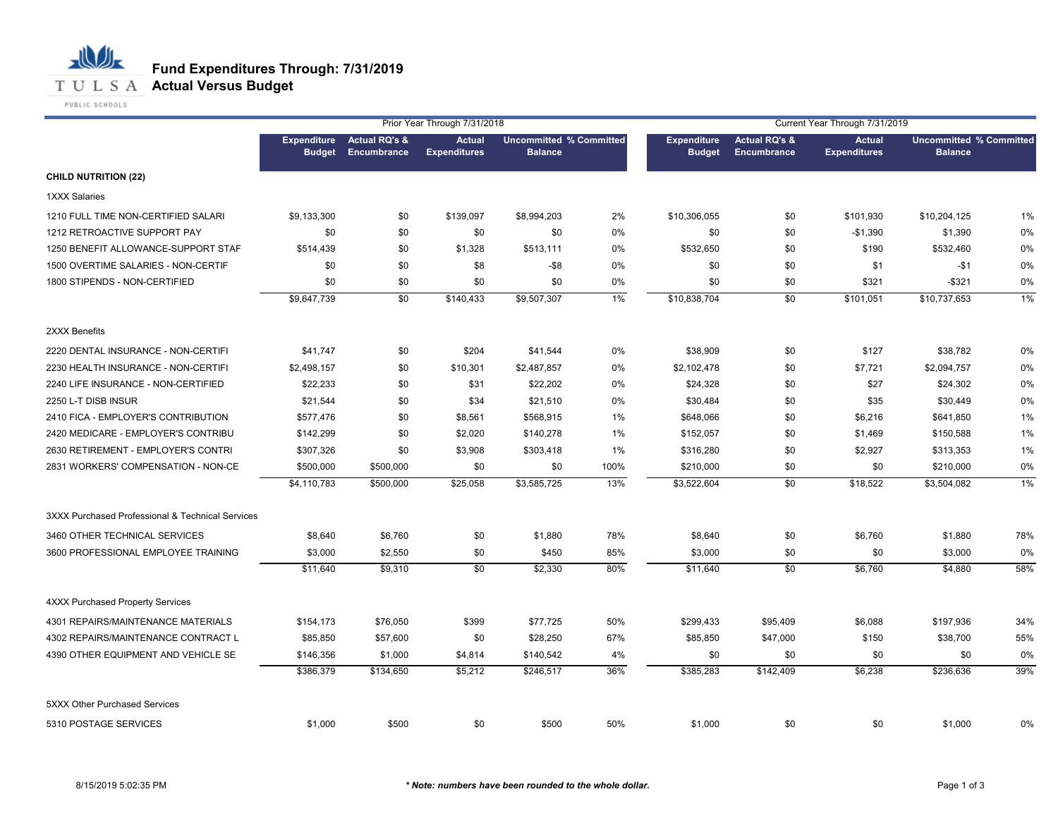

PUBLIC SCHOOLS

心儿

|                                                  |                                     |                                         | Prior Year Through 7/31/2018         |                                                  |       |                                     |                                                | Current Year Through 7/31/2019       |                                                  |       |
|--------------------------------------------------|-------------------------------------|-----------------------------------------|--------------------------------------|--------------------------------------------------|-------|-------------------------------------|------------------------------------------------|--------------------------------------|--------------------------------------------------|-------|
|                                                  | <b>Expenditure</b><br><b>Budget</b> | <b>Actual RQ's &amp;</b><br>Encumbrance | <b>Actual</b><br><b>Expenditures</b> | <b>Uncommitted % Committed</b><br><b>Balance</b> |       | <b>Expenditure</b><br><b>Budget</b> | <b>Actual RQ's &amp;</b><br><b>Encumbrance</b> | <b>Actual</b><br><b>Expenditures</b> | <b>Uncommitted % Committed</b><br><b>Balance</b> |       |
| <b>CHILD NUTRITION (22)</b>                      |                                     |                                         |                                      |                                                  |       |                                     |                                                |                                      |                                                  |       |
| <b>1XXX Salaries</b>                             |                                     |                                         |                                      |                                                  |       |                                     |                                                |                                      |                                                  |       |
| 1210 FULL TIME NON-CERTIFIED SALARI              | \$9,133,300                         | \$0                                     | \$139,097                            | \$8,994,203                                      | 2%    | \$10,306,055                        | \$0                                            | \$101,930                            | \$10,204,125                                     | $1\%$ |
| 1212 RETROACTIVE SUPPORT PAY                     | \$0                                 | \$0                                     | \$0                                  | \$0                                              | 0%    | \$0                                 | \$0                                            | $-$1,390$                            | \$1,390                                          | 0%    |
| 1250 BENEFIT ALLOWANCE-SUPPORT STAF              | \$514,439                           | \$0                                     | \$1,328                              | \$513,111                                        | 0%    | \$532,650                           | \$0                                            | \$190                                | \$532,460                                        | 0%    |
| 1500 OVERTIME SALARIES - NON-CERTIF              | \$0                                 | \$0                                     | \$8                                  | $- $8$                                           | 0%    | \$0                                 | \$0                                            | \$1                                  | $-$1$                                            | 0%    |
| 1800 STIPENDS - NON-CERTIFIED                    | \$0                                 | \$0                                     | \$0                                  | \$0                                              | 0%    | \$0                                 | \$0                                            | \$321                                | $-$ \$321                                        | 0%    |
|                                                  | \$9,647,739                         | \$0                                     | \$140,433                            | \$9,507,307                                      | $1\%$ | \$10,838,704                        | \$0                                            | \$101,051                            | \$10,737,653                                     | $1\%$ |
| 2XXX Benefits                                    |                                     |                                         |                                      |                                                  |       |                                     |                                                |                                      |                                                  |       |
| 2220 DENTAL INSURANCE - NON-CERTIFI              | \$41,747                            | \$0                                     | \$204                                | \$41,544                                         | 0%    | \$38,909                            | \$0                                            | \$127                                | \$38,782                                         | 0%    |
| 2230 HEALTH INSURANCE - NON-CERTIFI              | \$2,498,157                         | \$0                                     | \$10,301                             | \$2,487,857                                      | 0%    | \$2,102,478                         | \$0                                            | \$7,721                              | \$2,094,757                                      | 0%    |
| 2240 LIFE INSURANCE - NON-CERTIFIED              | \$22,233                            | \$0                                     | \$31                                 | \$22,202                                         | 0%    | \$24,328                            | \$0                                            | \$27                                 | \$24,302                                         | 0%    |
| 2250 L-T DISB INSUR                              | \$21,544                            | \$0                                     | \$34                                 | \$21,510                                         | 0%    | \$30,484                            | \$0                                            | \$35                                 | \$30,449                                         | 0%    |
| 2410 FICA - EMPLOYER'S CONTRIBUTION              | \$577,476                           | \$0                                     | \$8,561                              | \$568,915                                        | 1%    | \$648,066                           | \$0                                            | \$6,216                              | \$641,850                                        | 1%    |
| 2420 MEDICARE - EMPLOYER'S CONTRIBU              | \$142,299                           | \$0                                     | \$2,020                              | \$140,278                                        | 1%    | \$152,057                           | \$0                                            | \$1,469                              | \$150,588                                        | 1%    |
| 2630 RETIREMENT - EMPLOYER'S CONTRI              | \$307,326                           | \$0                                     | \$3,908                              | \$303,418                                        | 1%    | \$316,280                           | \$0                                            | \$2,927                              | \$313,353                                        | 1%    |
| 2831 WORKERS' COMPENSATION - NON-CE              | \$500,000                           | \$500,000                               | \$0                                  | \$0                                              | 100%  | \$210,000                           | \$0                                            | \$0                                  | \$210,000                                        | 0%    |
|                                                  | \$4,110,783                         | \$500,000                               | \$25,058                             | \$3,585,725                                      | 13%   | \$3,522,604                         | \$0                                            | \$18,522                             | \$3,504,082                                      | 1%    |
| 3XXX Purchased Professional & Technical Services |                                     |                                         |                                      |                                                  |       |                                     |                                                |                                      |                                                  |       |
| 3460 OTHER TECHNICAL SERVICES                    | \$8,640                             | \$6,760                                 | \$0                                  | \$1,880                                          | 78%   | \$8,640                             | \$0                                            | \$6,760                              | \$1,880                                          | 78%   |
| 3600 PROFESSIONAL EMPLOYEE TRAINING              | \$3,000                             | \$2,550                                 | \$0                                  | \$450                                            | 85%   | \$3,000                             | \$0                                            | \$0                                  | \$3,000                                          | 0%    |
|                                                  | \$11,640                            | \$9,310                                 | $\overline{50}$                      | \$2,330                                          | 80%   | \$11,640                            | \$0                                            | \$6,760                              | \$4,880                                          | 58%   |
| <b>4XXX Purchased Property Services</b>          |                                     |                                         |                                      |                                                  |       |                                     |                                                |                                      |                                                  |       |
| 4301 REPAIRS/MAINTENANCE MATERIALS               | \$154,173                           | \$76,050                                | \$399                                | \$77,725                                         | 50%   | \$299,433                           | \$95,409                                       | \$6,088                              | \$197,936                                        | 34%   |
| 4302 REPAIRS/MAINTENANCE CONTRACT L              | \$85,850                            | \$57,600                                | \$0                                  | \$28,250                                         | 67%   | \$85,850                            | \$47,000                                       | \$150                                | \$38,700                                         | 55%   |
| 4390 OTHER EQUIPMENT AND VEHICLE SE              | \$146,356                           | \$1,000                                 | \$4,814                              | \$140,542                                        | 4%    | \$0                                 | \$0                                            | \$0                                  | \$0                                              | 0%    |
|                                                  | \$386,379                           | \$134,650                               | \$5,212                              | \$246,517                                        | 36%   | \$385,283                           | \$142,409                                      | \$6,238                              | \$236,636                                        | 39%   |
| 5XXX Other Purchased Services                    |                                     |                                         |                                      |                                                  |       |                                     |                                                |                                      |                                                  |       |
| 5310 POSTAGE SERVICES                            | \$1,000                             | \$500                                   | \$0                                  | \$500                                            | 50%   | \$1,000                             | \$0                                            | \$0                                  | \$1,000                                          | 0%    |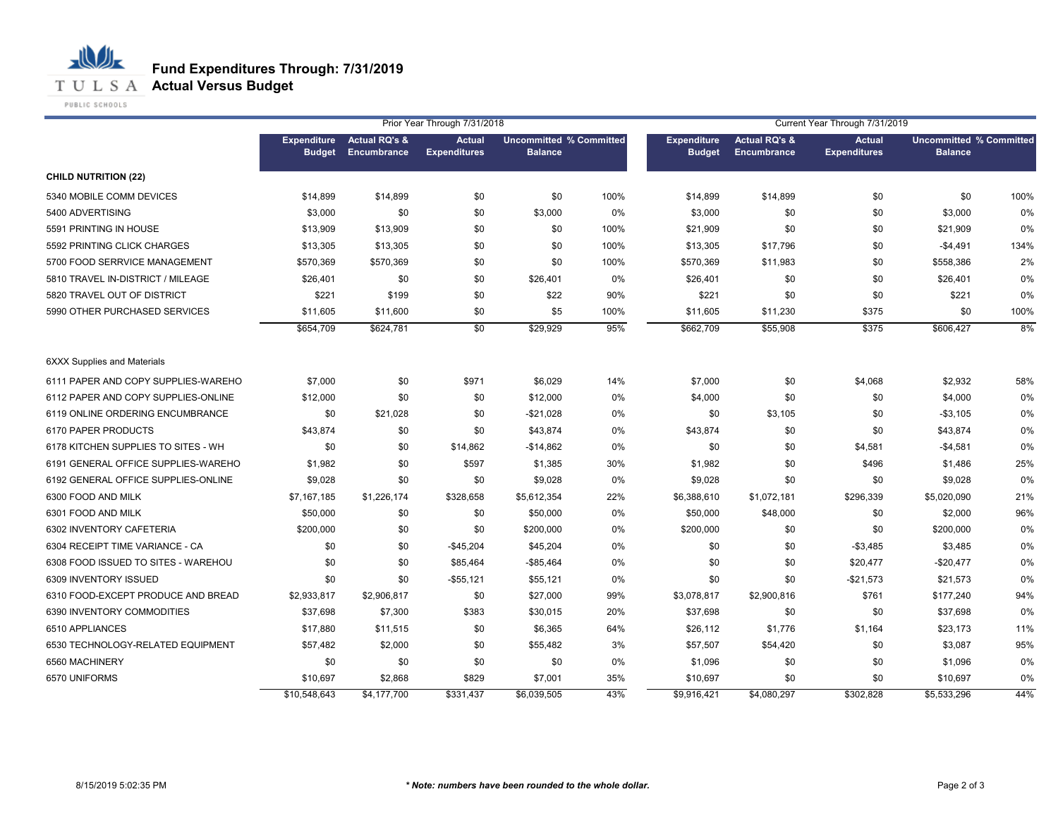

PUBLIC SCHOOLS

心儿

|                                     |                                     |                                         | Prior Year Through 7/31/2018         |                                                  |      | Current Year Through 7/31/2019      |                                         |                                      |                                                  |      |
|-------------------------------------|-------------------------------------|-----------------------------------------|--------------------------------------|--------------------------------------------------|------|-------------------------------------|-----------------------------------------|--------------------------------------|--------------------------------------------------|------|
|                                     | <b>Expenditure</b><br><b>Budget</b> | <b>Actual RQ's &amp;</b><br>Encumbrance | <b>Actual</b><br><b>Expenditures</b> | <b>Uncommitted % Committed</b><br><b>Balance</b> |      | <b>Expenditure</b><br><b>Budget</b> | <b>Actual RQ's &amp;</b><br>Encumbrance | <b>Actual</b><br><b>Expenditures</b> | <b>Uncommitted % Committed</b><br><b>Balance</b> |      |
| <b>CHILD NUTRITION (22)</b>         |                                     |                                         |                                      |                                                  |      |                                     |                                         |                                      |                                                  |      |
| 5340 MOBILE COMM DEVICES            | \$14,899                            | \$14,899                                | \$0                                  | \$0                                              | 100% | \$14,899                            | \$14,899                                | \$0                                  | \$0                                              | 100% |
| 5400 ADVERTISING                    | \$3,000                             | \$0                                     | \$0                                  | \$3,000                                          | 0%   | \$3,000                             | \$0                                     | \$0                                  | \$3,000                                          | 0%   |
| 5591 PRINTING IN HOUSE              | \$13,909                            | \$13,909                                | \$0                                  | \$0                                              | 100% | \$21,909                            | \$0                                     | \$0                                  | \$21,909                                         | 0%   |
| 5592 PRINTING CLICK CHARGES         | \$13,305                            | \$13,305                                | \$0                                  | \$0                                              | 100% | \$13,305                            | \$17,796                                | \$0                                  | $-$4,491$                                        | 134% |
| 5700 FOOD SERRVICE MANAGEMENT       | \$570,369                           | \$570,369                               | \$0                                  | \$0                                              | 100% | \$570,369                           | \$11,983                                | \$0                                  | \$558,386                                        | 2%   |
| 5810 TRAVEL IN-DISTRICT / MILEAGE   | \$26,401                            | \$0                                     | \$0                                  | \$26,401                                         | 0%   | \$26,401                            | \$0                                     | \$0                                  | \$26,401                                         | 0%   |
| 5820 TRAVEL OUT OF DISTRICT         | \$221                               | \$199                                   | \$0                                  | \$22                                             | 90%  | \$221                               | \$0                                     | \$0                                  | \$221                                            | 0%   |
| 5990 OTHER PURCHASED SERVICES       | \$11,605                            | \$11,600                                | \$0                                  | \$5                                              | 100% | \$11,605                            | \$11,230                                | \$375                                | \$0                                              | 100% |
|                                     | \$654,709                           | \$624,781                               | \$0                                  | \$29,929                                         | 95%  | \$662,709                           | \$55,908                                | \$375                                | \$606,427                                        | 8%   |
| <b>6XXX Supplies and Materials</b>  |                                     |                                         |                                      |                                                  |      |                                     |                                         |                                      |                                                  |      |
| 6111 PAPER AND COPY SUPPLIES-WAREHO | \$7,000                             | \$0                                     | \$971                                | \$6,029                                          | 14%  | \$7,000                             | \$0                                     | \$4,068                              | \$2,932                                          | 58%  |
| 6112 PAPER AND COPY SUPPLIES-ONLINE | \$12,000                            | \$0                                     | \$0                                  | \$12,000                                         | 0%   | \$4,000                             | \$0                                     | \$0                                  | \$4,000                                          | 0%   |
| 6119 ONLINE ORDERING ENCUMBRANCE    | \$0                                 | \$21,028                                | \$0                                  | $-$21,028$                                       | 0%   | \$0                                 | \$3,105                                 | \$0                                  | $-$3,105$                                        | 0%   |
| 6170 PAPER PRODUCTS                 | \$43,874                            | \$0                                     | \$0                                  | \$43,874                                         | 0%   | \$43,874                            | \$0                                     | \$0                                  | \$43,874                                         | 0%   |
| 6178 KITCHEN SUPPLIES TO SITES - WH | \$0                                 | \$0                                     | \$14,862                             | $-$14,862$                                       | 0%   | \$0                                 | \$0                                     | \$4,581                              | $-$4,581$                                        | 0%   |
| 6191 GENERAL OFFICE SUPPLIES-WAREHO | \$1,982                             | \$0                                     | \$597                                | \$1,385                                          | 30%  | \$1,982                             | \$0                                     | \$496                                | \$1,486                                          | 25%  |
| 6192 GENERAL OFFICE SUPPLIES-ONLINE | \$9,028                             | \$0                                     | \$0                                  | \$9,028                                          | 0%   | \$9,028                             | \$0                                     | \$0                                  | \$9,028                                          | 0%   |
| 6300 FOOD AND MILK                  | \$7,167,185                         | \$1,226,174                             | \$328,658                            | \$5,612,354                                      | 22%  | \$6,388,610                         | \$1,072,181                             | \$296,339                            | \$5,020,090                                      | 21%  |
| 6301 FOOD AND MILK                  | \$50,000                            | \$0                                     | \$0                                  | \$50,000                                         | 0%   | \$50,000                            | \$48,000                                | \$0                                  | \$2,000                                          | 96%  |
| 6302 INVENTORY CAFETERIA            | \$200,000                           | \$0                                     | \$0                                  | \$200,000                                        | 0%   | \$200,000                           | \$0                                     | \$0                                  | \$200,000                                        | 0%   |
| 6304 RECEIPT TIME VARIANCE - CA     | \$0                                 | \$0                                     | $-$45,204$                           | \$45,204                                         | 0%   | \$0                                 | \$0                                     | $-$3,485$                            | \$3,485                                          | 0%   |
| 6308 FOOD ISSUED TO SITES - WAREHOU | \$0                                 | \$0                                     | \$85,464                             | $-$85,464$                                       | 0%   | \$0                                 | \$0                                     | \$20,477                             | $-$20,477$                                       | 0%   |
| 6309 INVENTORY ISSUED               | \$0                                 | \$0                                     | $-$55,121$                           | \$55,121                                         | 0%   | \$0                                 | \$0                                     | $-$21,573$                           | \$21,573                                         | 0%   |
| 6310 FOOD-EXCEPT PRODUCE AND BREAD  | \$2,933,817                         | \$2,906,817                             | \$0                                  | \$27,000                                         | 99%  | \$3,078,817                         | \$2,900,816                             | \$761                                | \$177,240                                        | 94%  |
| 6390 INVENTORY COMMODITIES          | \$37,698                            | \$7,300                                 | \$383                                | \$30,015                                         | 20%  | \$37,698                            | \$0                                     | \$0                                  | \$37,698                                         | 0%   |
| 6510 APPLIANCES                     | \$17,880                            | \$11,515                                | \$0                                  | \$6,365                                          | 64%  | \$26,112                            | \$1,776                                 | \$1,164                              | \$23,173                                         | 11%  |
| 6530 TECHNOLOGY-RELATED EQUIPMENT   | \$57,482                            | \$2,000                                 | \$0                                  | \$55,482                                         | 3%   | \$57,507                            | \$54,420                                | \$0                                  | \$3,087                                          | 95%  |
| 6560 MACHINERY                      | \$0                                 | \$0                                     | \$0                                  | \$0                                              | 0%   | \$1,096                             | \$0                                     | \$0                                  | \$1,096                                          | 0%   |
| 6570 UNIFORMS                       | \$10,697                            | \$2,868                                 | \$829                                | \$7,001                                          | 35%  | \$10,697                            | \$0                                     | \$0                                  | \$10,697                                         | 0%   |
|                                     | \$10,548,643                        | \$4,177,700                             | \$331,437                            | \$6,039,505                                      | 43%  | \$9,916,421                         | \$4,080,297                             | \$302,828                            | \$5,533,296                                      | 44%  |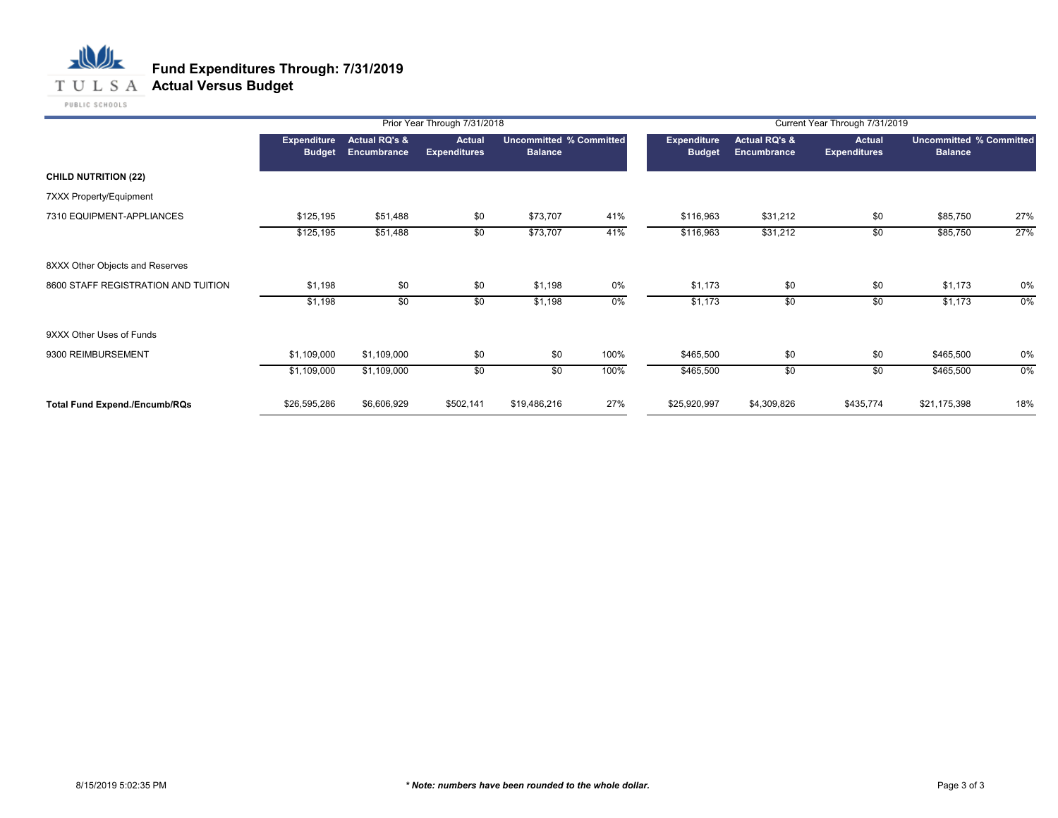**T U L S A Actual Versus Budget** 

|                                      | Prior Year Through 7/31/2018<br>Current Year Through 7/31/2019 |                                         |                               |                                                  |      |                                     |                                         |                                      |                                                  |     |
|--------------------------------------|----------------------------------------------------------------|-----------------------------------------|-------------------------------|--------------------------------------------------|------|-------------------------------------|-----------------------------------------|--------------------------------------|--------------------------------------------------|-----|
|                                      | <b>Expenditure</b><br><b>Budget</b>                            | <b>Actual RQ's &amp;</b><br>Encumbrance | Actual<br><b>Expenditures</b> | <b>Uncommitted % Committed</b><br><b>Balance</b> |      | <b>Expenditure</b><br><b>Budget</b> | <b>Actual RQ's &amp;</b><br>Encumbrance | <b>Actual</b><br><b>Expenditures</b> | <b>Uncommitted % Committed</b><br><b>Balance</b> |     |
| <b>CHILD NUTRITION (22)</b>          |                                                                |                                         |                               |                                                  |      |                                     |                                         |                                      |                                                  |     |
| 7XXX Property/Equipment              |                                                                |                                         |                               |                                                  |      |                                     |                                         |                                      |                                                  |     |
| 7310 EQUIPMENT-APPLIANCES            | \$125,195                                                      | \$51,488                                | \$0                           | \$73,707                                         | 41%  | \$116,963                           | \$31,212                                | \$0                                  | \$85,750                                         | 27% |
|                                      | \$125,195                                                      | \$51,488                                | \$0                           | \$73,707                                         | 41%  | \$116,963                           | \$31,212                                | \$0                                  | \$85,750                                         | 27% |
| 8XXX Other Objects and Reserves      |                                                                |                                         |                               |                                                  |      |                                     |                                         |                                      |                                                  |     |
| 8600 STAFF REGISTRATION AND TUITION  | \$1,198                                                        | \$0                                     | \$0                           | \$1,198                                          | 0%   | \$1,173                             | \$0                                     | \$0                                  | \$1,173                                          | 0%  |
|                                      | \$1,198                                                        | \$0                                     | \$0                           | \$1,198                                          | 0%   | \$1,173                             | \$0                                     | \$0                                  | \$1,173                                          | 0%  |
| 9XXX Other Uses of Funds             |                                                                |                                         |                               |                                                  |      |                                     |                                         |                                      |                                                  |     |
| 9300 REIMBURSEMENT                   | \$1,109,000                                                    | \$1,109,000                             | \$0                           | \$0                                              | 100% | \$465,500                           | \$0                                     | \$0                                  | \$465,500                                        | 0%  |
|                                      | \$1,109,000                                                    | \$1,109,000                             | \$0                           | \$0                                              | 100% | \$465,500                           | \$0                                     | \$0                                  | \$465,500                                        | 0%  |
| <b>Total Fund Expend./Encumb/RQs</b> | \$26,595,286                                                   | \$6,606,929                             | \$502,141                     | \$19,486,216                                     | 27%  | \$25,920,997                        | \$4,309,826                             | \$435,774                            | \$21,175,398                                     | 18% |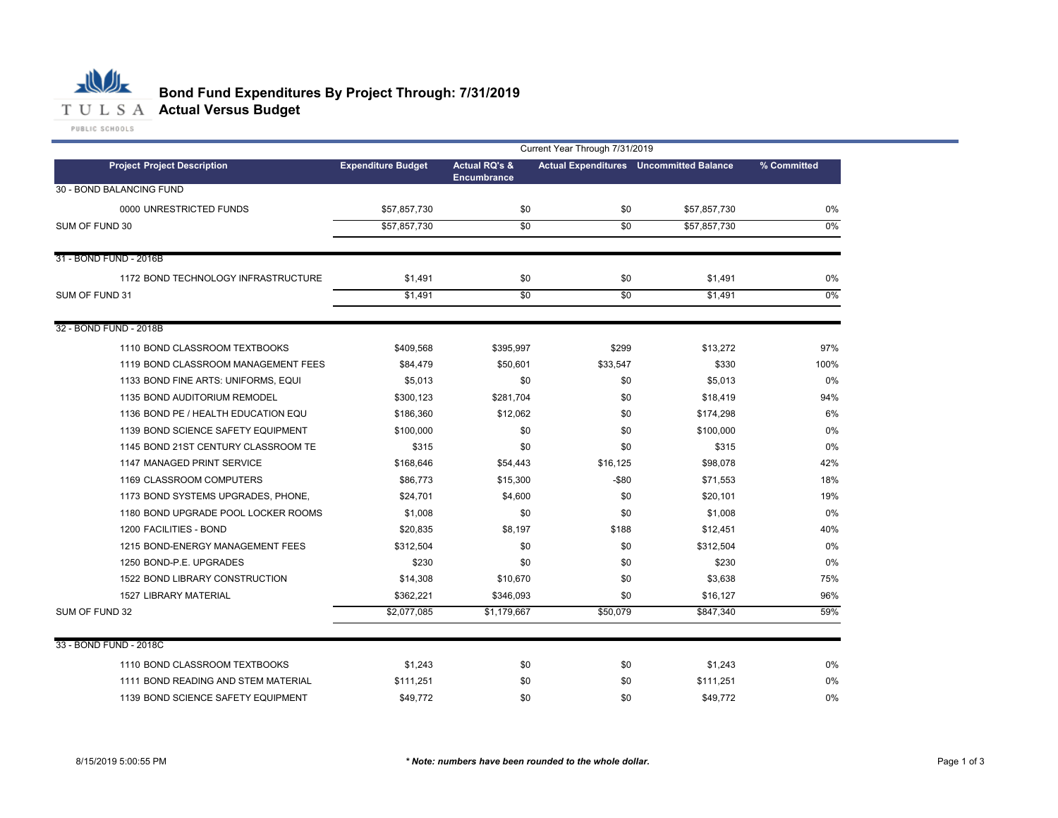

### **Bond Fund Expenditures By Project Through: 7/31/2019**

|                                     |                           | Current Year Through 7/31/2019                 |                 |                                                |             |  |  |  |  |  |  |
|-------------------------------------|---------------------------|------------------------------------------------|-----------------|------------------------------------------------|-------------|--|--|--|--|--|--|
| <b>Project Project Description</b>  | <b>Expenditure Budget</b> | <b>Actual RQ's &amp;</b><br><b>Encumbrance</b> |                 | <b>Actual Expenditures</b> Uncommitted Balance | % Committed |  |  |  |  |  |  |
| 30 - BOND BALANCING FUND            |                           |                                                |                 |                                                |             |  |  |  |  |  |  |
| 0000 UNRESTRICTED FUNDS             | \$57,857,730              | \$0                                            | \$0             | \$57,857,730                                   | $0\%$       |  |  |  |  |  |  |
| SUM OF FUND 30                      | \$57,857,730              | $\overline{50}$                                | $\overline{30}$ | \$57,857,730                                   | $0\%$       |  |  |  |  |  |  |
|                                     |                           |                                                |                 |                                                |             |  |  |  |  |  |  |
| 31 - BOND FUND - 2016B              |                           |                                                |                 |                                                |             |  |  |  |  |  |  |
| 1172 BOND TECHNOLOGY INFRASTRUCTURE | \$1,491                   | \$0                                            | \$0             | \$1,491                                        | 0%          |  |  |  |  |  |  |
| SUM OF FUND 31                      | \$1,491                   | \$0                                            | \$0             | \$1,491                                        | $0\%$       |  |  |  |  |  |  |
| 32 - BOND FUND - 2018B              |                           |                                                |                 |                                                |             |  |  |  |  |  |  |
| 1110 BOND CLASSROOM TEXTBOOKS       | \$409,568                 | \$395,997                                      | \$299           | \$13,272                                       | 97%         |  |  |  |  |  |  |
| 1119 BOND CLASSROOM MANAGEMENT FEES | \$84,479                  | \$50,601                                       | \$33,547        | \$330                                          | 100%        |  |  |  |  |  |  |
| 1133 BOND FINE ARTS: UNIFORMS, EQUI | \$5,013                   | \$0                                            | \$0             | \$5,013                                        | 0%          |  |  |  |  |  |  |
| 1135 BOND AUDITORIUM REMODEL        | \$300,123                 | \$281,704                                      | \$0             | \$18,419                                       | 94%         |  |  |  |  |  |  |
| 1136 BOND PE / HEALTH EDUCATION EQU | \$186,360                 | \$12,062                                       | \$0             | \$174,298                                      | 6%          |  |  |  |  |  |  |
| 1139 BOND SCIENCE SAFETY EQUIPMENT  | \$100,000                 | \$0                                            | \$0             | \$100,000                                      | 0%          |  |  |  |  |  |  |
| 1145 BOND 21ST CENTURY CLASSROOM TE | \$315                     | \$0                                            | \$0             | \$315                                          | 0%          |  |  |  |  |  |  |
| 1147 MANAGED PRINT SERVICE          | \$168,646                 | \$54,443                                       | \$16,125        | \$98,078                                       | 42%         |  |  |  |  |  |  |
| 1169 CLASSROOM COMPUTERS            | \$86,773                  | \$15,300                                       | -\$80           | \$71,553                                       | 18%         |  |  |  |  |  |  |
| 1173 BOND SYSTEMS UPGRADES, PHONE,  | \$24,701                  | \$4,600                                        | \$0             | \$20,101                                       | 19%         |  |  |  |  |  |  |
| 1180 BOND UPGRADE POOL LOCKER ROOMS | \$1,008                   | \$0                                            | \$0             | \$1,008                                        | 0%          |  |  |  |  |  |  |
| 1200 FACILITIES - BOND              | \$20,835                  | \$8,197                                        | \$188           | \$12,451                                       | 40%         |  |  |  |  |  |  |
| 1215 BOND-ENERGY MANAGEMENT FEES    | \$312,504                 | \$0                                            | \$0             | \$312,504                                      | 0%          |  |  |  |  |  |  |
| 1250 BOND-P.E. UPGRADES             | \$230                     | \$0                                            | \$0             | \$230                                          | 0%          |  |  |  |  |  |  |
| 1522 BOND LIBRARY CONSTRUCTION      | \$14,308                  | \$10,670                                       | \$0             | \$3,638                                        | 75%         |  |  |  |  |  |  |
| <b>1527 LIBRARY MATERIAL</b>        | \$362,221                 | \$346,093                                      | \$0             | \$16,127                                       | 96%         |  |  |  |  |  |  |
| SUM OF FUND 32                      | \$2,077,085               | \$1,179,667                                    | \$50,079        | \$847,340                                      | 59%         |  |  |  |  |  |  |
| 33 - BOND FUND - 2018C              |                           |                                                |                 |                                                |             |  |  |  |  |  |  |
| 1110 BOND CLASSROOM TEXTBOOKS       | \$1,243                   | \$0                                            | \$0             | \$1,243                                        | 0%          |  |  |  |  |  |  |
| 1111 BOND READING AND STEM MATERIAL | \$111.251                 | \$0                                            | \$0             | \$111.251                                      | 0%          |  |  |  |  |  |  |
| 1139 BOND SCIENCE SAFETY EQUIPMENT  | \$49.772                  | \$0                                            | \$0             | \$49,772                                       | 0%          |  |  |  |  |  |  |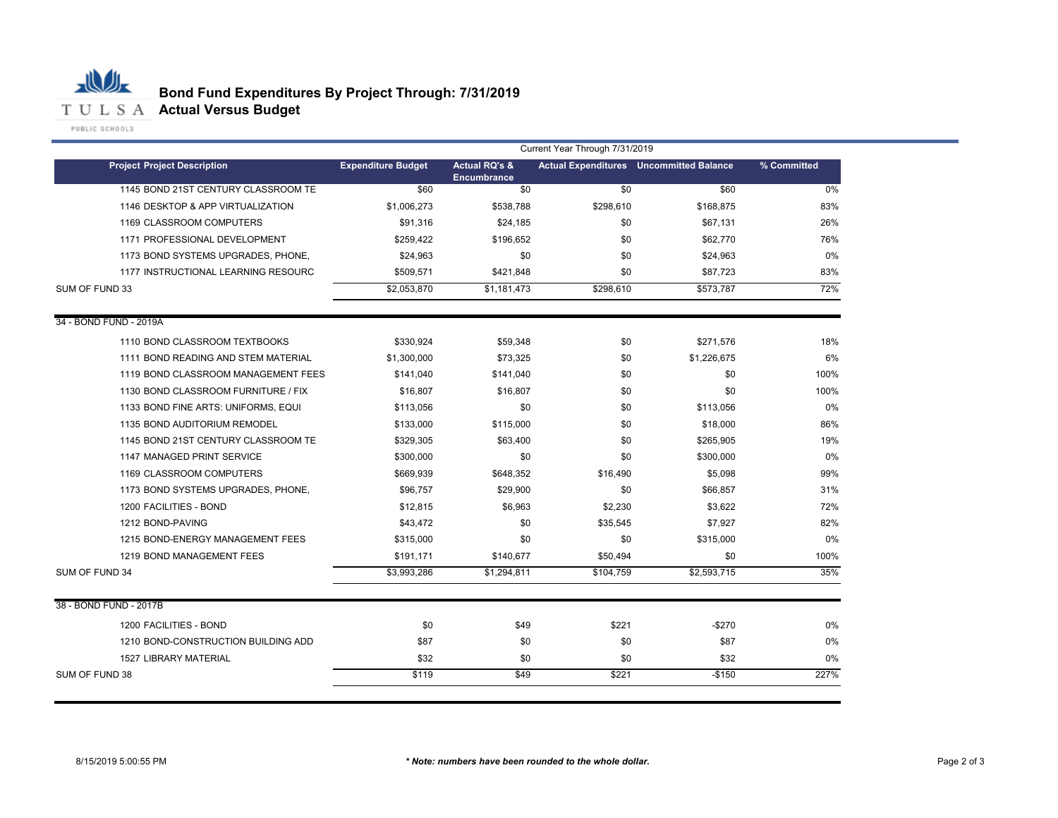

|                                     |                           | Current Year Through 7/31/2019                 |           |                                                |             |  |  |  |  |  |  |
|-------------------------------------|---------------------------|------------------------------------------------|-----------|------------------------------------------------|-------------|--|--|--|--|--|--|
| <b>Project Project Description</b>  | <b>Expenditure Budget</b> | <b>Actual RQ's &amp;</b><br><b>Encumbrance</b> |           | <b>Actual Expenditures</b> Uncommitted Balance | % Committed |  |  |  |  |  |  |
| 1145 BOND 21ST CENTURY CLASSROOM TE | \$60                      | \$0                                            | \$0       | \$60                                           | 0%          |  |  |  |  |  |  |
| 1146 DESKTOP & APP VIRTUALIZATION   | \$1,006,273               | \$538,788                                      | \$298,610 | \$168,875                                      | 83%         |  |  |  |  |  |  |
| 1169 CLASSROOM COMPUTERS            | \$91,316                  | \$24,185                                       | \$0       | \$67,131                                       | 26%         |  |  |  |  |  |  |
| 1171 PROFESSIONAL DEVELOPMENT       | \$259,422                 | \$196,652                                      | \$0       | \$62,770                                       | 76%         |  |  |  |  |  |  |
| 1173 BOND SYSTEMS UPGRADES, PHONE,  | \$24,963                  | \$0                                            | \$0       | \$24,963                                       | 0%          |  |  |  |  |  |  |
| 1177 INSTRUCTIONAL LEARNING RESOURC | \$509,571                 | \$421,848                                      | \$0       | \$87,723                                       | 83%         |  |  |  |  |  |  |
| SUM OF FUND 33                      | \$2,053,870               | \$1,181,473                                    | \$298,610 | \$573,787                                      | 72%         |  |  |  |  |  |  |
| 34 - BOND FUND - 2019A              |                           |                                                |           |                                                |             |  |  |  |  |  |  |
| 1110 BOND CLASSROOM TEXTBOOKS       | \$330,924                 | \$59,348                                       | \$0       | \$271,576                                      | 18%         |  |  |  |  |  |  |
| 1111 BOND READING AND STEM MATERIAL | \$1,300,000               | \$73,325                                       | \$0       | \$1,226,675                                    | 6%          |  |  |  |  |  |  |
| 1119 BOND CLASSROOM MANAGEMENT FEES | \$141,040                 | \$141,040                                      | \$0       | \$0                                            | 100%        |  |  |  |  |  |  |
| 1130 BOND CLASSROOM FURNITURE / FIX | \$16,807                  | \$16,807                                       | \$0       | \$0                                            | 100%        |  |  |  |  |  |  |
| 1133 BOND FINE ARTS: UNIFORMS, EQUI | \$113,056                 | \$0                                            | \$0       | \$113,056                                      | 0%          |  |  |  |  |  |  |
| 1135 BOND AUDITORIUM REMODEL        | \$133,000                 | \$115,000                                      | \$0       | \$18,000                                       | 86%         |  |  |  |  |  |  |
| 1145 BOND 21ST CENTURY CLASSROOM TE | \$329,305                 | \$63,400                                       | \$0       | \$265,905                                      | 19%         |  |  |  |  |  |  |
| 1147 MANAGED PRINT SERVICE          | \$300,000                 | \$0                                            | \$0       | \$300,000                                      | 0%          |  |  |  |  |  |  |
| 1169 CLASSROOM COMPUTERS            | \$669,939                 | \$648,352                                      | \$16,490  | \$5,098                                        | 99%         |  |  |  |  |  |  |
| 1173 BOND SYSTEMS UPGRADES, PHONE,  | \$96,757                  | \$29,900                                       | \$0       | \$66,857                                       | 31%         |  |  |  |  |  |  |
| 1200 FACILITIES - BOND              | \$12,815                  | \$6,963                                        | \$2,230   | \$3,622                                        | 72%         |  |  |  |  |  |  |
| 1212 BOND-PAVING                    | \$43,472                  | \$0                                            | \$35,545  | \$7,927                                        | 82%         |  |  |  |  |  |  |
| 1215 BOND-ENERGY MANAGEMENT FEES    | \$315,000                 | \$0                                            | \$0       | \$315,000                                      | 0%          |  |  |  |  |  |  |
| 1219 BOND MANAGEMENT FEES           | \$191,171                 | \$140,677                                      | \$50,494  | \$0                                            | 100%        |  |  |  |  |  |  |
| SUM OF FUND 34                      | \$3,993,286               | \$1,294,811                                    | \$104,759 | \$2,593,715                                    | 35%         |  |  |  |  |  |  |
| 38 - BOND FUND - 2017B              |                           |                                                |           |                                                |             |  |  |  |  |  |  |
| 1200 FACILITIES - BOND              | \$0                       | \$49                                           | \$221     | $-$270$                                        | 0%          |  |  |  |  |  |  |
| 1210 BOND-CONSTRUCTION BUILDING ADD | \$87                      | \$0                                            | \$0       | \$87                                           | 0%          |  |  |  |  |  |  |
| <b>1527 LIBRARY MATERIAL</b>        | \$32                      | \$0                                            | \$0       | \$32                                           | 0%          |  |  |  |  |  |  |
| SUM OF FUND 38                      | \$119                     | \$49                                           | \$221     | $-$150$                                        | 227%        |  |  |  |  |  |  |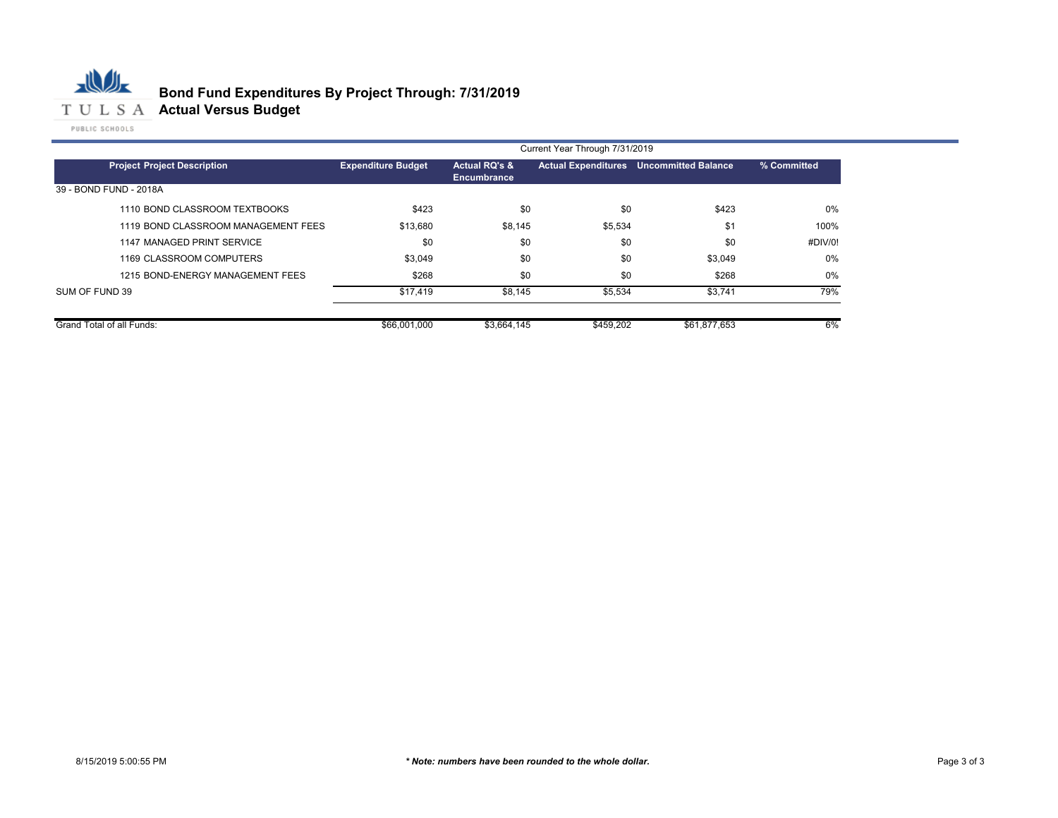

|                                     | Current Year Through 7/31/2019 |                              |                            |                     |             |  |  |  |  |  |
|-------------------------------------|--------------------------------|------------------------------|----------------------------|---------------------|-------------|--|--|--|--|--|
| <b>Project Project Description</b>  | <b>Expenditure Budget</b>      | Actual RQ's &<br>Encumbrance | <b>Actual Expenditures</b> | Uncommitted Balance | % Committed |  |  |  |  |  |
| 39 - BOND FUND - 2018A              |                                |                              |                            |                     |             |  |  |  |  |  |
| 1110 BOND CLASSROOM TEXTBOOKS       | \$423                          | \$0                          | \$0                        | \$423               | 0%          |  |  |  |  |  |
| 1119 BOND CLASSROOM MANAGEMENT FEES | \$13,680                       | \$8,145                      | \$5,534                    | \$1                 | 100%        |  |  |  |  |  |
| 1147 MANAGED PRINT SERVICE          | \$0                            | \$0                          | \$0                        | \$0                 | #DIV/0!     |  |  |  |  |  |
| 1169 CLASSROOM COMPUTERS            | \$3,049                        | \$0                          | \$0                        | \$3,049             | 0%          |  |  |  |  |  |
| 1215 BOND-ENERGY MANAGEMENT FEES    | \$268                          | \$0                          | \$0                        | \$268               | 0%          |  |  |  |  |  |
| SUM OF FUND 39                      | \$17,419                       | \$8,145                      | \$5,534                    | \$3,741             | 79%         |  |  |  |  |  |
| Grand Total of all Funds:           | \$66,001,000                   | \$3,664,145                  | \$459,202                  | \$61,877,653        | 6%          |  |  |  |  |  |